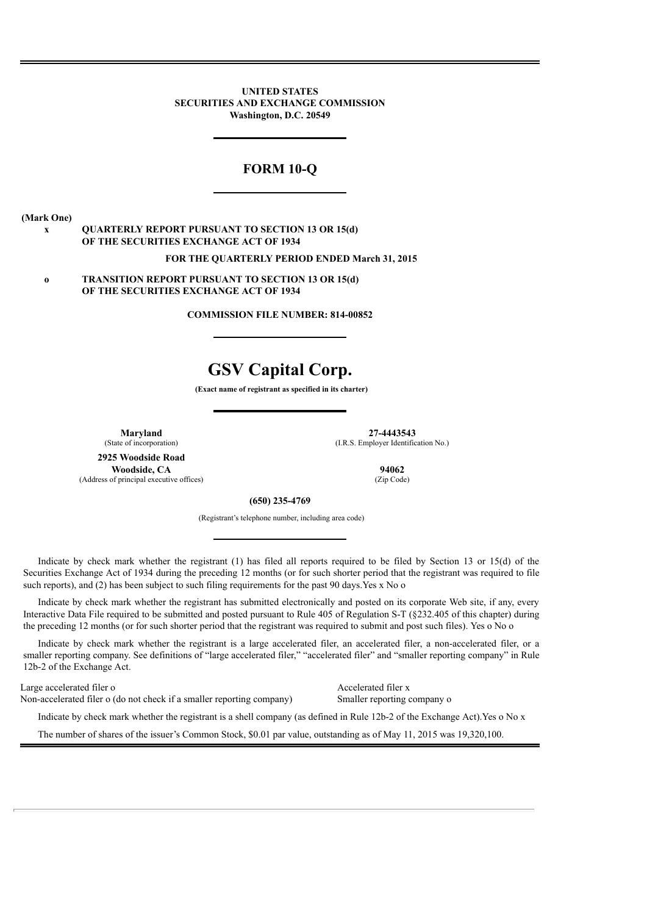**UNITED STATES SECURITIES AND EXCHANGE COMMISSION Washington, D.C. 20549**

# **FORM 10-Q**

**(Mark One)**

## **x QUARTERLY REPORT PURSUANT TO SECTION 13 OR 15(d) OF THE SECURITIES EXCHANGE ACT OF 1934**

#### **FOR THE QUARTERLY PERIOD ENDED March 31, 2015**

**o TRANSITION REPORT PURSUANT TO SECTION 13 OR 15(d) OF THE SECURITIES EXCHANGE ACT OF 1934**

**COMMISSION FILE NUMBER: 814-00852**

# **GSV Capital Corp.**

**(Exact name of registrant as specified in its charter)**

**2925 Woodside Road Woodside, CA** 94062 of principal executive offices) (Zip Code) (Address of principal executive offices)

**Maryland 27-4443543** (State of incorporation) (I.R.S. Employer Identification No.)

#### **(650) 235-4769**

(Registrant's telephone number, including area code)

Indicate by check mark whether the registrant (1) has filed all reports required to be filed by Section 13 or 15(d) of the Securities Exchange Act of 1934 during the preceding 12 months (or for such shorter period that the registrant was required to file such reports), and (2) has been subject to such filing requirements for the past 90 days. Yes x No o

Indicate by check mark whether the registrant has submitted electronically and posted on its corporate Web site, if any, every Interactive Data File required to be submitted and posted pursuant to Rule 405 of Regulation S-T (§232.405 of this chapter) during the preceding 12 months (or for such shorter period that the registrant was required to submit and post such files). Yes o No o

Indicate by check mark whether the registrant is a large accelerated filer, an accelerated filer, a non-accelerated filer, or a smaller reporting company. See definitions of "large accelerated filer," "accelerated filer" and "smaller reporting company" in Rule 12b-2 of the Exchange Act.

Large accelerated filer o Accelerated filer x Non-accelerated filer o (do not check if a smaller reporting company) Smaller reporting company o

Indicate by check mark whether the registrant is a shell company (as defined in Rule 12b-2 of the Exchange Act).Yes o No x

The number of shares of the issuer's Common Stock, \$0.01 par value, outstanding as of May 11, 2015 was 19,320,100.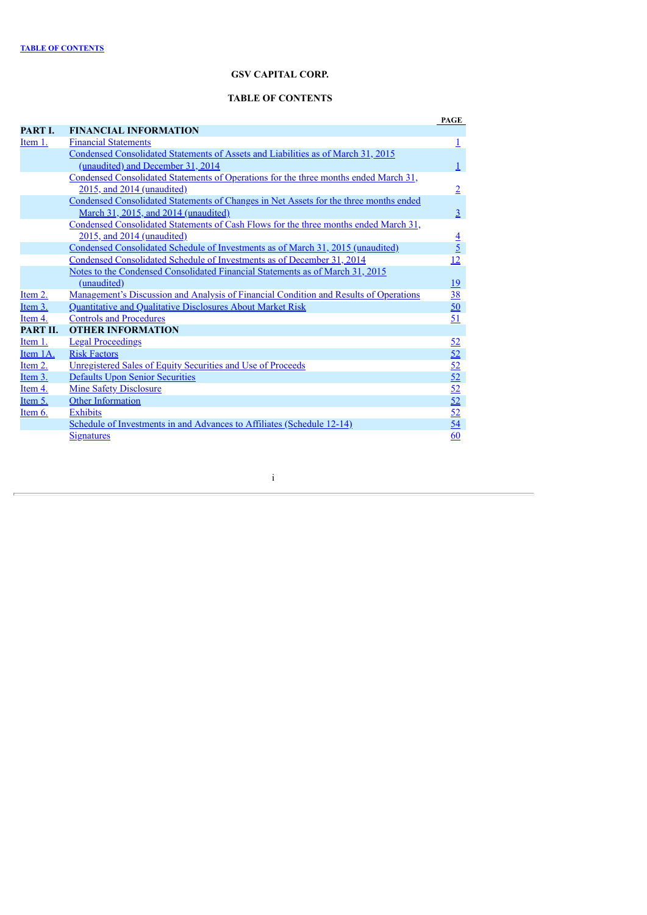# **GSV CAPITAL CORP.**

# **TABLE OF CONTENTS**

<span id="page-1-0"></span>

|                     |                                                                                              | PAGE                               |
|---------------------|----------------------------------------------------------------------------------------------|------------------------------------|
| <b>PART L</b>       | <b>FINANCIAL INFORMATION</b>                                                                 |                                    |
| Item 1.             | <b>Financial Statements</b>                                                                  | <u>1</u>                           |
|                     | Condensed Consolidated Statements of Assets and Liabilities as of March 31, 2015             |                                    |
|                     | (unaudited) and December 31, 2014                                                            | $\perp$                            |
|                     | Condensed Consolidated Statements of Operations for the three months ended March 31,         |                                    |
|                     | 2015, and 2014 (unaudited)                                                                   | $\overline{2}$                     |
|                     | Condensed Consolidated Statements of Changes in Net Assets for the three months ended        |                                    |
|                     | March 31, 2015, and 2014 (unaudited)                                                         | $\overline{3}$                     |
|                     | Condensed Consolidated Statements of Cash Flows for the three months ended March 31,         |                                    |
|                     | 2015, and 2014 (unaudited)                                                                   | $\frac{4}{5}$                      |
|                     | <u>Condensed Consolidated Schedule of Investments as of March 31, 2015 (unaudited)</u>       |                                    |
|                     | Condensed Consolidated Schedule of Investments as of December 31, 2014                       | 12                                 |
|                     | Notes to the Condensed Consolidated Financial Statements as of March 31, 2015                |                                    |
|                     | (unaudited)                                                                                  | <u>19</u>                          |
| Item 2.             | <u>Management's Discussion and Analysis of Financial Condition and Results of Operations</u> | $\frac{38}{50}$                    |
| Item 3.             | Quantitative and Qualitative Disclosures About Market Risk                                   |                                    |
| Item 4.             | <b>Controls and Procedures</b>                                                               | 51                                 |
| PART II.            | <b>OTHER INFORMATION</b>                                                                     |                                    |
| Item <sub>1</sub> . | <b>Legal Proceedings</b>                                                                     |                                    |
| Item 1A.            | <b>Risk Factors</b>                                                                          |                                    |
| Item 2.             | <b>Unregistered Sales of Equity Securities and Use of Proceeds</b>                           | $rac{52}{52}$<br>$rac{52}{52}$     |
| Item 3.             | <b>Defaults Upon Senior Securities</b>                                                       |                                    |
| Item 4.             | <b>Mine Safety Disclosure</b>                                                                |                                    |
| Item 5.             | Other Information                                                                            |                                    |
| Item $6.$           | <b>Exhibits</b>                                                                              | $\frac{52}{52}$<br>$\frac{52}{54}$ |
|                     | Schedule of Investments in and Advances to Affiliates (Schedule 12-14)                       |                                    |
|                     | <b>Signatures</b>                                                                            | 60                                 |

i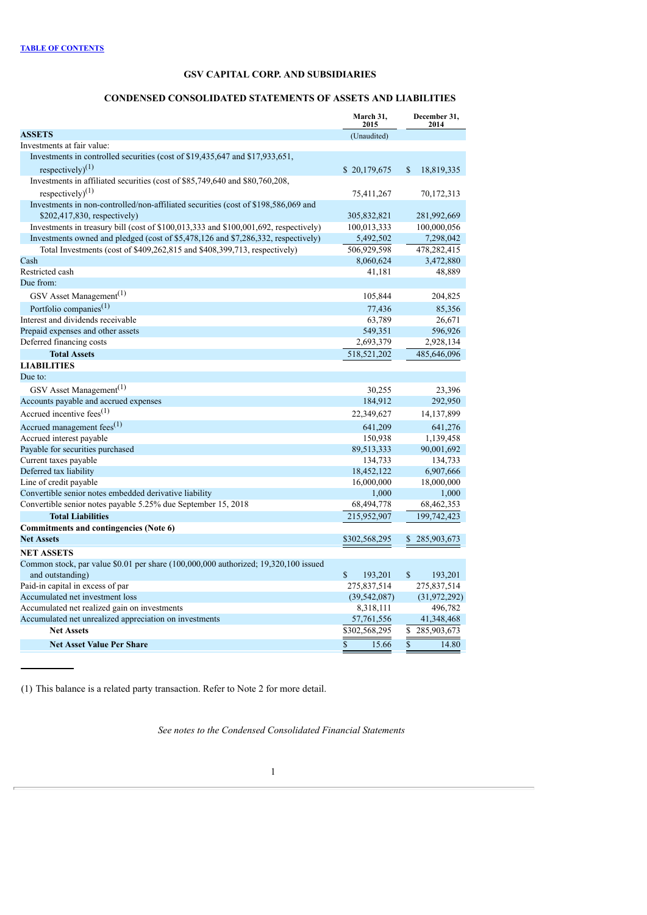# **CONDENSED CONSOLIDATED STATEMENTS OF ASSETS AND LIABILITIES**

<span id="page-2-1"></span><span id="page-2-0"></span>

|                                                                                                         | March 31,<br>2015                | December 31,<br>2014             |
|---------------------------------------------------------------------------------------------------------|----------------------------------|----------------------------------|
| <b>ASSETS</b>                                                                                           | (Unaudited)                      |                                  |
| Investments at fair value:                                                                              |                                  |                                  |
| Investments in controlled securities (cost of \$19,435,647 and \$17,933,651,                            |                                  |                                  |
| respectively) <sup>(1)</sup>                                                                            | \$20,179,675                     | $\mathbf S$<br>18,819,335        |
| Investments in affiliated securities (cost of \$85,749,640 and \$80,760,208,                            |                                  |                                  |
| respectively $(1)$                                                                                      | 75,411,267                       | 70, 172, 313                     |
| Investments in non-controlled/non-affiliated securities (cost of \$198,586,069 and                      |                                  |                                  |
| $$202,417,830$ , respectively)                                                                          | 305,832,821                      | 281,992,669                      |
| Investments in treasury bill (cost of \$100,013,333 and \$100,001,692, respectively)                    | 100,013,333                      | 100,000,056                      |
| Investments owned and pledged (cost of \$5,478,126 and \$7,286,332, respectively)                       | 5,492,502                        | 7,298,042                        |
| Total Investments (cost of \$409,262,815 and \$408,399,713, respectively)                               | 506,929,598                      | 478,282,415                      |
| Cash                                                                                                    | 8,060,624                        | 3,472,880                        |
| Restricted cash                                                                                         | 41,181                           | 48,889                           |
| Due from:                                                                                               |                                  |                                  |
| GSV Asset Management <sup>(1)</sup>                                                                     | 105,844                          | 204,825                          |
| Portfolio companies <sup>(1)</sup>                                                                      | 77,436                           | 85,356                           |
| Interest and dividends receivable                                                                       | 63,789                           | 26,671                           |
| Prepaid expenses and other assets                                                                       | 549,351                          | 596,926                          |
| Deferred financing costs                                                                                | 2,693,379                        | 2,928,134                        |
| <b>Total Assets</b>                                                                                     | 518,521,202                      | 485,646,096                      |
| <b>LIABILITIES</b>                                                                                      |                                  |                                  |
| Due to:                                                                                                 |                                  |                                  |
| GSV Asset Management <sup>(1)</sup>                                                                     | 30,255                           | 23,396                           |
| Accounts payable and accrued expenses                                                                   | 184,912                          | 292,950                          |
| Accrued incentive fees $(1)$                                                                            | 22,349,627                       | 14, 137, 899                     |
| Accrued management fees <sup>(1)</sup>                                                                  | 641,209                          | 641,276                          |
| Accrued interest payable                                                                                | 150,938                          | 1,139,458                        |
| Payable for securities purchased                                                                        | 89,513,333                       | 90,001,692                       |
| Current taxes payable                                                                                   | 134,733                          | 134,733                          |
| Deferred tax liability                                                                                  | 18,452,122                       | 6,907,666                        |
| Line of credit payable                                                                                  | 16,000,000                       | 18,000,000                       |
| Convertible senior notes embedded derivative liability                                                  | 1,000                            | 1,000                            |
| Convertible senior notes payable 5.25% due September 15, 2018                                           | 68,494,778                       | 68,462,353                       |
| <b>Total Liabilities</b>                                                                                | 215,952,907                      | 199,742,423                      |
| Commitments and contingencies (Note 6)                                                                  |                                  |                                  |
| <b>Net Assets</b>                                                                                       | \$302,568,295                    | 285,903,673<br>\$                |
| <b>NET ASSETS</b>                                                                                       |                                  |                                  |
| Common stock, par value \$0.01 per share (100,000,000 authorized; 19,320,100 issued<br>and outstanding) | $\mathbb{S}$<br>193,201          | $\mathbb{S}$<br>193,201          |
| Paid-in capital in excess of par                                                                        | 275,837,514                      | 275,837,514                      |
| Accumulated net investment loss                                                                         | (39, 542, 087)                   | (31, 972, 292)                   |
| Accumulated net realized gain on investments                                                            | 8,318,111                        | 496,782                          |
| Accumulated net unrealized appreciation on investments                                                  | 57,761,556                       | 41,348,468                       |
| <b>Net Assets</b>                                                                                       | \$302,568,295                    | \$<br>285,903,673                |
| <b>Net Asset Value Per Share</b>                                                                        | $\overline{\mathbb{S}}$<br>15.66 | $\overline{\mathbb{S}}$<br>14.80 |
|                                                                                                         |                                  |                                  |

(1) This balance is a related party transaction. Refer to Note 2 for more detail.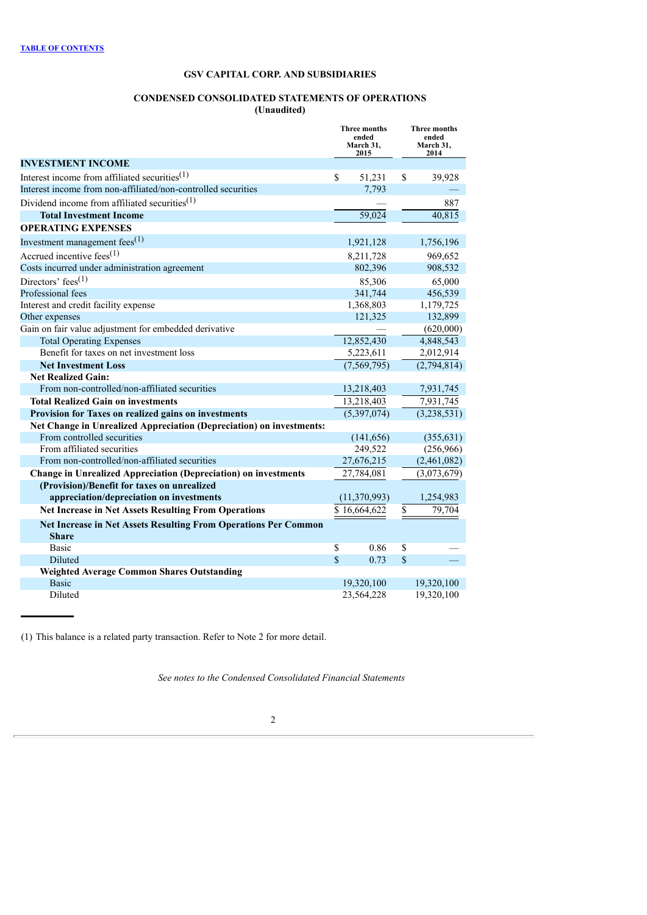## **CONDENSED CONSOLIDATED STATEMENTS OF OPERATIONS (Unaudited)**

<span id="page-3-0"></span>

|                                                                        | Three months<br>ended<br>March 31,<br>2015 |                     |               | <b>Three months</b><br>ended<br>March 31,<br>2014 |
|------------------------------------------------------------------------|--------------------------------------------|---------------------|---------------|---------------------------------------------------|
| <b>INVESTMENT INCOME</b>                                               |                                            |                     |               |                                                   |
| Interest income from affiliated securities <sup>(1)</sup>              | \$                                         | 51,231              | \$            | 39,928                                            |
| Interest income from non-affiliated/non-controlled securities          |                                            | 7,793               |               |                                                   |
| Dividend income from affiliated securities <sup>(1)</sup>              |                                            |                     |               | 887                                               |
| <b>Total Investment Income</b>                                         |                                            | $\overline{59,024}$ |               | 40,815                                            |
| <b>OPERATING EXPENSES</b>                                              |                                            |                     |               |                                                   |
| Investment management fees $^{(1)}$                                    |                                            | 1,921,128           |               | 1,756,196                                         |
| Accrued incentive fees $(1)$                                           |                                            | 8,211,728           |               | 969,652                                           |
| Costs incurred under administration agreement                          |                                            | 802,396             |               | 908,532                                           |
| Directors' fees <sup>(1)</sup>                                         |                                            | 85,306              |               | 65,000                                            |
| Professional fees                                                      |                                            | 341,744             |               | 456,539                                           |
| Interest and credit facility expense                                   |                                            | 1,368,803           |               | 1,179,725                                         |
| Other expenses                                                         |                                            | 121,325             |               | 132,899                                           |
| Gain on fair value adjustment for embedded derivative                  |                                            |                     |               | (620,000)                                         |
| <b>Total Operating Expenses</b>                                        |                                            | 12,852,430          |               | 4,848,543                                         |
| Benefit for taxes on net investment loss                               |                                            | 5,223,611           |               | 2,012,914                                         |
| <b>Net Investment Loss</b>                                             |                                            | (7, 569, 795)       |               | (2,794,814)                                       |
| <b>Net Realized Gain:</b>                                              |                                            |                     |               |                                                   |
| From non-controlled/non-affiliated securities                          |                                            | 13,218,403          |               | 7,931,745                                         |
| <b>Total Realized Gain on investments</b>                              |                                            | 13,218,403          |               | 7,931,745                                         |
| Provision for Taxes on realized gains on investments                   |                                            | (5,397,074)         |               | (3, 238, 531)                                     |
| Net Change in Unrealized Appreciation (Depreciation) on investments:   |                                            |                     |               |                                                   |
| From controlled securities                                             |                                            | (141, 656)          |               | (355, 631)                                        |
| From affiliated securities                                             |                                            | 249,522             |               | (256,966)                                         |
| From non-controlled/non-affiliated securities                          |                                            | 27,676,215          |               | (2,461,082)                                       |
| <b>Change in Unrealized Appreciation (Depreciation) on investments</b> |                                            | 27,784,081          |               | (3,073,679)                                       |
| (Provision)/Benefit for taxes on unrealized                            |                                            |                     |               |                                                   |
| appreciation/depreciation on investments                               |                                            | (11, 370, 993)      |               | 1,254,983                                         |
| <b>Net Increase in Net Assets Resulting From Operations</b>            |                                            | \$16,664,622        | \$            | 79.704                                            |
| <b>Net Increase in Net Assets Resulting From Operations Per Common</b> |                                            |                     |               |                                                   |
| <b>Share</b>                                                           |                                            |                     |               |                                                   |
| <b>Basic</b>                                                           | \$                                         | 0.86                | \$            |                                                   |
| Diluted                                                                | $\mathcal{S}$                              | 0.73                | $\mathbf{\$}$ |                                                   |
| <b>Weighted Average Common Shares Outstanding</b>                      |                                            |                     |               |                                                   |
| <b>Basic</b>                                                           |                                            | 19,320,100          |               | 19,320,100                                        |
| Diluted                                                                |                                            | 23,564,228          |               | 19,320,100                                        |

(1) This balance is a related party transaction. Refer to Note 2 for more detail.

*See notes to the Condensed Consolidated Financial Statements*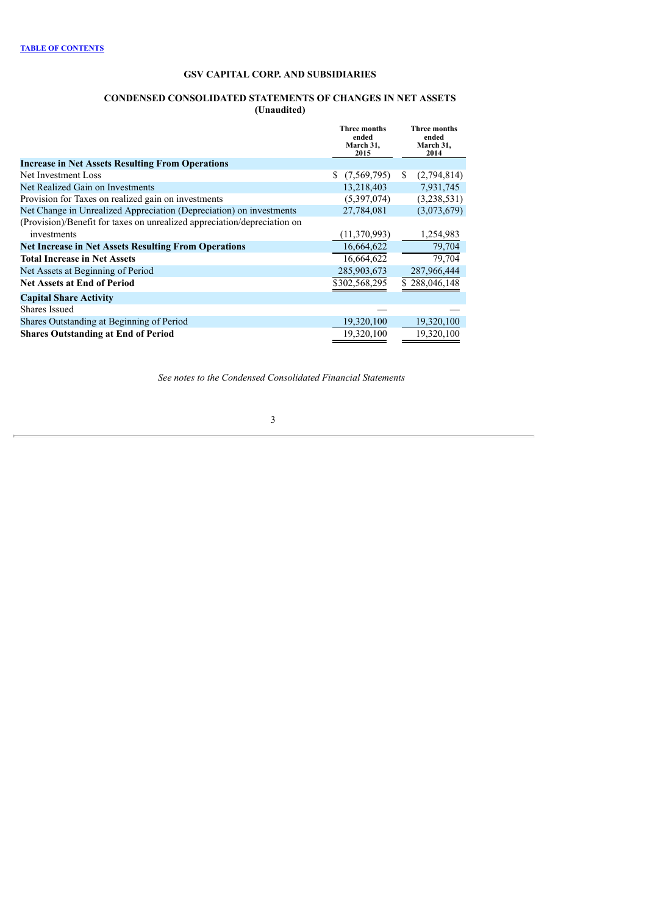## **CONDENSED CONSOLIDATED STATEMENTS OF CHANGES IN NET ASSETS (Unaudited)**

<span id="page-4-0"></span>

|                                                                          | Three months<br>ended<br>March 31,<br>2015 | <b>Three months</b><br>ended<br>March 31,<br>2014 |
|--------------------------------------------------------------------------|--------------------------------------------|---------------------------------------------------|
| <b>Increase in Net Assets Resulting From Operations</b>                  |                                            |                                                   |
| Net Investment Loss                                                      | (7,569,795)<br>S.                          | (2,794,814)<br>S.                                 |
| Net Realized Gain on Investments                                         | 13,218,403                                 | 7,931,745                                         |
| Provision for Taxes on realized gain on investments                      | (5,397,074)                                | (3,238,531)                                       |
| Net Change in Unrealized Appreciation (Depreciation) on investments      | 27,784,081                                 | (3,073,679)                                       |
| (Provision)/Benefit for taxes on unrealized appreciation/depreciation on |                                            |                                                   |
| investments                                                              | (11, 370, 993)                             | 1,254,983                                         |
| <b>Net Increase in Net Assets Resulting From Operations</b>              | 16,664,622                                 | 79,704                                            |
| <b>Total Increase in Net Assets</b>                                      | 16,664,622                                 | 79,704                                            |
| Net Assets at Beginning of Period                                        | 285,903,673                                | 287,966,444                                       |
| <b>Net Assets at End of Period</b>                                       | \$302,568,295                              | \$288,046,148                                     |
| <b>Capital Share Activity</b>                                            |                                            |                                                   |
| <b>Shares Issued</b>                                                     |                                            |                                                   |
| Shares Outstanding at Beginning of Period                                | 19,320,100                                 | 19,320,100                                        |
| <b>Shares Outstanding at End of Period</b>                               | 19,320,100                                 | 19,320,100                                        |

*See notes to the Condensed Consolidated Financial Statements*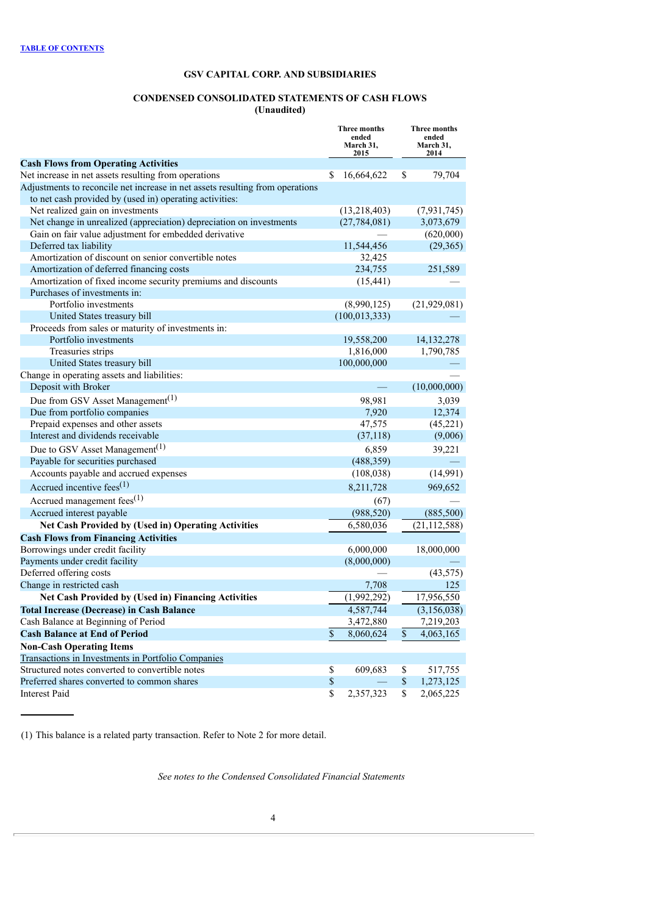## **CONDENSED CONSOLIDATED STATEMENTS OF CASH FLOWS (Unaudited)**

<span id="page-5-0"></span>

|                                                                               | Three months<br>ended<br>March 31,<br>2015 |                                | <b>Three months</b><br>ended<br>March 31,<br>2014 |                |
|-------------------------------------------------------------------------------|--------------------------------------------|--------------------------------|---------------------------------------------------|----------------|
| <b>Cash Flows from Operating Activities</b>                                   |                                            |                                |                                                   |                |
| Net increase in net assets resulting from operations                          | S                                          | 16,664,622                     | S                                                 | 79,704         |
| Adjustments to reconcile net increase in net assets resulting from operations |                                            |                                |                                                   |                |
| to net cash provided by (used in) operating activities:                       |                                            |                                |                                                   |                |
| Net realized gain on investments                                              |                                            | (13,218,403)                   |                                                   | (7, 931, 745)  |
| Net change in unrealized (appreciation) depreciation on investments           |                                            | (27, 784, 081)                 |                                                   | 3,073,679      |
| Gain on fair value adjustment for embedded derivative                         |                                            |                                |                                                   | (620,000)      |
| Deferred tax liability                                                        |                                            | 11,544,456                     |                                                   | (29, 365)      |
| Amortization of discount on senior convertible notes                          |                                            | 32,425                         |                                                   |                |
| Amortization of deferred financing costs                                      |                                            | 234,755                        |                                                   | 251,589        |
| Amortization of fixed income security premiums and discounts                  |                                            | (15, 441)                      |                                                   |                |
| Purchases of investments in:<br>Portfolio investments                         |                                            |                                |                                                   |                |
| United States treasury bill                                                   |                                            | (8,990,125)<br>(100, 013, 333) |                                                   | (21,929,081)   |
| Proceeds from sales or maturity of investments in:                            |                                            |                                |                                                   |                |
| Portfolio investments                                                         |                                            | 19,558,200                     |                                                   | 14,132,278     |
| Treasuries strips                                                             |                                            | 1,816,000                      |                                                   | 1,790,785      |
| United States treasury bill                                                   |                                            | 100,000,000                    |                                                   |                |
| Change in operating assets and liabilities:                                   |                                            |                                |                                                   |                |
| Deposit with Broker                                                           |                                            |                                |                                                   | (10,000,000)   |
| Due from GSV Asset Management <sup>(1)</sup>                                  |                                            | 98,981                         |                                                   | 3,039          |
| Due from portfolio companies                                                  |                                            | 7,920                          |                                                   | 12,374         |
| Prepaid expenses and other assets                                             |                                            | 47,575                         |                                                   | (45, 221)      |
| Interest and dividends receivable                                             |                                            | (37, 118)                      |                                                   | (9,006)        |
| Due to GSV Asset Management <sup>(1)</sup>                                    |                                            | 6,859                          |                                                   | 39,221         |
| Payable for securities purchased                                              |                                            | (488, 359)                     |                                                   |                |
| Accounts payable and accrued expenses                                         |                                            | (108, 038)                     |                                                   | (14,991)       |
| Accrued incentive fees <sup>(1)</sup>                                         |                                            | 8,211,728                      |                                                   | 969,652        |
| Accrued management fees $(1)$                                                 |                                            |                                |                                                   |                |
| Accrued interest payable                                                      |                                            | (67)<br>(988, 520)             |                                                   | (885,500)      |
| Net Cash Provided by (Used in) Operating Activities                           |                                            | 6,580,036                      |                                                   | (21, 112, 588) |
| <b>Cash Flows from Financing Activities</b>                                   |                                            |                                |                                                   |                |
| Borrowings under credit facility                                              |                                            | 6,000,000                      |                                                   | 18,000,000     |
| Payments under credit facility                                                |                                            | (8,000,000)                    |                                                   |                |
| Deferred offering costs                                                       |                                            |                                |                                                   | (43, 575)      |
| Change in restricted cash                                                     |                                            | 7,708                          |                                                   | 125            |
| Net Cash Provided by (Used in) Financing Activities                           |                                            | (1,992,292)                    |                                                   | 17,956,550     |
| <b>Total Increase (Decrease) in Cash Balance</b>                              |                                            | 4,587,744                      |                                                   | (3, 156, 038)  |
| Cash Balance at Beginning of Period                                           |                                            | 3,472,880                      |                                                   | 7,219,203      |
| <b>Cash Balance at End of Period</b>                                          | \$                                         | 8,060,624                      | \$                                                | 4,063,165      |
| <b>Non-Cash Operating Items</b>                                               |                                            |                                |                                                   |                |
| Transactions in Investments in Portfolio Companies                            |                                            |                                |                                                   |                |
| Structured notes converted to convertible notes                               | \$                                         | 609,683                        | \$                                                | 517,755        |
| Preferred shares converted to common shares                                   | $\boldsymbol{\$}$                          |                                | $\mathbb{S}$                                      | 1,273,125      |
| <b>Interest Paid</b>                                                          | \$                                         | 2,357,323                      | \$                                                | 2,065,225      |

(1) This balance is a related party transaction. Refer to Note 2 for more detail.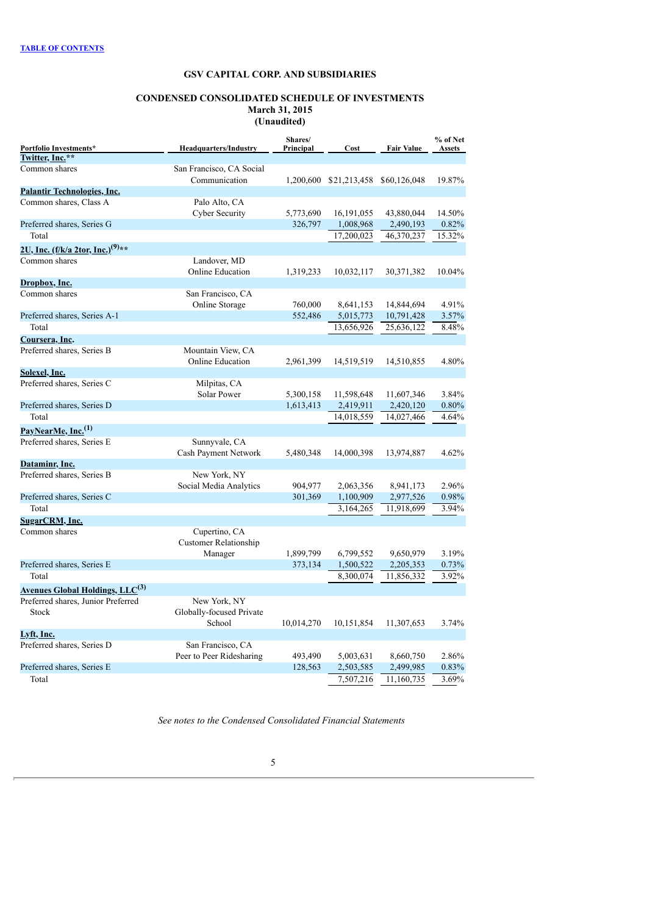### **CONDENSED CONSOLIDATED SCHEDULE OF INVESTMENTS March 31, 2015 (Unaudited)**

<span id="page-6-0"></span>

|                                                               |                                           | Shares/    |              |                   | % of Net      |
|---------------------------------------------------------------|-------------------------------------------|------------|--------------|-------------------|---------------|
| Portfolio Investments*<br>Twitter, Inc.**                     | <b>Headquarters/Industry</b>              | Principal  | Cost         | <b>Fair Value</b> | <b>Assets</b> |
|                                                               |                                           |            |              |                   |               |
| Common shares                                                 | San Francisco, CA Social<br>Communication |            |              |                   | 19.87%        |
| <b>Palantir Technologies, Inc.</b>                            |                                           | 1,200,600  | \$21,213,458 | \$60,126,048      |               |
| Common shares, Class A                                        | Palo Alto, CA                             |            |              |                   |               |
|                                                               | Cyber Security                            | 5,773,690  | 16,191,055   | 43,880,044        | 14.50%        |
| Preferred shares, Series G                                    |                                           | 326,797    | 1,008,968    | 2,490,193         | 0.82%         |
| Total                                                         |                                           |            | 17,200,023   | 46,370,237        | 15.32%        |
|                                                               |                                           |            |              |                   |               |
| 2U, Inc. (f/k/a 2tor, Inc.) <sup>(9)**</sup><br>Common shares |                                           |            |              |                   |               |
|                                                               | Landover, MD<br><b>Online Education</b>   | 1,319,233  | 10,032,117   | 30,371,382        | 10.04%        |
| Dropbox, Inc.                                                 |                                           |            |              |                   |               |
| Common shares                                                 | San Francisco, CA                         |            |              |                   |               |
|                                                               | Online Storage                            | 760,000    | 8,641,153    | 14,844,694        | 4.91%         |
| Preferred shares, Series A-1                                  |                                           | 552,486    | 5,015,773    | 10,791,428        | 3.57%         |
| Total                                                         |                                           |            | 13,656,926   | 25,636,122        | 8.48%         |
| Coursera, Inc.                                                |                                           |            |              |                   |               |
| Preferred shares, Series B                                    | Mountain View, CA                         |            |              |                   |               |
|                                                               | <b>Online Education</b>                   | 2,961,399  | 14,519,519   | 14,510,855        | 4.80%         |
| Solexel, Inc.                                                 |                                           |            |              |                   |               |
| Preferred shares, Series C                                    | Milpitas, CA                              |            |              |                   |               |
|                                                               | <b>Solar Power</b>                        | 5,300,158  | 11,598,648   | 11,607,346        | 3.84%         |
| Preferred shares, Series D                                    |                                           | 1,613,413  | 2,419,911    | 2,420,120         | 0.80%         |
| Total                                                         |                                           |            | 14,018,559   | 14,027,466        | 4.64%         |
| PayNearMe, Inc. <sup>(1)</sup>                                |                                           |            |              |                   |               |
| Preferred shares, Series E                                    | Sunnyvale, CA                             |            |              |                   |               |
|                                                               | Cash Payment Network                      | 5,480,348  | 14,000,398   | 13,974,887        | 4.62%         |
| Dataminr, Inc.                                                |                                           |            |              |                   |               |
| Preferred shares, Series B                                    | New York, NY                              |            |              |                   |               |
|                                                               | Social Media Analytics                    | 904,977    | 2,063,356    | 8,941,173         | 2.96%         |
| Preferred shares, Series C                                    |                                           | 301,369    | 1,100,909    | 2,977,526         | 0.98%         |
| Total                                                         |                                           |            | 3,164,265    | 11,918,699        | 3.94%         |
| SugarCRM, Inc.                                                |                                           |            |              |                   |               |
| Common shares                                                 | Cupertino, CA                             |            |              |                   |               |
|                                                               | <b>Customer Relationship</b>              | 1,899,799  | 6,799,552    | 9,650,979         | 3.19%         |
| Preferred shares, Series E                                    | Manager                                   | 373,134    | 1,500,522    | 2,205,353         | 0.73%         |
| Total                                                         |                                           |            | 8,300,074    | 11,856,332        | 3.92%         |
|                                                               |                                           |            |              |                   |               |
| <b>Avenues Global Holdings, LLC<sup>(3)</sup></b>             |                                           |            |              |                   |               |
| Preferred shares, Junior Preferred                            | New York, NY                              |            |              |                   |               |
| <b>Stock</b>                                                  | Globally-focused Private<br>School        | 10,014,270 | 10,151,854   | 11,307,653        | 3.74%         |
| Lyft, Inc.                                                    |                                           |            |              |                   |               |
| Preferred shares, Series D                                    | San Francisco, CA                         |            |              |                   |               |
|                                                               | Peer to Peer Ridesharing                  | 493,490    | 5,003,631    | 8,660,750         | 2.86%         |
| Preferred shares, Series E                                    |                                           | 128,563    | 2,503,585    | 2,499,985         | 0.83%         |
| Total                                                         |                                           |            | 7,507,216    | 11,160,735        | 3.69%         |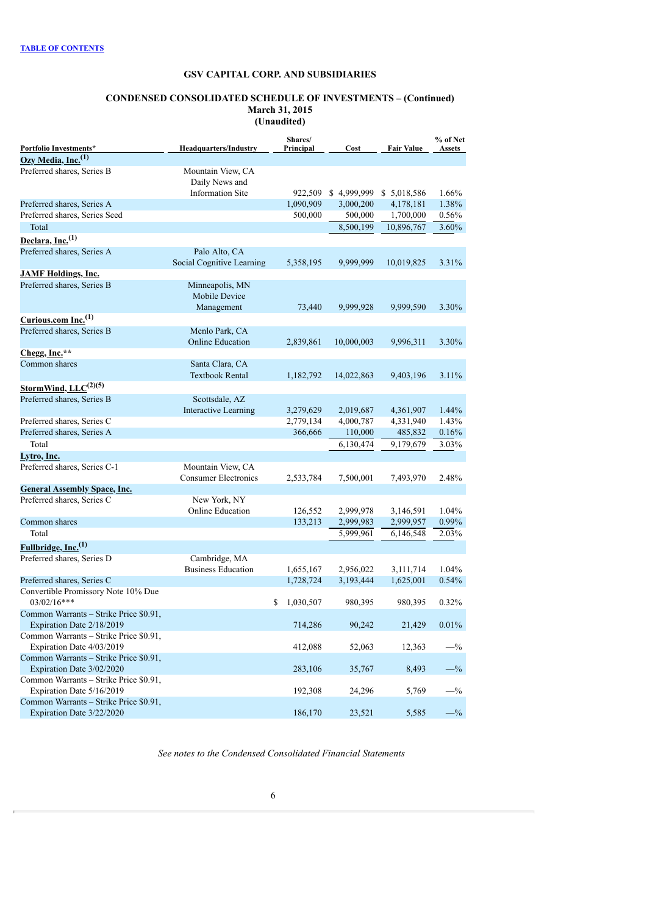### **CONDENSED CONSOLIDATED SCHEDULE OF INVESTMENTS – (Continued) March 31, 2015 (Unaudited)**

| Portfolio Investments*                                              | <b>Headquarters/Industry</b>        | Shares/<br>Principal | Cost        | <b>Fair Value</b> | % of Net<br>Assets |
|---------------------------------------------------------------------|-------------------------------------|----------------------|-------------|-------------------|--------------------|
| Ozy Media, Inc. <sup>(1)</sup>                                      |                                     |                      |             |                   |                    |
| Preferred shares. Series B                                          | Mountain View, CA<br>Daily News and |                      |             |                   |                    |
|                                                                     | <b>Information Site</b>             | 922,509              | \$4,999,999 | \$5,018,586       | 1.66%              |
| Preferred shares, Series A                                          |                                     | 1,090,909            | 3,000,200   | 4,178,181         | 1.38%              |
| Preferred shares, Series Seed                                       |                                     | 500,000              | 500,000     | 1,700,000         | 0.56%              |
| Total                                                               |                                     |                      | 8,500,199   | 10,896,767        | 3.60%              |
| Declara, Inc. <sup>(1)</sup>                                        |                                     |                      |             |                   |                    |
| Preferred shares, Series A                                          | Palo Alto, CA                       |                      |             |                   |                    |
|                                                                     | Social Cognitive Learning           | 5,358,195            | 9,999,999   | 10,019,825        | 3.31%              |
| <b>JAMF Holdings, Inc.</b>                                          |                                     |                      |             |                   |                    |
| Preferred shares, Series B                                          | Minneapolis, MN<br>Mobile Device    |                      |             |                   |                    |
|                                                                     | Management                          | 73,440               | 9,999,928   | 9,999,590         | 3.30%              |
| Curious.com Inc. <sup>(1)</sup>                                     |                                     |                      |             |                   |                    |
| Preferred shares, Series B                                          | Menlo Park, CA                      |                      |             |                   |                    |
|                                                                     | <b>Online Education</b>             | 2,839,861            | 10,000,003  | 9,996,311         | 3.30%              |
| Chegg, Inc.**                                                       |                                     |                      |             |                   |                    |
| Common shares                                                       | Santa Clara, CA                     |                      |             |                   |                    |
|                                                                     | <b>Textbook Rental</b>              | 1,182,792            | 14,022,863  | 9,403,196         | 3.11%              |
| StormWind, LLC <sup>(2)(5)</sup>                                    |                                     |                      |             |                   |                    |
| Preferred shares, Series B                                          | Scottsdale, AZ                      |                      |             |                   |                    |
|                                                                     | Interactive Learning                | 3,279,629            | 2,019,687   | 4,361,907         | 1.44%              |
| Preferred shares, Series C                                          |                                     | 2,779,134            | 4,000,787   | 4,331,940         | 1.43%              |
| Preferred shares, Series A                                          |                                     | 366,666              | 110,000     | 485,832           | 0.16%              |
| Total                                                               |                                     |                      | 6,130,474   | 9,179,679         | 3.03%              |
| Lytro, Inc.                                                         |                                     |                      |             |                   |                    |
| Preferred shares, Series C-1                                        | Mountain View, CA                   |                      |             |                   |                    |
|                                                                     | <b>Consumer Electronics</b>         | 2,533,784            | 7,500,001   | 7,493,970         | 2.48%              |
| <b>General Assembly Space, Inc.</b>                                 |                                     |                      |             |                   |                    |
| Preferred shares, Series C                                          | New York, NY                        |                      |             |                   |                    |
|                                                                     | Online Education                    | 126,552              | 2,999,978   | 3,146,591         | 1.04%              |
| Common shares                                                       |                                     | 133,213              | 2,999,983   | 2,999,957         | 0.99%              |
| Total                                                               |                                     |                      | 5,999,961   | 6,146,548         | 2.03%              |
| Fullbridge, Inc. <sup>(1)</sup>                                     |                                     |                      |             |                   |                    |
| Preferred shares, Series D                                          | Cambridge, MA                       |                      |             |                   |                    |
|                                                                     | <b>Business Education</b>           | 1,655,167            | 2,956,022   | 3,111,714         | 1.04%              |
| Preferred shares, Series C                                          |                                     | 1,728,724            | 3,193,444   | 1,625,001         | 0.54%              |
| Convertible Promissory Note 10% Due<br>$03/02/16***$                |                                     |                      |             |                   |                    |
|                                                                     |                                     | \$<br>1,030,507      | 980,395     | 980,395           | 0.32%              |
| Common Warrants - Strike Price \$0.91,<br>Expiration Date 2/18/2019 |                                     | 714,286              | 90,242      | 21,429            | 0.01%              |
| Common Warrants - Strike Price \$0.91,                              |                                     |                      |             |                   |                    |
| Expiration Date 4/03/2019                                           |                                     | 412,088              | 52,063      | 12,363            | $-$ %              |
| Common Warrants - Strike Price \$0.91,                              |                                     |                      |             |                   |                    |
| Expiration Date 3/02/2020                                           |                                     | 283,106              | 35,767      | 8,493             | $-$ %              |
| Common Warrants - Strike Price \$0.91,                              |                                     |                      |             |                   |                    |
| Expiration Date 5/16/2019                                           |                                     | 192,308              | 24,296      | 5,769             | $-$ %              |
| Common Warrants - Strike Price \$0.91,<br>Expiration Date 3/22/2020 |                                     | 186,170              | 23,521      | 5,585             | $-$ %              |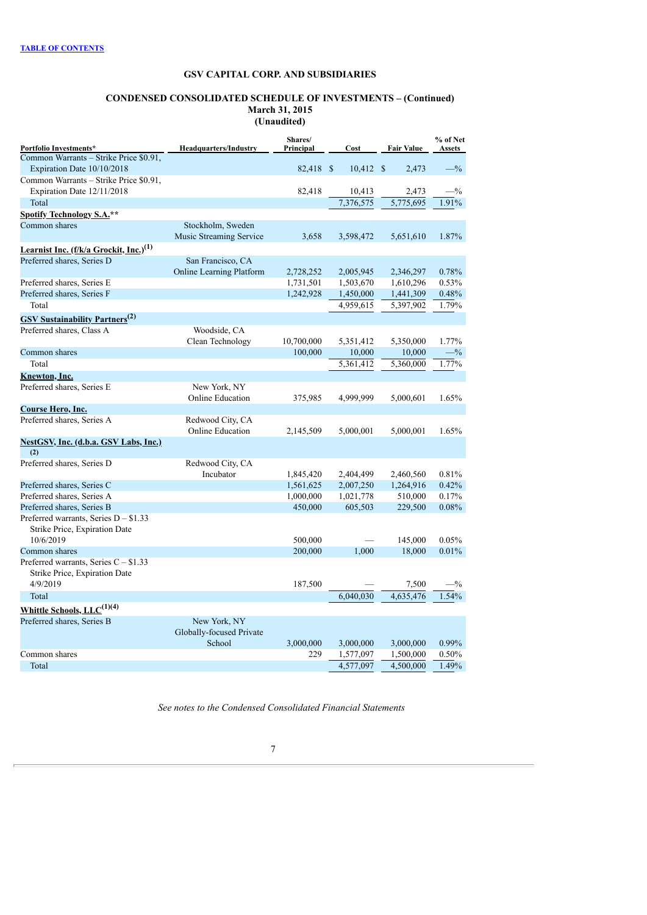### **CONDENSED CONSOLIDATED SCHEDULE OF INVESTMENTS – (Continued) March 31, 2015 (Unaudited)**

| Portfolio Investments*                             | <b>Headquarters/Industry</b>    | Shares/<br>Principal | Cost        | <b>Fair Value</b> | % of Net<br>Assets |
|----------------------------------------------------|---------------------------------|----------------------|-------------|-------------------|--------------------|
| Common Warrants - Strike Price \$0.91,             |                                 |                      |             |                   |                    |
| Expiration Date 10/10/2018                         |                                 | 82,418 \$            | $10,412$ \$ | 2,473             | $-$ %              |
| Common Warrants - Strike Price \$0.91,             |                                 |                      |             |                   |                    |
| Expiration Date 12/11/2018                         |                                 | 82,418               | 10,413      | 2,473             | $-$ %              |
| Total                                              |                                 |                      | 7,376,575   | 5,775,695         | 1.91%              |
| Spotify Technology S.A.**                          |                                 |                      |             |                   |                    |
| Common shares                                      | Stockholm, Sweden               |                      |             |                   |                    |
|                                                    | Music Streaming Service         | 3,658                | 3,598,472   | 5,651,610         | 1.87%              |
| Learnist Inc. (f/k/a Grockit, Inc.) <sup>(1)</sup> |                                 |                      |             |                   |                    |
| Preferred shares, Series D                         | San Francisco, CA               |                      |             |                   |                    |
|                                                    | <b>Online Learning Platform</b> | 2,728,252            | 2,005,945   | 2,346,297         | 0.78%              |
| Preferred shares, Series E                         |                                 | 1,731,501            | 1,503,670   | 1,610,296         | 0.53%              |
| Preferred shares, Series F                         |                                 | 1,242,928            | 1,450,000   | 1,441,309         | 0.48%              |
| Total                                              |                                 |                      | 4,959,615   | 5,397,902         | 1.79%              |
| <b>GSV Sustainability Partners</b> <sup>(2)</sup>  |                                 |                      |             |                   |                    |
| Preferred shares, Class A                          | Woodside, CA                    |                      |             |                   |                    |
|                                                    | Clean Technology                | 10,700,000           | 5,351,412   | 5,350,000         | 1.77%              |
| Common shares                                      |                                 | 100,000              | 10,000      | 10,000            | $-$ %              |
| Total                                              |                                 |                      | 5,361,412   | 5,360,000         | 1.77%              |
| Knewton, Inc.                                      |                                 |                      |             |                   |                    |
| Preferred shares, Series E                         | New York, NY                    |                      |             |                   |                    |
|                                                    | Online Education                | 375,985              | 4,999,999   | 5,000,601         | 1.65%              |
| Course Hero, Inc.                                  |                                 |                      |             |                   |                    |
| Preferred shares, Series A                         | Redwood City, CA                |                      |             |                   |                    |
|                                                    | <b>Online Education</b>         | 2,145,509            | 5,000,001   | 5,000,001         | 1.65%              |
| NestGSV, Inc. (d.b.a. GSV Labs, Inc.)              |                                 |                      |             |                   |                    |
| (2)                                                |                                 |                      |             |                   |                    |
| Preferred shares, Series D                         | Redwood City, CA                |                      |             |                   |                    |
|                                                    | Incubator                       | 1,845,420            | 2,404,499   | 2,460,560         | 0.81%              |
| Preferred shares, Series C                         |                                 | 1,561,625            | 2,007,250   | 1,264,916         | 0.42%              |
| Preferred shares, Series A                         |                                 | 1,000,000            | 1,021,778   | 510,000           | 0.17%              |
| Preferred shares, Series B                         |                                 | 450,000              | 605,503     | 229,500           | 0.08%              |
| Preferred warrants, Series $D - $1.33$             |                                 |                      |             |                   |                    |
| Strike Price, Expiration Date                      |                                 |                      |             |                   |                    |
| 10/6/2019                                          |                                 | 500,000              |             | 145,000           | 0.05%              |
| Common shares                                      |                                 | 200,000              | 1,000       | 18,000            | 0.01%              |
| Preferred warrants, Series $C - $1.33$             |                                 |                      |             |                   |                    |
| Strike Price, Expiration Date                      |                                 |                      |             |                   |                    |
| 4/9/2019                                           |                                 | 187,500              |             | 7,500             | $-$ %              |
| Total                                              |                                 |                      | 6,040,030   | 4,635,476         | 1.54%              |
| Whittle Schools, LLC <sup>(1)(4)</sup>             |                                 |                      |             |                   |                    |
| Preferred shares, Series B                         | New York, NY                    |                      |             |                   |                    |
|                                                    | Globally-focused Private        |                      |             |                   |                    |
|                                                    | School                          | 3,000,000            | 3,000,000   | 3,000,000         | 0.99%              |
| Common shares                                      |                                 | 229                  | 1,577,097   | 1,500,000         | 0.50%              |
| Total                                              |                                 |                      | 4,577,097   | 4,500,000         | 1.49%              |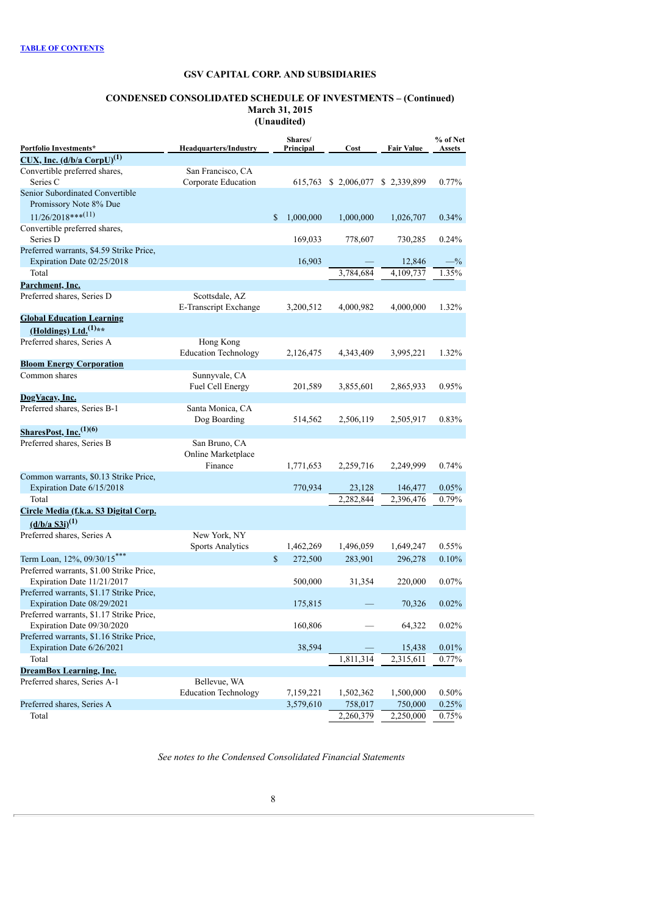### **CONDENSED CONSOLIDATED SCHEDULE OF INVESTMENTS – (Continued) March 31, 2015 (Unaudited)**

|                                                                        |                                          | Shares/                   |                                   |                   | % of Net      |
|------------------------------------------------------------------------|------------------------------------------|---------------------------|-----------------------------------|-------------------|---------------|
| Portfolio Investments*                                                 | <b>Headquarters/Industry</b>             | Principal                 | Cost                              | <b>Fair Value</b> | <b>Assets</b> |
| $CUX, Inc. (d/b/a [CorpU]^{(1)}$                                       |                                          |                           |                                   |                   |               |
| Convertible preferred shares,<br>Series C                              | San Francisco, CA<br>Corporate Education |                           | 615,763 \$ 2,006,077 \$ 2,339,899 |                   | 0.77%         |
| Senior Subordinated Convertible                                        |                                          |                           |                                   |                   |               |
| Promissory Note 8% Due                                                 |                                          |                           |                                   |                   |               |
| $11/26/2018***$ <sup>(11)</sup>                                        |                                          | $\mathbb{S}$<br>1,000,000 | 1,000,000                         | 1,026,707         | 0.34%         |
| Convertible preferred shares,                                          |                                          |                           |                                   |                   |               |
| Series D                                                               |                                          | 169,033                   | 778,607                           | 730,285           | 0.24%         |
| Preferred warrants, \$4.59 Strike Price,                               |                                          |                           |                                   |                   |               |
| Expiration Date 02/25/2018                                             |                                          | 16,903                    |                                   | 12,846            | $-$ %         |
| Total                                                                  |                                          |                           | 3,784,684                         | 4,109,737         | 1.35%         |
| Parchment, Inc.                                                        |                                          |                           |                                   |                   |               |
| Preferred shares, Series D                                             | Scottsdale, AZ                           |                           |                                   |                   |               |
|                                                                        | E-Transcript Exchange                    | 3,200,512                 | 4,000,982                         | 4,000,000         | 1.32%         |
| <b>Global Education Learning</b>                                       |                                          |                           |                                   |                   |               |
| (Holdings) Ltd. $(1)$ **                                               |                                          |                           |                                   |                   |               |
| Preferred shares, Series A                                             | Hong Kong<br><b>Education Technology</b> | 2,126,475                 | 4,343,409                         | 3,995,221         | 1.32%         |
| <b>Bloom Energy Corporation</b>                                        |                                          |                           |                                   |                   |               |
| Common shares                                                          | Sunnyvale, CA                            |                           |                                   |                   |               |
|                                                                        | Fuel Cell Energy                         | 201,589                   | 3,855,601                         | 2,865,933         | 0.95%         |
| DogVacay, Inc.                                                         |                                          |                           |                                   |                   |               |
| Preferred shares, Series B-1                                           | Santa Monica, CA                         |                           |                                   |                   |               |
|                                                                        | Dog Boarding                             | 514,562                   | 2,506,119                         | 2,505,917         | 0.83%         |
| SharesPost, Inc. <sup>(1)(6)</sup>                                     |                                          |                           |                                   |                   |               |
| Preferred shares, Series B                                             | San Bruno, CA                            |                           |                                   |                   |               |
|                                                                        | Online Marketplace                       |                           |                                   |                   |               |
|                                                                        | Finance                                  | 1,771,653                 | 2,259,716                         | 2,249,999         | 0.74%         |
| Common warrants, \$0.13 Strike Price,                                  |                                          |                           |                                   |                   |               |
| Expiration Date 6/15/2018                                              |                                          | 770,934                   | 23,128                            | 146,477           | 0.05%         |
| Total                                                                  |                                          |                           | 2,282,844                         | 2,396,476         | 0.79%         |
| Circle Media (f.k.a. S3 Digital Corp.                                  |                                          |                           |                                   |                   |               |
| $(d/b/a S3i)^{(1)}$                                                    |                                          |                           |                                   |                   |               |
| Preferred shares, Series A                                             | New York, NY                             |                           |                                   |                   |               |
|                                                                        | <b>Sports Analytics</b>                  | 1,462,269                 | 1,496,059                         | 1,649,247         | 0.55%         |
| Term Loan, 12%, 09/30/15***                                            |                                          | \$<br>272,500             | 283,901                           | 296,278           | 0.10%         |
| Preferred warrants, \$1.00 Strike Price,                               |                                          |                           |                                   |                   |               |
| Expiration Date 11/21/2017                                             |                                          | 500,000                   | 31,354                            | 220,000           | 0.07%         |
| Preferred warrants, \$1.17 Strike Price,                               |                                          |                           |                                   |                   |               |
| Expiration Date 08/29/2021                                             |                                          | 175,815                   |                                   | 70,326            | 0.02%         |
| Preferred warrants, \$1.17 Strike Price,                               |                                          |                           |                                   |                   |               |
| Expiration Date 09/30/2020<br>Preferred warrants, \$1.16 Strike Price, |                                          | 160,806                   |                                   | 64,322            | $0.02\%$      |
| Expiration Date 6/26/2021                                              |                                          | 38,594                    |                                   | 15,438            | 0.01%         |
| Total                                                                  |                                          |                           | 1,811,314                         | 2,315,611         | 0.77%         |
| <b>DreamBox Learning, Inc.</b>                                         |                                          |                           |                                   |                   |               |
| Preferred shares, Series A-1                                           | Bellevue, WA                             |                           |                                   |                   |               |
|                                                                        | <b>Education Technology</b>              | 7,159,221                 | 1,502,362                         | 1,500,000         | 0.50%         |
| Preferred shares, Series A                                             |                                          | 3,579,610                 | 758,017                           | 750,000           | 0.25%         |
| Total                                                                  |                                          |                           | 2,260,379                         | 2,250,000         | 0.75%         |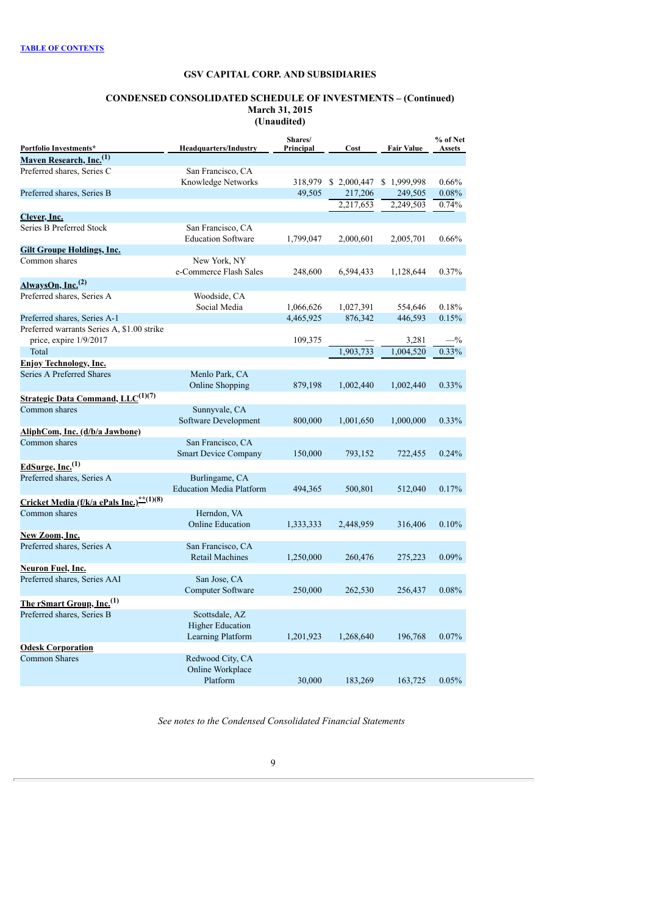### **CONDENSED CONSOLIDATED SCHEDULE OF INVESTMENTS – (Continued) March 31, 2015 (Unaudited)**

| Portfolio Investments*                               | <b>Headquarters/Industry</b>    | Shares/<br>Principal | Cost        | <b>Fair Value</b> | % of Net<br><b>Assets</b> |
|------------------------------------------------------|---------------------------------|----------------------|-------------|-------------------|---------------------------|
| Maven Research, Inc. <sup>(1)</sup>                  |                                 |                      |             |                   |                           |
| Preferred shares, Series C                           | San Francisco, CA               |                      |             |                   |                           |
|                                                      | Knowledge Networks              | 318,979              | \$2,000,447 | \$1,999,998       | 0.66%                     |
| Preferred shares, Series B                           |                                 | 49,505               | 217,206     | 249,505           | 0.08%                     |
|                                                      |                                 |                      | 2,217,653   | 2,249,503         | 0.74%                     |
| <u>Clever, Inc.</u>                                  |                                 |                      |             |                   |                           |
| Series B Preferred Stock                             | San Francisco, CA               |                      |             |                   |                           |
|                                                      | <b>Education Software</b>       | 1,799,047            | 2,000,601   | 2,005,701         | 0.66%                     |
| <b>Gilt Groupe Holdings, Inc.</b>                    |                                 |                      |             |                   |                           |
| Common shares                                        | New York, NY                    |                      |             |                   |                           |
|                                                      | e-Commerce Flash Sales          | 248,600              | 6,594,433   | 1,128,644         | 0.37%                     |
| AlwaysOn, Inc. <sup>(2)</sup>                        |                                 |                      |             |                   |                           |
| Preferred shares, Series A                           | Woodside, CA                    |                      |             |                   |                           |
|                                                      | Social Media                    | 1,066,626            | 1,027,391   | 554,646           | 0.18%                     |
| Preferred shares, Series A-1                         |                                 | 4,465,925            | 876,342     | 446,593           | 0.15%                     |
| Preferred warrants Series A, \$1.00 strike           |                                 |                      |             |                   |                           |
| price, expire 1/9/2017                               |                                 | 109,375              |             | 3,281             | $-$ %                     |
| Total                                                |                                 |                      | 1,903,733   | 1,004,520         | 0.33%                     |
| <b>Enjoy Technology, Inc.</b>                        |                                 |                      |             |                   |                           |
| Series A Preferred Shares                            | Menlo Park, CA                  |                      |             |                   |                           |
|                                                      | Online Shopping                 | 879,198              | 1,002,440   | 1,002,440         | 0.33%                     |
| <b>Strategic Data Command, LLC</b> <sup>(1)(7)</sup> |                                 |                      |             |                   |                           |
| Common shares                                        | Sunnyvale, CA                   |                      |             |                   |                           |
|                                                      | Software Development            | 800,000              | 1,001,650   | 1,000,000         | 0.33%                     |
| AliphCom, Inc. (d/b/a Jawbone)                       |                                 |                      |             |                   |                           |
| Common shares                                        | San Francisco, CA               |                      |             |                   |                           |
|                                                      | <b>Smart Device Company</b>     | 150,000              | 793,152     | 722,455           | 0.24%                     |
| EdSurge, Inc. $^{(1)}$                               |                                 |                      |             |                   |                           |
| Preferred shares, Series A                           | Burlingame, CA                  |                      |             |                   |                           |
|                                                      | <b>Education Media Platform</b> | 494,365              | 500,801     | 512,040           | 0.17%                     |
| Cricket Media (f/k/a ePals Inc.)**(1)(8)             |                                 |                      |             |                   |                           |
| Common shares                                        | Herndon, VA                     |                      |             |                   |                           |
|                                                      | <b>Online Education</b>         | 1,333,333            | 2,448,959   | 316,406           | 0.10%                     |
| New Zoom, Inc.                                       |                                 |                      |             |                   |                           |
| Preferred shares, Series A                           | San Francisco, CA               |                      |             |                   |                           |
|                                                      | <b>Retail Machines</b>          | 1,250,000            | 260,476     | 275,223           | 0.09%                     |
| Neuron Fuel, Inc.                                    |                                 |                      |             |                   |                           |
| Preferred shares, Series AAI                         | San Jose, CA                    |                      |             |                   |                           |
|                                                      | Computer Software               | 250,000              | 262,530     | 256,437           | 0.08%                     |
| The rSmart Group, Inc. <sup>(1)</sup>                |                                 |                      |             |                   |                           |
| Preferred shares, Series B                           | Scottsdale, AZ                  |                      |             |                   |                           |
|                                                      | <b>Higher Education</b>         |                      |             |                   |                           |
|                                                      | Learning Platform               | 1,201,923            | 1,268,640   | 196,768           | 0.07%                     |
| <b>Odesk Corporation</b>                             |                                 |                      |             |                   |                           |
| <b>Common Shares</b>                                 | Redwood City, CA                |                      |             |                   |                           |
|                                                      | Online Workplace                |                      |             |                   |                           |
|                                                      | Platform                        | 30,000               | 183,269     | 163,725           | 0.05%                     |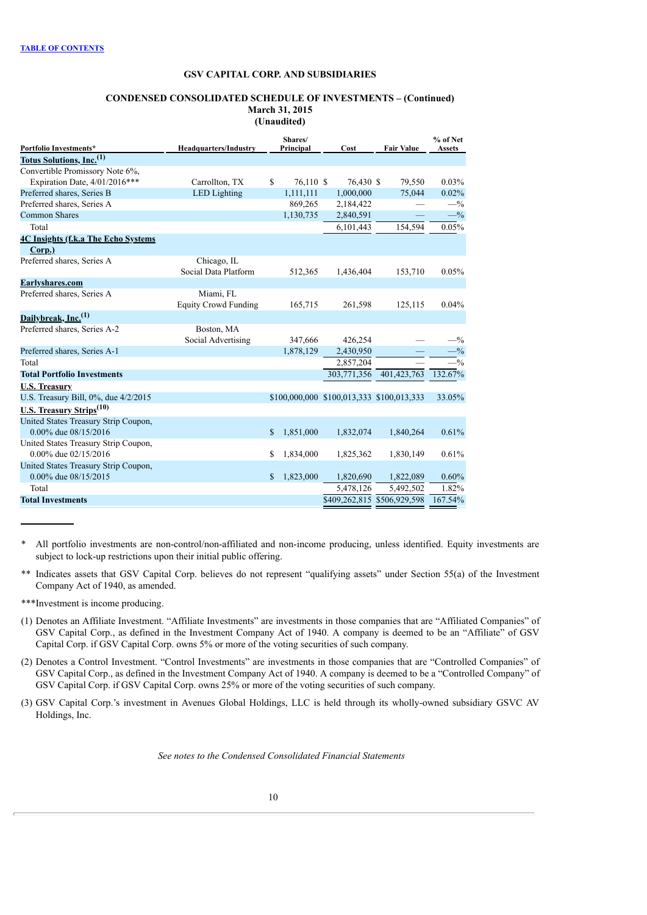### **CONDENSED CONSOLIDATED SCHEDULE OF INVESTMENTS – (Continued) March 31, 2015 (Unaudited)**

| Portfolio Investments*                      | <b>Headquarters/Industry</b> |              | Shares/<br>Principal | Cost        | <b>Fair Value</b>                         | % of Net<br><b>Assets</b> |
|---------------------------------------------|------------------------------|--------------|----------------------|-------------|-------------------------------------------|---------------------------|
| Totus Solutions, Inc. <sup>(1)</sup>        |                              |              |                      |             |                                           |                           |
| Convertible Promissory Note 6%,             |                              |              |                      |             |                                           |                           |
| Expiration Date, 4/01/2016***               | Carrollton, TX               | \$           | 76,110 \$            | 76,430 \$   | 79,550                                    | 0.03%                     |
| Preferred shares, Series B                  | <b>LED</b> Lighting          |              | 1,111,111            | 1,000,000   | 75,044                                    | 0.02%                     |
| Preferred shares, Series A                  |                              |              | 869,265              | 2,184,422   |                                           | $-$ %                     |
| <b>Common Shares</b>                        |                              |              | 1,130,735            | 2,840,591   |                                           | $-$ %                     |
| Total                                       |                              |              |                      | 6,101,443   | 154,594                                   | 0.05%                     |
| <b>4C Insights (f.k.a The Echo Systems)</b> |                              |              |                      |             |                                           |                           |
| Corp.)                                      |                              |              |                      |             |                                           |                           |
| Preferred shares, Series A                  | Chicago, IL                  |              |                      |             |                                           |                           |
|                                             | Social Data Platform         |              | 512,365              | 1,436,404   | 153,710                                   | 0.05%                     |
| Earlyshares.com                             |                              |              |                      |             |                                           |                           |
| Preferred shares, Series A                  | Miami, FL                    |              |                      |             |                                           |                           |
|                                             | <b>Equity Crowd Funding</b>  |              | 165,715              | 261,598     | 125,115                                   | 0.04%                     |
| Dailybreak, Inc. <sup>(1)</sup>             |                              |              |                      |             |                                           |                           |
| Preferred shares, Series A-2                | Boston, MA                   |              |                      |             |                                           |                           |
|                                             | Social Advertising           |              | 347,666              | 426,254     |                                           | $-$ %                     |
| Preferred shares, Series A-1                |                              |              | 1,878,129            | 2,430,950   |                                           | $-$ %                     |
| Total                                       |                              |              |                      | 2,857,204   |                                           | $-$ %                     |
| <b>Total Portfolio Investments</b>          |                              |              |                      | 303,771,356 | 401,423,763                               | 132.67%                   |
| <b>U.S. Treasury</b>                        |                              |              |                      |             |                                           |                           |
| U.S. Treasury Bill, 0%, due 4/2/2015        |                              |              |                      |             | \$100,000,000 \$100,013,333 \$100,013,333 | 33.05%                    |
| U.S. Treasury Strips <sup>(10)</sup>        |                              |              |                      |             |                                           |                           |
| United States Treasury Strip Coupon,        |                              |              |                      |             |                                           |                           |
| 0.00% due 08/15/2016                        |                              | $\mathbb{S}$ | 1,851,000            | 1,832,074   | 1,840,264                                 | 0.61%                     |
| United States Treasury Strip Coupon,        |                              |              |                      |             |                                           |                           |
| 0.00% due 02/15/2016                        |                              | \$           | 1,834,000            | 1,825,362   | 1,830,149                                 | 0.61%                     |
| United States Treasury Strip Coupon,        |                              |              |                      |             |                                           |                           |
| 0.00% due 08/15/2015                        |                              | \$           | 1,823,000            | 1,820,690   | 1,822,089                                 | 0.60%                     |
| Total                                       |                              |              |                      | 5,478,126   | 5,492,502                                 | 1.82%                     |
| <b>Total Investments</b>                    |                              |              |                      |             | \$409,262,815 \$506,929,598               | 167.54%                   |

\* All portfolio investments are non-control/non-affiliated and non-income producing, unless identified. Equity investments are subject to lock-up restrictions upon their initial public offering.

\*\* Indicates assets that GSV Capital Corp. believes do not represent "qualifying assets" under Section 55(a) of the Investment Company Act of 1940, as amended.

\*\*\*Investment is income producing.

- (1) Denotes an Affiliate Investment. "Affiliate Investments" are investments in those companies that are "Affiliated Companies" of GSV Capital Corp., as defined in the Investment Company Act of 1940. A company is deemed to be an "Affiliate" of GSV Capital Corp. if GSV Capital Corp. owns 5% or more of the voting securities of such company.
- (2) Denotes a Control Investment. "Control Investments" are investments in those companies that are "Controlled Companies" of GSV Capital Corp., as defined in the Investment Company Act of 1940. A company is deemed to be a "Controlled Company" of GSV Capital Corp. if GSV Capital Corp. owns 25% or more of the voting securities of such company.
- (3) GSV Capital Corp.'s investment in Avenues Global Holdings, LLC is held through its wholly-owned subsidiary GSVC AV Holdings, Inc.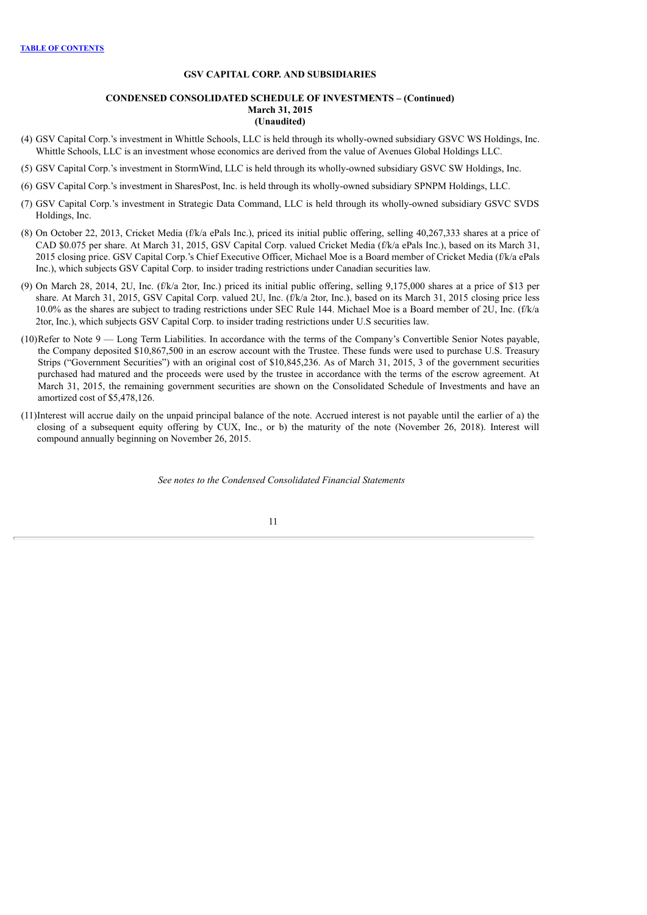## **CONDENSED CONSOLIDATED SCHEDULE OF INVESTMENTS – (Continued) March 31, 2015 (Unaudited)**

- (4) GSV Capital Corp.'s investment in Whittle Schools, LLC is held through its wholly-owned subsidiary GSVC WS Holdings, Inc. Whittle Schools, LLC is an investment whose economics are derived from the value of Avenues Global Holdings LLC.
- (5) GSV Capital Corp.'s investment in StormWind, LLC is held through its wholly-owned subsidiary GSVC SW Holdings, Inc.
- (6) GSV Capital Corp.'s investment in SharesPost, Inc. is held through its wholly-owned subsidiary SPNPM Holdings, LLC.
- (7) GSV Capital Corp.'s investment in Strategic Data Command, LLC is held through its wholly-owned subsidiary GSVC SVDS Holdings, Inc.
- (8) On October 22, 2013, Cricket Media (f/k/a ePals Inc.), priced its initial public offering, selling 40,267,333 shares at a price of CAD \$0.075 per share. At March 31, 2015, GSV Capital Corp. valued Cricket Media (f/k/a ePals Inc.), based on its March 31, 2015 closing price. GSV Capital Corp.'s Chief Executive Officer, Michael Moe is a Board member of Cricket Media (f/k/a ePals Inc.), which subjects GSV Capital Corp. to insider trading restrictions under Canadian securities law.
- (9) On March 28, 2014, 2U, Inc. (f/k/a 2tor, Inc.) priced its initial public offering, selling 9,175,000 shares at a price of \$13 per share. At March 31, 2015, GSV Capital Corp. valued 2U, Inc. (f/k/a 2tor, Inc.), based on its March 31, 2015 closing price less 10.0% as the shares are subject to trading restrictions under SEC Rule 144. Michael Moe is a Board member of 2U, Inc. (f/k/a 2tor, Inc.), which subjects GSV Capital Corp. to insider trading restrictions under U.S securities law.
- $(10)$ Refer to Note  $9 -$  Long Term Liabilities. In accordance with the terms of the Company's Convertible Senior Notes payable, the Company deposited \$10,867,500 in an escrow account with the Trustee. These funds were used to purchase U.S. Treasury Strips ("Government Securities") with an original cost of \$10,845,236. As of March 31, 2015, 3 of the government securities purchased had matured and the proceeds were used by the trustee in accordance with the terms of the escrow agreement. At March 31, 2015, the remaining government securities are shown on the Consolidated Schedule of Investments and have an amortized cost of \$5,478,126.
- (11)Interest will accrue daily on the unpaid principal balance of the note. Accrued interest is not payable until the earlier of a) the closing of a subsequent equity offering by CUX, Inc., or b) the maturity of the note (November 26, 2018). Interest will compound annually beginning on November 26, 2015.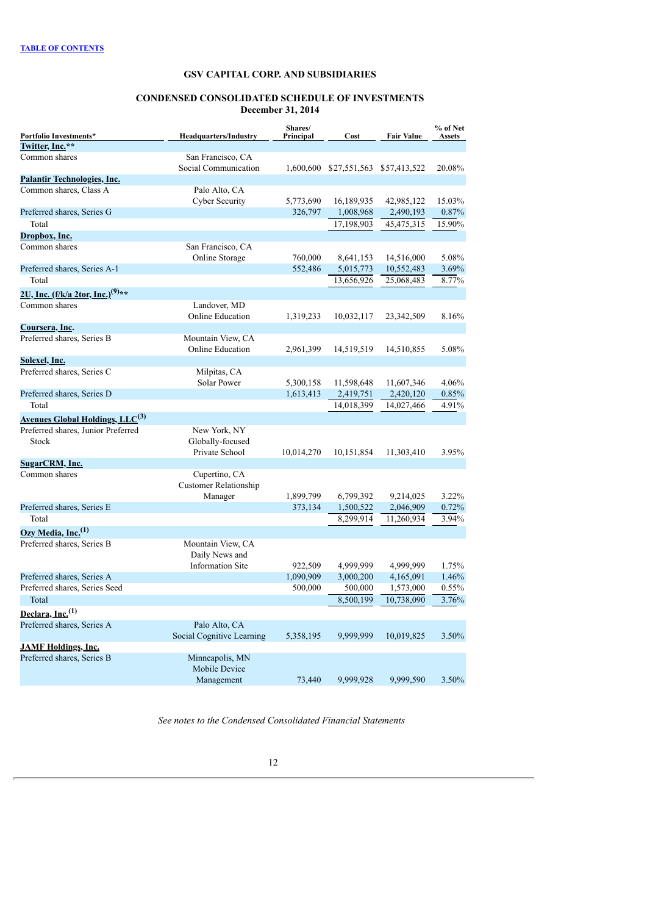#### **CONDENSED CONSOLIDATED SCHEDULE OF INVESTMENTS December 31, 2014**

<span id="page-13-0"></span>

| Portfolio Investments*                                   | <b>Headquarters/Industry</b>              | Shares/<br>Principal | Cost                                | <b>Fair Value</b> | % of Net<br><b>Assets</b> |
|----------------------------------------------------------|-------------------------------------------|----------------------|-------------------------------------|-------------------|---------------------------|
| Twitter, Inc.**                                          |                                           |                      |                                     |                   |                           |
| Common shares                                            | San Francisco, CA<br>Social Communication |                      | 1,600,600 \$27,551,563 \$57,413,522 |                   | 20.08%                    |
| <b>Palantir Technologies, Inc.</b>                       |                                           |                      |                                     |                   |                           |
| Common shares, Class A                                   | Palo Alto, CA                             |                      |                                     |                   |                           |
|                                                          | Cyber Security                            | 5,773,690            | 16,189,935                          | 42,985,122        | 15.03%                    |
| Preferred shares, Series G                               |                                           | 326,797              | 1,008,968                           | 2,490,193         | 0.87%                     |
| Total                                                    |                                           |                      | 17,198,903                          | 45,475,315        | 15.90%                    |
| <u>Dropbox, Inc.</u>                                     |                                           |                      |                                     |                   |                           |
| Common shares                                            | San Francisco, CA                         |                      |                                     |                   |                           |
|                                                          | Online Storage                            | 760,000              | 8,641,153                           | 14,516,000        | 5.08%                     |
| Preferred shares, Series A-1                             |                                           | 552,486              | 5,015,773                           | 10,552,483        | 3.69%                     |
| Total                                                    |                                           |                      | 13,656,926                          | 25,068,483        | 8.77%                     |
| 2U, Inc. (f/k/a 2tor, Inc.) <sup>(9)**</sup>             |                                           |                      |                                     |                   |                           |
| Common shares                                            | Landover, MD                              |                      |                                     |                   |                           |
|                                                          | <b>Online Education</b>                   | 1,319,233            | 10,032,117                          | 23,342,509        | 8.16%                     |
| Coursera, Inc.                                           |                                           |                      |                                     |                   |                           |
| Preferred shares, Series B                               | Mountain View, CA                         |                      |                                     |                   |                           |
|                                                          | <b>Online Education</b>                   | 2,961,399            | 14,519,519                          | 14,510,855        | 5.08%                     |
| Solexel, Inc.                                            |                                           |                      |                                     |                   |                           |
| Preferred shares, Series C                               | Milpitas, CA                              |                      |                                     |                   |                           |
|                                                          | Solar Power                               | 5,300,158            | 11,598,648                          | 11,607,346        | 4.06%                     |
| Preferred shares, Series D                               |                                           | 1,613,413            | 2,419,751                           | 2,420,120         | 0.85%                     |
| Total                                                    |                                           |                      | 14,018,399                          | 14,027,466        | 4.91%                     |
| <b>Avenues Global Holdings, LLC<sup>(3)</sup></b>        |                                           |                      |                                     |                   |                           |
| Preferred shares, Junior Preferred                       | New York, NY                              |                      |                                     |                   |                           |
| Stock                                                    | Globally-focused                          |                      |                                     |                   |                           |
|                                                          | Private School                            | 10,014,270           | 10,151,854                          | 11,303,410        | 3.95%                     |
| <b>SugarCRM, Inc.</b>                                    |                                           |                      |                                     |                   |                           |
| Common shares                                            | Cupertino, CA                             |                      |                                     |                   |                           |
|                                                          | <b>Customer Relationship</b><br>Manager   | 1,899,799            | 6,799,392                           | 9,214,025         | 3.22%                     |
| Preferred shares, Series E                               |                                           | 373,134              | 1,500,522                           | 2,046,909         | 0.72%                     |
| Total                                                    |                                           |                      | 8,299,914                           | 11,260,934        | 3.94%                     |
|                                                          |                                           |                      |                                     |                   |                           |
| $Ozy$ Media, Inc. <sup>(1)</sup>                         |                                           |                      |                                     |                   |                           |
| Preferred shares, Series B                               | Mountain View, CA<br>Daily News and       |                      |                                     |                   |                           |
|                                                          | <b>Information Site</b>                   | 922,509              | 4,999,999                           | 4,999,999         | 1.75%                     |
| Preferred shares, Series A                               |                                           | 1,090,909            | 3,000,200                           | 4,165,091         | 1.46%                     |
| Preferred shares, Series Seed                            |                                           | 500,000              | 500,000                             | 1,573,000         | 0.55%                     |
| Total                                                    |                                           |                      | 8,500,199                           | 10,738,090        | 3.76%                     |
|                                                          |                                           |                      |                                     |                   |                           |
| Declara, Inc. <sup>(1)</sup>                             |                                           |                      |                                     |                   |                           |
| Preferred shares, Series A                               | Palo Alto, CA                             |                      | 9.999.999                           |                   | 3.50%                     |
|                                                          | Social Cognitive Learning                 | 5,358,195            |                                     | 10,019,825        |                           |
| <b>JAMF Holdings, Inc.</b><br>Preferred shares, Series B | Minneapolis, MN                           |                      |                                     |                   |                           |
|                                                          | Mobile Device                             |                      |                                     |                   |                           |
|                                                          | Management                                | 73,440               | 9.999.928                           | 9.999.590         | 3.50%                     |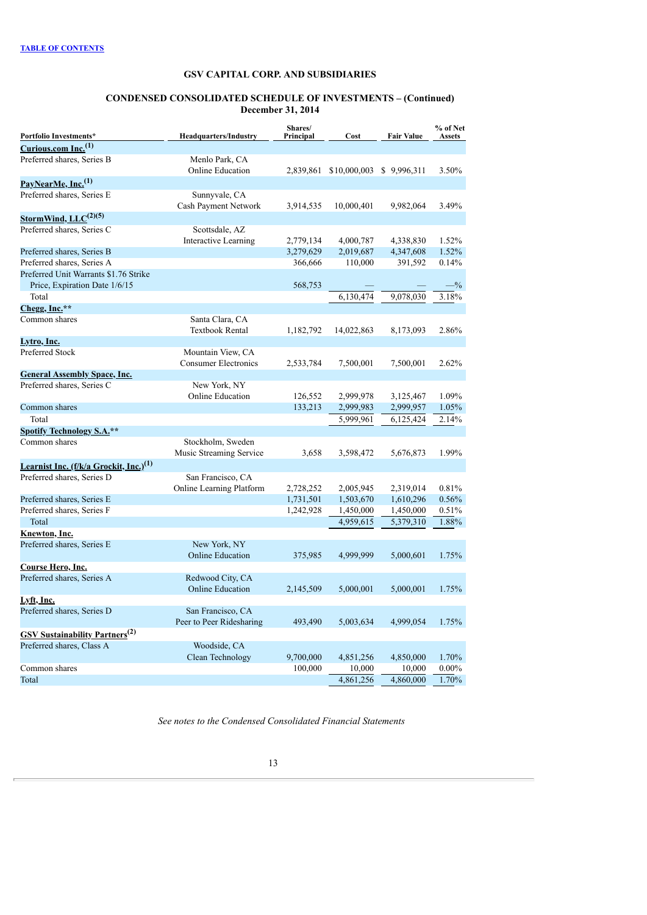#### **CONDENSED CONSOLIDATED SCHEDULE OF INVESTMENTS – (Continued) December 31, 2014**

| Portfolio Investments*<br><b>Headquarters/Industry</b> |                                               | Shares/<br>Principal | Cost         | <b>Fair Value</b> | % of Net<br>Assets |  |
|--------------------------------------------------------|-----------------------------------------------|----------------------|--------------|-------------------|--------------------|--|
| Curious.com Inc. <sup>(1)</sup>                        |                                               |                      |              |                   |                    |  |
| Preferred shares, Series B                             | Menlo Park, CA                                |                      |              |                   |                    |  |
|                                                        | <b>Online Education</b>                       | 2,839,861            | \$10,000,003 | \$9,996,311       | 3.50%              |  |
| PayNearMe, Inc. <sup>(1)</sup>                         |                                               |                      |              |                   |                    |  |
| Preferred shares, Series E                             | Sunnyvale, CA                                 |                      |              |                   |                    |  |
|                                                        | Cash Payment Network                          | 3,914,535            | 10,000,401   | 9,982,064         | 3.49%              |  |
| StormWind, $LLC^{(2)(5)}$                              |                                               |                      |              |                   |                    |  |
| Preferred shares, Series C                             | Scottsdale, AZ                                |                      |              |                   |                    |  |
|                                                        | <b>Interactive Learning</b>                   | 2,779,134            | 4,000,787    | 4,338,830         | 1.52%              |  |
| Preferred shares, Series B                             |                                               | 3,279,629            | 2,019,687    | 4,347,608         | 1.52%              |  |
| Preferred shares, Series A                             |                                               | 366,666              | 110,000      | 391,592           | 0.14%              |  |
| Preferred Unit Warrants \$1.76 Strike                  |                                               |                      |              |                   |                    |  |
| Price, Expiration Date 1/6/15                          |                                               | 568,753              |              |                   | $-$ %              |  |
| Total                                                  |                                               |                      | 6,130,474    | 9,078,030         | 3.18%              |  |
| Chegg, Inc.**                                          |                                               |                      |              |                   |                    |  |
| Common shares                                          | Santa Clara, CA                               |                      |              |                   |                    |  |
|                                                        | <b>Textbook Rental</b>                        | 1,182,792            | 14,022,863   | 8,173,093         | 2.86%              |  |
| Lytro, Inc.                                            |                                               |                      |              |                   |                    |  |
| Preferred Stock                                        | Mountain View, CA                             |                      |              |                   |                    |  |
|                                                        | <b>Consumer Electronics</b>                   | 2,533,784            | 7,500,001    | 7,500,001         | 2.62%              |  |
| <b>General Assembly Space, Inc.</b>                    |                                               |                      |              |                   |                    |  |
| Preferred shares, Series C                             | New York, NY                                  |                      |              |                   |                    |  |
|                                                        | <b>Online Education</b>                       | 126,552              | 2,999,978    | 3,125,467         | 1.09%              |  |
| Common shares                                          |                                               | 133,213              | 2,999,983    | 2,999,957         | 1.05%              |  |
| Total                                                  |                                               |                      | 5,999,961    | 6,125,424         | 2.14%              |  |
| <b>Spotify Technology S.A.**</b>                       |                                               |                      |              |                   |                    |  |
| Common shares                                          | Stockholm, Sweden                             |                      |              |                   |                    |  |
|                                                        | Music Streaming Service                       | 3,658                | 3,598,472    | 5,676,873         | 1.99%              |  |
| Learnist Inc. (f/k/a Grockit, Inc.) <sup>(1)</sup>     |                                               |                      |              |                   |                    |  |
| Preferred shares, Series D                             | San Francisco, CA                             |                      |              |                   |                    |  |
|                                                        | Online Learning Platform                      | 2,728,252            | 2,005,945    | 2,319,014         | 0.81%              |  |
| Preferred shares, Series E                             |                                               | 1,731,501            | 1,503,670    | 1,610,296         | 0.56%              |  |
| Preferred shares, Series F                             |                                               | 1,242,928            | 1,450,000    | 1,450,000         | 0.51%              |  |
| Total                                                  |                                               |                      | 4,959,615    | 5,379,310         | 1.88%              |  |
| Knewton, Inc.                                          |                                               |                      |              |                   |                    |  |
| Preferred shares, Series E                             | New York, NY                                  |                      |              |                   |                    |  |
|                                                        | <b>Online Education</b>                       | 375,985              | 4,999,999    | 5,000,601         | 1.75%              |  |
| Course Hero, Inc.                                      |                                               |                      |              |                   |                    |  |
| Preferred shares, Series A                             | Redwood City, CA                              |                      |              |                   |                    |  |
|                                                        | <b>Online Education</b>                       | 2,145,509            | 5,000,001    | 5,000,001         | 1.75%              |  |
| Lyft, Inc.                                             |                                               |                      |              |                   |                    |  |
| Preferred shares, Series D                             | San Francisco, CA<br>Peer to Peer Ridesharing | 493,490              |              |                   | 1.75%              |  |
|                                                        |                                               |                      | 5,003,634    | 4,999,054         |                    |  |
| <b>GSV Sustainability Partners</b> <sup>(2)</sup>      |                                               |                      |              |                   |                    |  |
| Preferred shares, Class A                              | Woodside, CA                                  |                      |              |                   |                    |  |
|                                                        | Clean Technology                              | 9,700,000            | 4,851,256    | 4,850,000         | 1.70%              |  |
| Common shares                                          |                                               | 100,000              | 10,000       | 10,000            | $0.00\%$           |  |
| Total                                                  |                                               |                      | 4,861,256    | 4,860,000         | 1.70%              |  |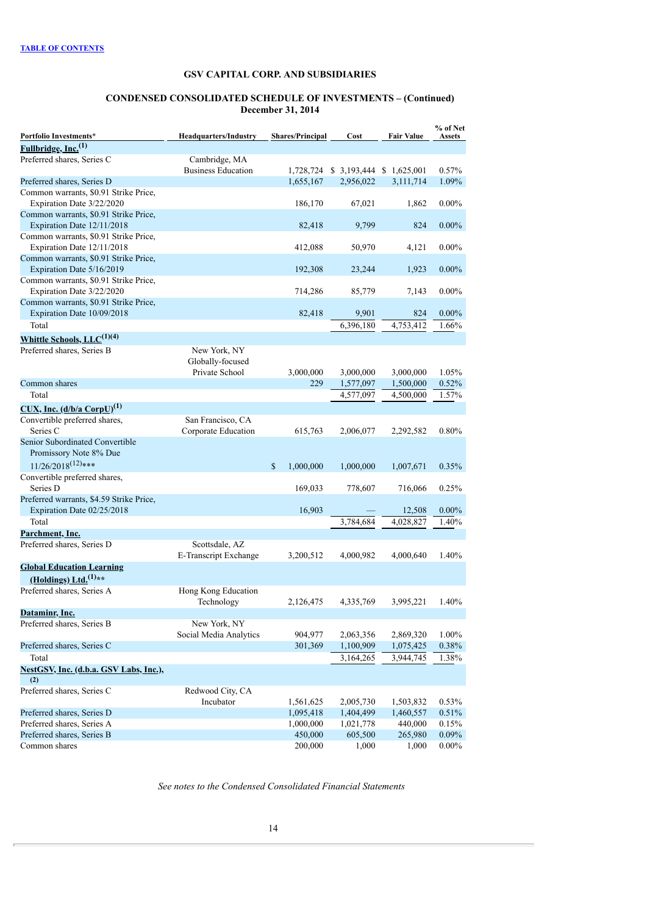#### **CONDENSED CONSOLIDATED SCHEDULE OF INVESTMENTS – (Continued) December 31, 2014**

| Portfolio Investments*                   | <b>Headquarters/Industry</b> | <b>Shares/Principal</b>   | Cost                                | Fair Value | % of Net<br><b>Assets</b> |
|------------------------------------------|------------------------------|---------------------------|-------------------------------------|------------|---------------------------|
| Fullbridge, Inc. <sup>(1)</sup>          |                              |                           |                                     |            |                           |
| Preferred shares, Series C               | Cambridge, MA                |                           |                                     |            |                           |
|                                          | <b>Business Education</b>    |                           | 1,728,724 \$ 3,193,444 \$ 1,625,001 |            | 0.57%                     |
| Preferred shares, Series D               |                              | 1,655,167                 | 2,956,022                           | 3,111,714  | 1.09%                     |
| Common warrants, \$0.91 Strike Price,    |                              |                           |                                     |            |                           |
| Expiration Date 3/22/2020                |                              | 186,170                   | 67,021                              | 1,862      | $0.00\%$                  |
| Common warrants, \$0.91 Strike Price,    |                              |                           |                                     |            |                           |
| Expiration Date 12/11/2018               |                              | 82,418                    | 9,799                               | 824        | $0.00\%$                  |
| Common warrants, \$0.91 Strike Price,    |                              |                           |                                     |            |                           |
| Expiration Date 12/11/2018               |                              | 412,088                   | 50,970                              | 4,121      | $0.00\%$                  |
| Common warrants, \$0.91 Strike Price,    |                              |                           |                                     |            |                           |
| Expiration Date 5/16/2019                |                              | 192,308                   | 23,244                              | 1,923      | $0.00\%$                  |
| Common warrants, \$0.91 Strike Price,    |                              |                           |                                     |            |                           |
| Expiration Date 3/22/2020                |                              | 714,286                   | 85,779                              | 7,143      | $0.00\%$                  |
| Common warrants, \$0.91 Strike Price,    |                              |                           |                                     |            |                           |
| Expiration Date 10/09/2018               |                              | 82,418                    | 9,901                               | 824        | $0.00\%$                  |
| Total                                    |                              |                           | 6,396,180                           | 4,753,412  | 1.66%                     |
| Whittle Schools, LLC <sup>(1)(4)</sup>   |                              |                           |                                     |            |                           |
| Preferred shares, Series B               | New York, NY                 |                           |                                     |            |                           |
|                                          | Globally-focused             |                           |                                     |            |                           |
|                                          | Private School               | 3,000,000                 | 3,000,000                           | 3,000,000  | 1.05%                     |
| Common shares                            |                              | 229                       | 1,577,097                           | 1,500,000  | 0.52%                     |
| Total                                    |                              |                           | 4,577,097                           | 4,500,000  | 1.57%                     |
| $CUX, Inc. (d/b/a CorpU)^{(1)}$          |                              |                           |                                     |            |                           |
| Convertible preferred shares,            | San Francisco, CA            |                           |                                     |            |                           |
| Series C                                 | Corporate Education          | 615,763                   | 2,006,077                           | 2,292,582  | 0.80%                     |
| Senior Subordinated Convertible          |                              |                           |                                     |            |                           |
| Promissory Note 8% Due                   |                              |                           |                                     |            |                           |
| $11/26/2018^{(12)***}$                   |                              | $\mathbb{S}$<br>1,000,000 | 1,000,000                           | 1,007,671  | 0.35%                     |
| Convertible preferred shares,            |                              |                           |                                     |            |                           |
| Series D                                 |                              | 169,033                   | 778,607                             | 716,066    | 0.25%                     |
| Preferred warrants, \$4.59 Strike Price, |                              |                           |                                     |            |                           |
| Expiration Date 02/25/2018               |                              | 16,903                    |                                     | 12,508     | $0.00\%$                  |
| Total                                    |                              |                           | 3,784,684                           | 4,028,827  | 1.40%                     |
| Parchment, Inc.                          |                              |                           |                                     |            |                           |
| Preferred shares, Series D               | Scottsdale, AZ               |                           |                                     |            |                           |
|                                          | E-Transcript Exchange        | 3,200,512                 | 4,000,982                           | 4,000,640  | 1.40%                     |
| <b>Global Education Learning</b>         |                              |                           |                                     |            |                           |
| (Holdings) Ltd. <sup>(1)**</sup>         |                              |                           |                                     |            |                           |
| Preferred shares, Series A               | Hong Kong Education          |                           |                                     |            |                           |
|                                          | Technology                   | 2,126,475                 | 4,335,769                           | 3,995,221  | 1.40%                     |
| Dataminr, Inc.                           |                              |                           |                                     |            |                           |
| Preferred shares, Series B               | New York, NY                 |                           |                                     |            |                           |
|                                          | Social Media Analytics       | 904,977                   | 2,063,356                           | 2,869,320  | 1.00%                     |
| Preferred shares, Series C               |                              | 301,369                   | 1,100,909                           | 1,075,425  | 0.38%                     |
| Total                                    |                              |                           | 3,164,265                           | 3,944,745  | 1.38%                     |
| NestGSV, Inc. (d.b.a. GSV Labs, Inc.),   |                              |                           |                                     |            |                           |
| (2)                                      |                              |                           |                                     |            |                           |
| Preferred shares, Series C               | Redwood City, CA             |                           |                                     |            |                           |
|                                          | Incubator                    | 1,561,625                 | 2,005,730                           | 1,503,832  | 0.53%                     |
| Preferred shares, Series D               |                              | 1,095,418                 | 1,404,499                           | 1,460,557  | 0.51%                     |
| Preferred shares, Series A               |                              | 1,000,000                 | 1,021,778                           | 440,000    | 0.15%                     |
| Preferred shares, Series B               |                              | 450,000                   | 605,500                             | 265,980    | 0.09%                     |
| Common shares                            |                              | 200,000                   | 1,000                               | 1,000      | $0.00\%$                  |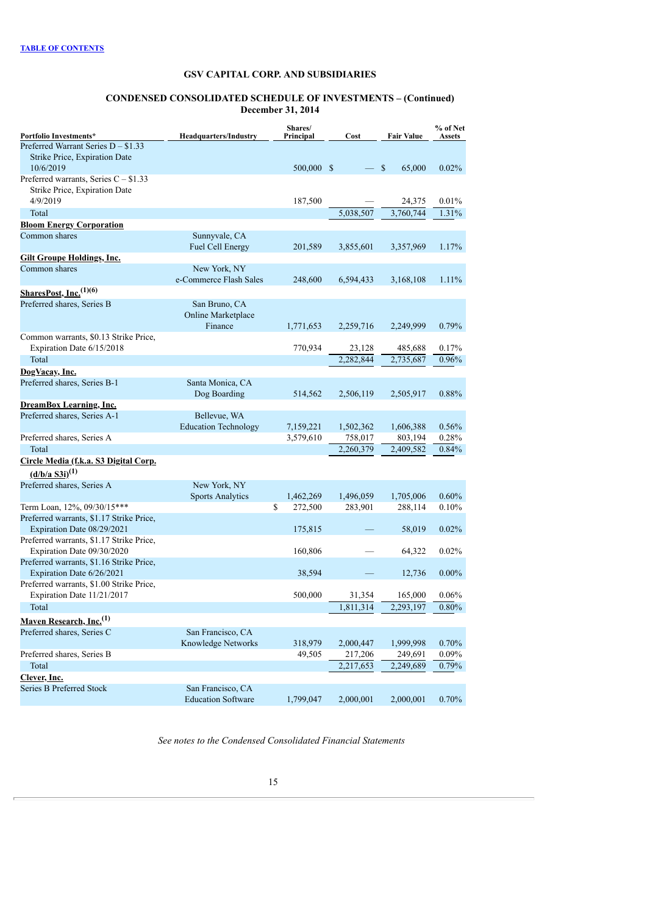#### **CONDENSED CONSOLIDATED SCHEDULE OF INVESTMENTS – (Continued) December 31, 2014**

|                                                                         |                                                | Shares/       |           |                    | % of Net |
|-------------------------------------------------------------------------|------------------------------------------------|---------------|-----------|--------------------|----------|
| Portfolio Investments*<br>Preferred Warrant Series $D - $1.33$          | <b>Headquarters/Industry</b>                   | Principal     | Cost      | <b>Fair Value</b>  | Assets   |
| Strike Price, Expiration Date                                           |                                                |               |           |                    |          |
| 10/6/2019                                                               |                                                | 500,000 \$    |           | <b>S</b><br>65,000 | 0.02%    |
| Preferred warrants, Series $C - $1.33$<br>Strike Price, Expiration Date |                                                |               |           |                    |          |
| 4/9/2019                                                                |                                                | 187,500       |           | 24,375             | $0.01\%$ |
| Total                                                                   |                                                |               | 5,038,507 | 3,760,744          | 1.31%    |
| <b>Bloom Energy Corporation</b>                                         |                                                |               |           |                    |          |
| Common shares                                                           | Sunnyvale, CA<br><b>Fuel Cell Energy</b>       | 201,589       | 3,855,601 | 3,357,969          | 1.17%    |
| <b>Gilt Groupe Holdings, Inc.</b>                                       |                                                |               |           |                    |          |
| Common shares                                                           | New York, NY<br>e-Commerce Flash Sales         | 248,600       | 6,594,433 | 3,168,108          | 1.11%    |
| SharesPost, Inc. <sup>(1)(6)</sup>                                      |                                                |               |           |                    |          |
| Preferred shares, Series B                                              | San Bruno, CA                                  |               |           |                    |          |
|                                                                         | Online Marketplace<br>Finance                  | 1,771,653     | 2,259,716 | 2,249,999          | 0.79%    |
| Common warrants, \$0.13 Strike Price,<br>Expiration Date 6/15/2018      |                                                | 770,934       | 23,128    | 485,688            | 0.17%    |
| Total                                                                   |                                                |               | 2,282,844 | 2,735,687          | 0.96%    |
| DogVacay, Inc.                                                          |                                                |               |           |                    |          |
| Preferred shares, Series B-1                                            | Santa Monica, CA                               |               |           |                    |          |
|                                                                         | Dog Boarding                                   | 514,562       | 2,506,119 | 2,505,917          | 0.88%    |
| <b>DreamBox Learning, Inc.</b>                                          |                                                |               |           |                    |          |
| Preferred shares, Series A-1                                            | Bellevue, WA                                   |               |           |                    |          |
|                                                                         | <b>Education Technology</b>                    | 7,159,221     | 1,502,362 | 1,606,388          | 0.56%    |
| Preferred shares, Series A                                              |                                                | 3,579,610     | 758,017   | 803,194            | 0.28%    |
| Total                                                                   |                                                |               | 2,260,379 | 2,409,582          | 0.84%    |
| Circle Media (f.k.a. S3 Digital Corp.<br>$(d/b/a S3i)^{(1)}$            |                                                |               |           |                    |          |
| Preferred shares, Series A                                              | New York, NY                                   |               |           |                    |          |
|                                                                         | <b>Sports Analytics</b>                        | 1,462,269     | 1,496,059 | 1,705,006          | 0.60%    |
| Term Loan, 12%, 09/30/15***                                             |                                                | \$<br>272,500 | 283,901   | 288,114            | 0.10%    |
| Preferred warrants, \$1.17 Strike Price,<br>Expiration Date 08/29/2021  |                                                | 175,815       |           | 58,019             | 0.02%    |
| Preferred warrants, \$1.17 Strike Price,                                |                                                |               |           |                    |          |
| Expiration Date 09/30/2020                                              |                                                | 160,806       |           | 64,322             | 0.02%    |
| Preferred warrants, \$1.16 Strike Price,<br>Expiration Date 6/26/2021   |                                                | 38,594        |           | 12,736             | $0.00\%$ |
| Preferred warrants, \$1.00 Strike Price,<br>Expiration Date 11/21/2017  |                                                | 500,000       | 31,354    | 165,000            | 0.06%    |
| Total                                                                   |                                                |               | 1,811,314 | 2,293,197          | 0.80%    |
| Maven Research, Inc. <sup>(1)</sup>                                     |                                                |               |           |                    |          |
| Preferred shares, Series C                                              | San Francisco, CA                              |               |           |                    |          |
|                                                                         | Knowledge Networks                             | 318,979       | 2,000,447 | 1,999,998          | 0.70%    |
| Preferred shares, Series B                                              |                                                | 49,505        | 217,206   | 249,691            | 0.09%    |
| Total                                                                   |                                                |               | 2,217,653 | 2,249,689          | 0.79%    |
| Clever, Inc.                                                            |                                                |               |           |                    |          |
| Series B Preferred Stock                                                | San Francisco, CA<br><b>Education Software</b> | 1,799,047     | 2,000,001 | 2,000,001          | 0.70%    |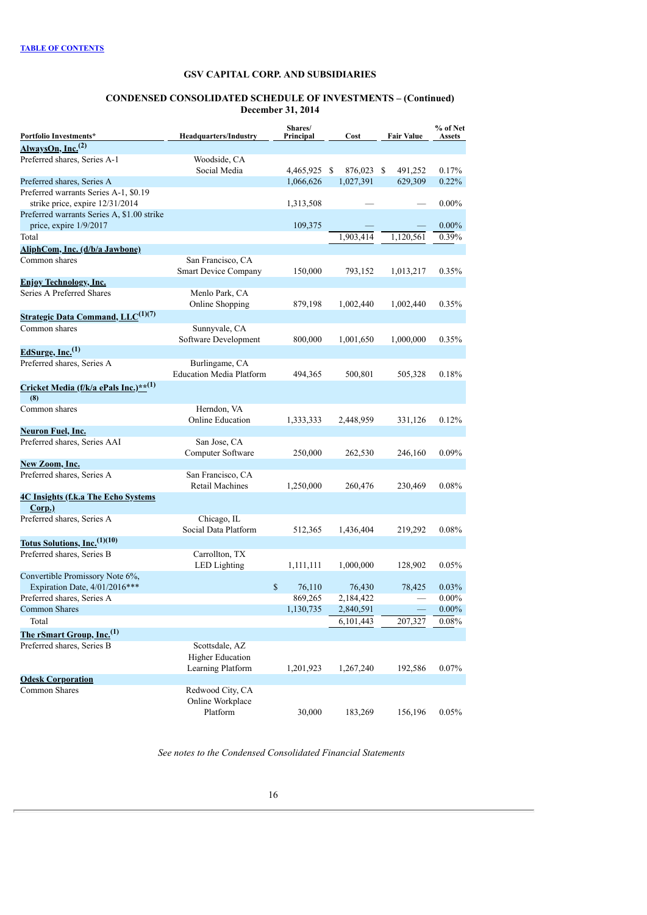#### **CONDENSED CONSOLIDATED SCHEDULE OF INVESTMENTS – (Continued) December 31, 2014**

| Portfolio Investments*                                               | <b>Headquarters/Industry</b>                                   | Shares/<br>Principal | Cost       | <b>Fair Value</b> |          |
|----------------------------------------------------------------------|----------------------------------------------------------------|----------------------|------------|-------------------|----------|
| AlwaysOn, Inc. <sup>(2)</sup>                                        |                                                                |                      |            |                   |          |
| Preferred shares, Series A-1                                         | Woodside, CA<br>Social Media                                   | 4,465,925 \$         | 876,023 \$ | 491,252           | 0.17%    |
| Preferred shares, Series A                                           |                                                                | 1,066,626            | 1,027,391  | 629,309           | 0.22%    |
| Preferred warrants Series A-1, \$0.19                                |                                                                |                      |            |                   |          |
| strike price, expire 12/31/2014                                      |                                                                | 1,313,508            |            |                   | $0.00\%$ |
| Preferred warrants Series A, \$1.00 strike<br>price, expire 1/9/2017 |                                                                | 109,375              |            |                   | $0.00\%$ |
| Total                                                                |                                                                |                      | 1,903,414  | 1,120,561         | 0.39%    |
| AliphCom, Inc. (d/b/a Jawbone)                                       |                                                                |                      |            |                   |          |
| Common shares                                                        | San Francisco, CA<br><b>Smart Device Company</b>               | 150,000              | 793,152    | 1,013,217         | 0.35%    |
| <b>Enjoy Technology, Inc.</b>                                        |                                                                |                      |            |                   |          |
| Series A Preferred Shares                                            | Menlo Park, CA<br>Online Shopping                              | 879,198              | 1,002,440  | 1,002,440         | 0.35%    |
| <b>Strategic Data Command, LLC</b> <sup>(1)(7)</sup>                 |                                                                |                      |            |                   |          |
| Common shares                                                        | Sunnyvale, CA<br>Software Development                          | 800,000              | 1,001,650  | 1,000,000         | 0.35%    |
| EdSurge, Inc. $^{(1)}$                                               |                                                                |                      |            |                   |          |
| Preferred shares, Series A                                           | Burlingame, CA<br><b>Education Media Platform</b>              | 494,365              | 500,801    | 505,328           | 0.18%    |
| Cricket Media (f/k/a ePals Inc.)** <sup>(1)</sup>                    |                                                                |                      |            |                   |          |
| (8)                                                                  |                                                                |                      |            |                   |          |
| Common shares                                                        | Herndon, VA<br><b>Online Education</b>                         | 1,333,333            | 2,448,959  | 331,126           | 0.12%    |
| Neuron Fuel, Inc.                                                    |                                                                |                      |            |                   |          |
| Preferred shares, Series AAI                                         | San Jose, CA<br>Computer Software                              | 250,000              | 262,530    | 246,160           | $0.09\%$ |
| New Zoom, Inc.                                                       |                                                                |                      |            |                   |          |
| Preferred shares, Series A                                           | San Francisco, CA<br>Retail Machines                           | 1,250,000            | 260,476    | 230,469           | 0.08%    |
| <b>4C Insights (f.k.a The Echo Systems)</b>                          |                                                                |                      |            |                   |          |
| Corp.)                                                               |                                                                |                      |            |                   |          |
| Preferred shares, Series A                                           | Chicago, IL<br>Social Data Platform                            | 512,365              | 1,436,404  | 219,292           | 0.08%    |
| Totus Solutions, $Inc.(1)(10)$                                       |                                                                |                      |            |                   |          |
| Preferred shares, Series B                                           | Carrollton, TX<br><b>LED</b> Lighting                          | 1,111,111            | 1,000,000  | 128,902           | 0.05%    |
| Convertible Promissory Note 6%,<br>Expiration Date, 4/01/2016***     |                                                                | \$<br>76,110         | 76,430     | 78,425            | 0.03%    |
| Preferred shares, Series A                                           |                                                                | 869,265              | 2,184,422  |                   | $0.00\%$ |
| Common Shares                                                        |                                                                | 1,130,735            | 2,840,591  |                   | $0.00\%$ |
| Total                                                                |                                                                |                      | 6,101,443  | 207,327           | 0.08%    |
| The rSmart Group, Inc. <sup>(1)</sup>                                |                                                                |                      |            |                   |          |
| Preferred shares, Series B                                           | Scottsdale, AZ<br><b>Higher Education</b><br>Learning Platform | 1,201,923            | 1,267,240  | 192,586           | 0.07%    |
| <b>Odesk Corporation</b>                                             |                                                                |                      |            |                   |          |
| Common Shares                                                        | Redwood City, CA<br>Online Workplace                           |                      |            |                   |          |
|                                                                      | Platform                                                       | 30,000               | 183,269    | 156,196           | 0.05%    |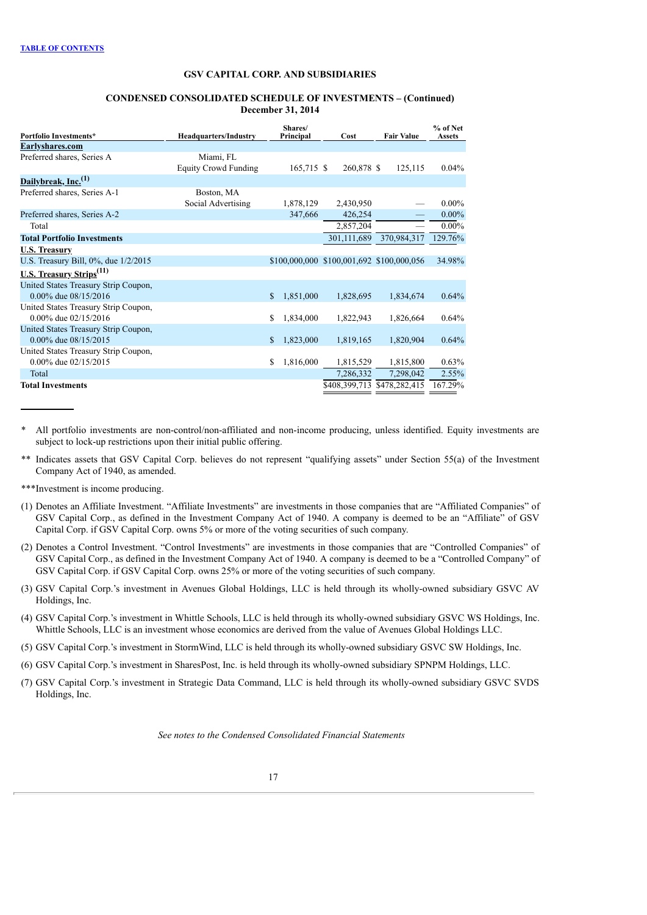### **CONDENSED CONSOLIDATED SCHEDULE OF INVESTMENTS – (Continued) December 31, 2014**

| Portfolio Investments*                                            | <b>Headquarters/Industry</b>             | Shares/<br>Principal | Cost                                      | <b>Fair Value</b>           | % of Net<br><b>Assets</b> |
|-------------------------------------------------------------------|------------------------------------------|----------------------|-------------------------------------------|-----------------------------|---------------------------|
| Earlyshares.com                                                   |                                          |                      |                                           |                             |                           |
| Preferred shares, Series A                                        | Miami, FL<br><b>Equity Crowd Funding</b> | $165,715$ \$         | 260,878 \$                                | 125,115                     | 0.04%                     |
| Dailybreak, Inc. <sup>(1)</sup>                                   |                                          |                      |                                           |                             |                           |
| Preferred shares, Series A-1                                      | Boston, MA<br>Social Advertising         | 1,878,129            | 2,430,950                                 |                             | $0.00\%$                  |
| Preferred shares, Series A-2                                      |                                          | 347,666              | 426,254                                   |                             | $0.00\%$                  |
| Total                                                             |                                          |                      | 2,857,204                                 |                             | $0.00\%$                  |
| <b>Total Portfolio Investments</b>                                |                                          |                      | 301,111,689                               | 370,984,317                 | 129.76%                   |
| <b>U.S. Treasury</b>                                              |                                          |                      |                                           |                             |                           |
| U.S. Treasury Bill, 0%, due 1/2/2015                              |                                          |                      | \$100,000,000 \$100,001,692 \$100,000,056 |                             | 34.98%                    |
| U.S. Treasury Strips <sup>(11)</sup>                              |                                          |                      |                                           |                             |                           |
| United States Treasury Strip Coupon,<br>$0.00\%$ due $08/15/2016$ |                                          | 1,851,000<br>\$      | 1,828,695                                 | 1,834,674                   | 0.64%                     |
| United States Treasury Strip Coupon,<br>0.00% due 02/15/2016      |                                          | \$<br>1,834,000      | 1,822,943                                 | 1,826,664                   | 0.64%                     |
| United States Treasury Strip Coupon,<br>$0.00\%$ due $08/15/2015$ |                                          | 1,823,000<br>\$      | 1,819,165                                 | 1,820,904                   | 0.64%                     |
| United States Treasury Strip Coupon,<br>0.00% due 02/15/2015      |                                          | \$<br>1,816,000      | 1,815,529                                 | 1,815,800                   | 0.63%                     |
| Total                                                             |                                          |                      | 7,286,332                                 | 7,298,042                   | 2.55%                     |
| <b>Total Investments</b>                                          |                                          |                      |                                           | \$408,399,713 \$478,282,415 | 167.29%                   |

All portfolio investments are non-control/non-affiliated and non-income producing, unless identified. Equity investments are subject to lock-up restrictions upon their initial public offering.

\*\* Indicates assets that GSV Capital Corp. believes do not represent "qualifying assets" under Section 55(a) of the Investment Company Act of 1940, as amended.

\*\*\*Investment is income producing.

- (1) Denotes an Affiliate Investment. "Affiliate Investments" are investments in those companies that are "Affiliated Companies" of GSV Capital Corp., as defined in the Investment Company Act of 1940. A company is deemed to be an "Affiliate" of GSV Capital Corp. if GSV Capital Corp. owns 5% or more of the voting securities of such company.
- (2) Denotes a Control Investment. "Control Investments" are investments in those companies that are "Controlled Companies" of GSV Capital Corp., as defined in the Investment Company Act of 1940. A company is deemed to be a "Controlled Company" of GSV Capital Corp. if GSV Capital Corp. owns 25% or more of the voting securities of such company.
- (3) GSV Capital Corp.'s investment in Avenues Global Holdings, LLC is held through its wholly-owned subsidiary GSVC AV Holdings, Inc.
- (4) GSV Capital Corp.'s investment in Whittle Schools, LLC is held through its wholly-owned subsidiary GSVC WS Holdings, Inc. Whittle Schools, LLC is an investment whose economics are derived from the value of Avenues Global Holdings LLC.
- (5) GSV Capital Corp.'s investment in StormWind, LLC is held through its wholly-owned subsidiary GSVC SW Holdings, Inc.
- (6) GSV Capital Corp.'s investment in SharesPost, Inc. is held through its wholly-owned subsidiary SPNPM Holdings, LLC.
- (7) GSV Capital Corp.'s investment in Strategic Data Command, LLC is held through its wholly-owned subsidiary GSVC SVDS Holdings, Inc.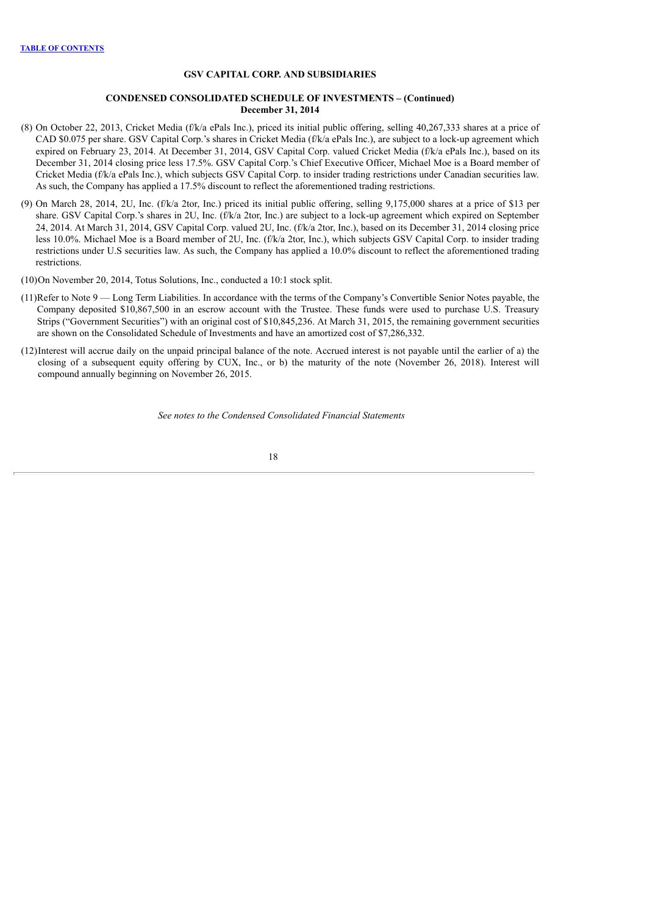### **CONDENSED CONSOLIDATED SCHEDULE OF INVESTMENTS – (Continued) December 31, 2014**

- (8) On October 22, 2013, Cricket Media (f/k/a ePals Inc.), priced its initial public offering, selling 40,267,333 shares at a price of CAD \$0.075 per share. GSV Capital Corp.'s shares in Cricket Media (f/k/a ePals Inc.), are subject to a lock-up agreement which expired on February 23, 2014. At December 31, 2014, GSV Capital Corp. valued Cricket Media (f/k/a ePals Inc.), based on its December 31, 2014 closing price less 17.5%. GSV Capital Corp.'s Chief Executive Officer, Michael Moe is a Board member of Cricket Media (f/k/a ePals Inc.), which subjects GSV Capital Corp. to insider trading restrictions under Canadian securities law. As such, the Company has applied a 17.5% discount to reflect the aforementioned trading restrictions.
- (9) On March 28, 2014, 2U, Inc. (f/k/a 2tor, Inc.) priced its initial public offering, selling 9,175,000 shares at a price of \$13 per share. GSV Capital Corp.'s shares in 2U, Inc. (f/k/a 2tor, Inc.) are subject to a lock-up agreement which expired on September 24, 2014. At March 31, 2014, GSV Capital Corp. valued 2U, Inc. (f/k/a 2tor, Inc.), based on its December 31, 2014 closing price less 10.0%. Michael Moe is a Board member of 2U, Inc. (f/k/a 2tor, Inc.), which subjects GSV Capital Corp. to insider trading restrictions under U.S securities law. As such, the Company has applied a 10.0% discount to reflect the aforementioned trading restrictions.
- (10)On November 20, 2014, Totus Solutions, Inc., conducted a 10:1 stock split.
- (11)Refer to Note 9 Long Term Liabilities. In accordance with the terms of the Company's Convertible Senior Notes payable, the Company deposited \$10,867,500 in an escrow account with the Trustee. These funds were used to purchase U.S. Treasury Strips ("Government Securities") with an original cost of \$10,845,236. At March 31, 2015, the remaining government securities are shown on the Consolidated Schedule of Investments and have an amortized cost of \$7,286,332.
- (12)Interest will accrue daily on the unpaid principal balance of the note. Accrued interest is not payable until the earlier of a) the closing of a subsequent equity offering by CUX, Inc., or b) the maturity of the note (November 26, 2018). Interest will compound annually beginning on November 26, 2015.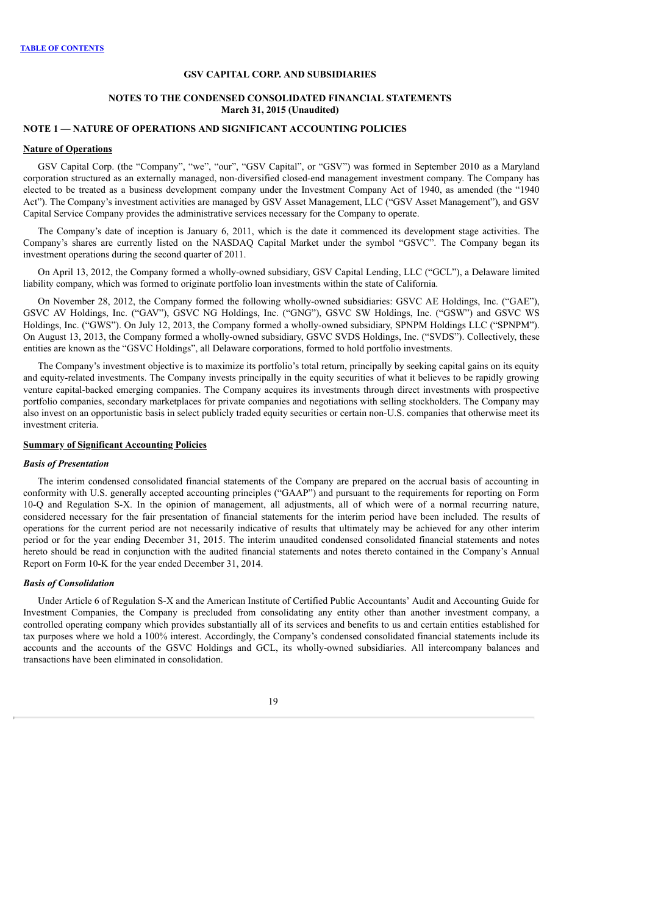### **NOTES TO THE CONDENSED CONSOLIDATED FINANCIAL STATEMENTS March 31, 2015 (Unaudited)**

## **NOTE 1 — NATURE OF OPERATIONS AND SIGNIFICANT ACCOUNTING POLICIES**

#### **Nature of Operations**

<span id="page-20-0"></span>GSV Capital Corp. (the "Company", "we", "our", "GSV Capital", or "GSV") was formed in September 2010 as a Maryland corporation structured as an externally managed, non-diversified closed-end management investment company. The Company has elected to be treated as a business development company under the Investment Company Act of 1940, as amended (the "1940 Act"). The Company's investment activities are managed by GSV Asset Management, LLC ("GSV Asset Management"), and GSV Capital Service Company provides the administrative services necessary for the Company to operate.

The Company's date of inception is January 6, 2011, which is the date it commenced its development stage activities. The Company's shares are currently listed on the NASDAQ Capital Market under the symbol "GSVC". The Company began its investment operations during the second quarter of 2011.

On April 13, 2012, the Company formed a wholly-owned subsidiary, GSV Capital Lending, LLC ("GCL"), a Delaware limited liability company, which was formed to originate portfolio loan investments within the state of California.

On November 28, 2012, the Company formed the following wholly-owned subsidiaries: GSVC AE Holdings, Inc. ("GAE"), GSVC AV Holdings, Inc. ("GAV"), GSVC NG Holdings, Inc. ("GNG"), GSVC SW Holdings, Inc. ("GSW") and GSVC WS Holdings, Inc. ("GWS"). On July 12, 2013, the Company formed a wholly-owned subsidiary, SPNPM Holdings LLC ("SPNPM"). On August 13, 2013, the Company formed a wholly-owned subsidiary, GSVC SVDS Holdings, Inc. ("SVDS"). Collectively, these entities are known as the "GSVC Holdings", all Delaware corporations, formed to hold portfolio investments.

The Company's investment objective is to maximize its portfolio's total return, principally by seeking capital gains on its equity and equity-related investments. The Company invests principally in the equity securities of what it believes to be rapidly growing venture capital-backed emerging companies. The Company acquires its investments through direct investments with prospective portfolio companies, secondary marketplaces for private companies and negotiations with selling stockholders. The Company may also invest on an opportunistic basis in select publicly traded equity securities or certain non-U.S. companies that otherwise meet its investment criteria.

## **Summary of Significant Accounting Policies**

#### *Basis of Presentation*

The interim condensed consolidated financial statements of the Company are prepared on the accrual basis of accounting in conformity with U.S. generally accepted accounting principles ("GAAP") and pursuant to the requirements for reporting on Form 10-Q and Regulation S-X. In the opinion of management, all adjustments, all of which were of a normal recurring nature, considered necessary for the fair presentation of financial statements for the interim period have been included. The results of operations for the current period are not necessarily indicative of results that ultimately may be achieved for any other interim period or for the year ending December 31, 2015. The interim unaudited condensed consolidated financial statements and notes hereto should be read in conjunction with the audited financial statements and notes thereto contained in the Company's Annual Report on Form 10-K for the year ended December 31, 2014.

#### *Basis of Consolidation*

Under Article 6 of Regulation S-X and the American Institute of Certified Public Accountants' Audit and Accounting Guide for Investment Companies, the Company is precluded from consolidating any entity other than another investment company, a controlled operating company which provides substantially all of its services and benefits to us and certain entities established for tax purposes where we hold a 100% interest. Accordingly, the Company's condensed consolidated financial statements include its accounts and the accounts of the GSVC Holdings and GCL, its wholly-owned subsidiaries. All intercompany balances and transactions have been eliminated in consolidation.

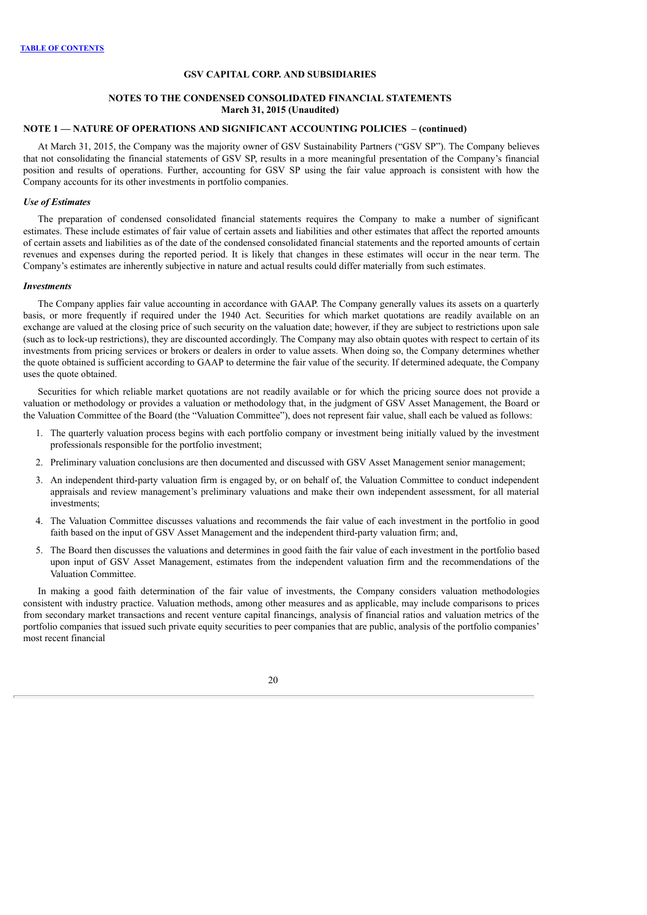### **NOTES TO THE CONDENSED CONSOLIDATED FINANCIAL STATEMENTS March 31, 2015 (Unaudited)**

## **NOTE 1 — NATURE OF OPERATIONS AND SIGNIFICANT ACCOUNTING POLICIES – (continued)**

At March 31, 2015, the Company was the majority owner of GSV Sustainability Partners ("GSV SP"). The Company believes that not consolidating the financial statements of GSV SP, results in a more meaningful presentation of the Company's financial position and results of operations. Further, accounting for GSV SP using the fair value approach is consistent with how the Company accounts for its other investments in portfolio companies.

### *Use of Estimates*

The preparation of condensed consolidated financial statements requires the Company to make a number of significant estimates. These include estimates of fair value of certain assets and liabilities and other estimates that affect the reported amounts of certain assets and liabilities as of the date of the condensed consolidated financial statements and the reported amounts of certain revenues and expenses during the reported period. It is likely that changes in these estimates will occur in the near term. The Company's estimates are inherently subjective in nature and actual results could differ materially from such estimates.

#### *Investments*

The Company applies fair value accounting in accordance with GAAP. The Company generally values its assets on a quarterly basis, or more frequently if required under the 1940 Act. Securities for which market quotations are readily available on an exchange are valued at the closing price of such security on the valuation date; however, if they are subject to restrictions upon sale (such as to lock-up restrictions), they are discounted accordingly. The Company may also obtain quotes with respect to certain of its investments from pricing services or brokers or dealers in order to value assets. When doing so, the Company determines whether the quote obtained is sufficient according to GAAP to determine the fair value of the security. If determined adequate, the Company uses the quote obtained.

Securities for which reliable market quotations are not readily available or for which the pricing source does not provide a valuation or methodology or provides a valuation or methodology that, in the judgment of GSV Asset Management, the Board or the Valuation Committee of the Board (the "Valuation Committee"), does not represent fair value, shall each be valued as follows:

- 1. The quarterly valuation process begins with each portfolio company or investment being initially valued by the investment professionals responsible for the portfolio investment;
- 2. Preliminary valuation conclusions are then documented and discussed with GSV Asset Management senior management;
- 3. An independent third-party valuation firm is engaged by, or on behalf of, the Valuation Committee to conduct independent appraisals and review management's preliminary valuations and make their own independent assessment, for all material investments;
- 4. The Valuation Committee discusses valuations and recommends the fair value of each investment in the portfolio in good faith based on the input of GSV Asset Management and the independent third-party valuation firm; and,
- 5. The Board then discusses the valuations and determines in good faith the fair value of each investment in the portfolio based upon input of GSV Asset Management, estimates from the independent valuation firm and the recommendations of the Valuation Committee.

In making a good faith determination of the fair value of investments, the Company considers valuation methodologies consistent with industry practice. Valuation methods, among other measures and as applicable, may include comparisons to prices from secondary market transactions and recent venture capital financings, analysis of financial ratios and valuation metrics of the portfolio companies that issued such private equity securities to peer companies that are public, analysis of the portfolio companies' most recent financial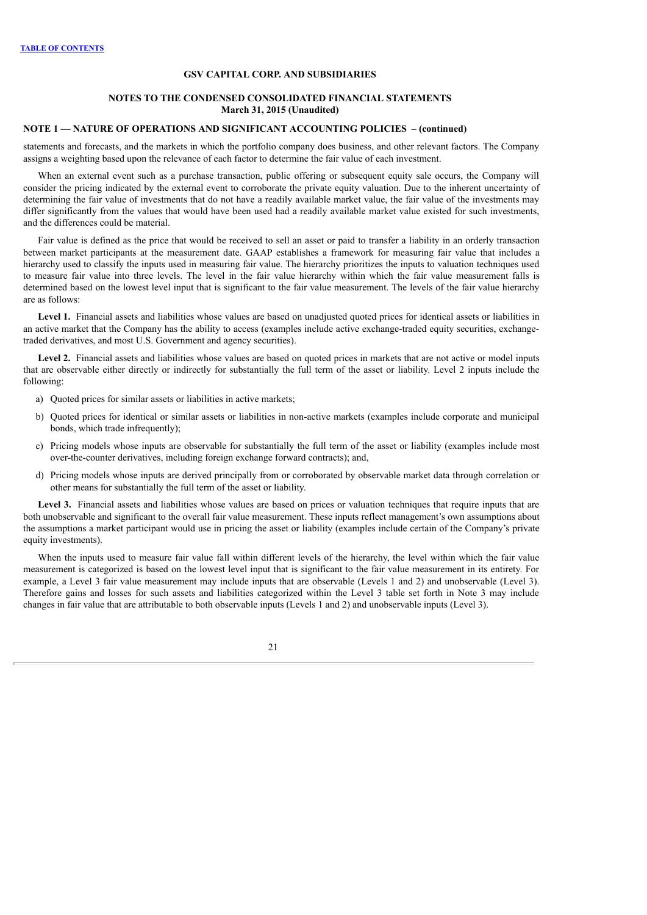### **NOTES TO THE CONDENSED CONSOLIDATED FINANCIAL STATEMENTS March 31, 2015 (Unaudited)**

### **NOTE 1 — NATURE OF OPERATIONS AND SIGNIFICANT ACCOUNTING POLICIES – (continued)**

statements and forecasts, and the markets in which the portfolio company does business, and other relevant factors. The Company assigns a weighting based upon the relevance of each factor to determine the fair value of each investment.

When an external event such as a purchase transaction, public offering or subsequent equity sale occurs, the Company will consider the pricing indicated by the external event to corroborate the private equity valuation. Due to the inherent uncertainty of determining the fair value of investments that do not have a readily available market value, the fair value of the investments may differ significantly from the values that would have been used had a readily available market value existed for such investments, and the differences could be material.

Fair value is defined as the price that would be received to sell an asset or paid to transfer a liability in an orderly transaction between market participants at the measurement date. GAAP establishes a framework for measuring fair value that includes a hierarchy used to classify the inputs used in measuring fair value. The hierarchy prioritizes the inputs to valuation techniques used to measure fair value into three levels. The level in the fair value hierarchy within which the fair value measurement falls is determined based on the lowest level input that is significant to the fair value measurement. The levels of the fair value hierarchy are as follows:

**Level 1.** Financial assets and liabilities whose values are based on unadjusted quoted prices for identical assets or liabilities in an active market that the Company has the ability to access (examples include active exchange-traded equity securities, exchangetraded derivatives, and most U.S. Government and agency securities).

**Level 2.** Financial assets and liabilities whose values are based on quoted prices in markets that are not active or model inputs that are observable either directly or indirectly for substantially the full term of the asset or liability. Level 2 inputs include the following:

- a) Quoted prices for similar assets or liabilities in active markets;
- b) Quoted prices for identical or similar assets or liabilities in non-active markets (examples include corporate and municipal bonds, which trade infrequently);
- c) Pricing models whose inputs are observable for substantially the full term of the asset or liability (examples include most over-the-counter derivatives, including foreign exchange forward contracts); and,
- d) Pricing models whose inputs are derived principally from or corroborated by observable market data through correlation or other means for substantially the full term of the asset or liability.

Level 3. Financial assets and liabilities whose values are based on prices or valuation techniques that require inputs that are both unobservable and significant to the overall fair value measurement. These inputs reflect management's own assumptions about the assumptions a market participant would use in pricing the asset or liability (examples include certain of the Company's private equity investments).

When the inputs used to measure fair value fall within different levels of the hierarchy, the level within which the fair value measurement is categorized is based on the lowest level input that is significant to the fair value measurement in its entirety. For example, a Level 3 fair value measurement may include inputs that are observable (Levels 1 and 2) and unobservable (Level 3). Therefore gains and losses for such assets and liabilities categorized within the Level 3 table set forth in Note 3 may include changes in fair value that are attributable to both observable inputs (Levels 1 and 2) and unobservable inputs (Level 3).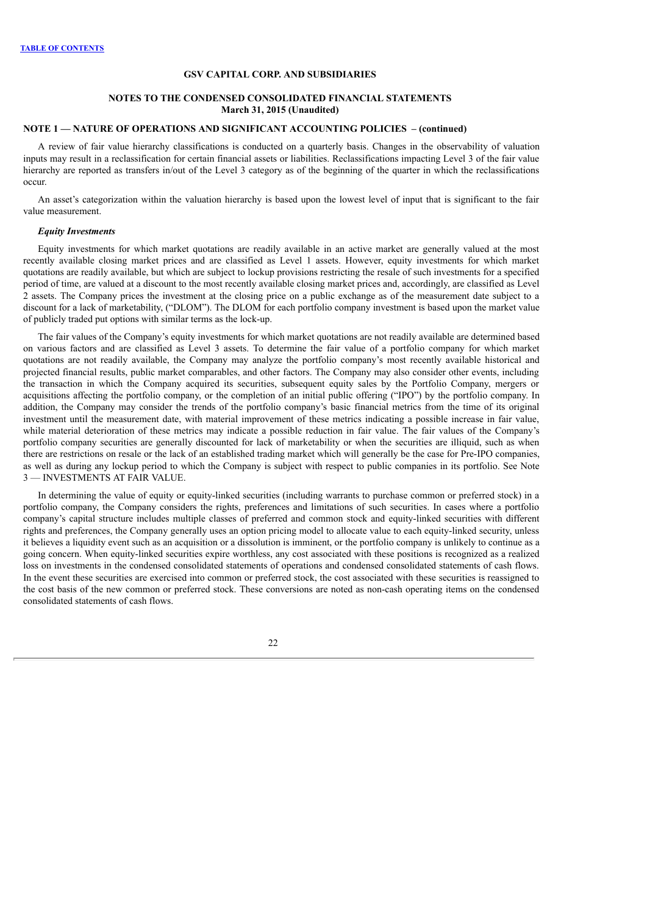### **NOTES TO THE CONDENSED CONSOLIDATED FINANCIAL STATEMENTS March 31, 2015 (Unaudited)**

## **NOTE 1 — NATURE OF OPERATIONS AND SIGNIFICANT ACCOUNTING POLICIES – (continued)**

A review of fair value hierarchy classifications is conducted on a quarterly basis. Changes in the observability of valuation inputs may result in a reclassification for certain financial assets or liabilities. Reclassifications impacting Level 3 of the fair value hierarchy are reported as transfers in/out of the Level 3 category as of the beginning of the quarter in which the reclassifications occur.

An asset's categorization within the valuation hierarchy is based upon the lowest level of input that is significant to the fair value measurement.

### *Equity Investments*

Equity investments for which market quotations are readily available in an active market are generally valued at the most recently available closing market prices and are classified as Level 1 assets. However, equity investments for which market quotations are readily available, but which are subject to lockup provisions restricting the resale of such investments for a specified period of time, are valued at a discount to the most recently available closing market prices and, accordingly, are classified as Level 2 assets. The Company prices the investment at the closing price on a public exchange as of the measurement date subject to a discount for a lack of marketability, ("DLOM"). The DLOM for each portfolio company investment is based upon the market value of publicly traded put options with similar terms as the lock-up.

The fair values of the Company's equity investments for which market quotations are not readily available are determined based on various factors and are classified as Level 3 assets. To determine the fair value of a portfolio company for which market quotations are not readily available, the Company may analyze the portfolio company's most recently available historical and projected financial results, public market comparables, and other factors. The Company may also consider other events, including the transaction in which the Company acquired its securities, subsequent equity sales by the Portfolio Company, mergers or acquisitions affecting the portfolio company, or the completion of an initial public offering ("IPO") by the portfolio company. In addition, the Company may consider the trends of the portfolio company's basic financial metrics from the time of its original investment until the measurement date, with material improvement of these metrics indicating a possible increase in fair value, while material deterioration of these metrics may indicate a possible reduction in fair value. The fair values of the Company's portfolio company securities are generally discounted for lack of marketability or when the securities are illiquid, such as when there are restrictions on resale or the lack of an established trading market which will generally be the case for Pre-IPO companies, as well as during any lockup period to which the Company is subject with respect to public companies in its portfolio. See Note 3 — INVESTMENTS AT FAIR VALUE.

In determining the value of equity or equity-linked securities (including warrants to purchase common or preferred stock) in a portfolio company, the Company considers the rights, preferences and limitations of such securities. In cases where a portfolio company's capital structure includes multiple classes of preferred and common stock and equity-linked securities with different rights and preferences, the Company generally uses an option pricing model to allocate value to each equity-linked security, unless it believes a liquidity event such as an acquisition or a dissolution is imminent, or the portfolio company is unlikely to continue as a going concern. When equity-linked securities expire worthless, any cost associated with these positions is recognized as a realized loss on investments in the condensed consolidated statements of operations and condensed consolidated statements of cash flows. In the event these securities are exercised into common or preferred stock, the cost associated with these securities is reassigned to the cost basis of the new common or preferred stock. These conversions are noted as non-cash operating items on the condensed consolidated statements of cash flows.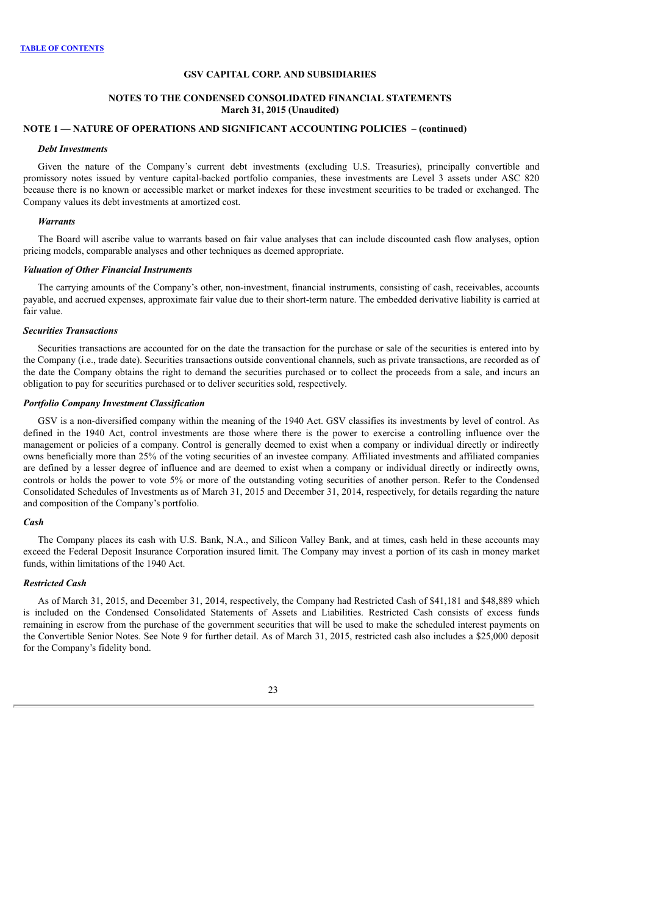### **NOTES TO THE CONDENSED CONSOLIDATED FINANCIAL STATEMENTS March 31, 2015 (Unaudited)**

# **NOTE 1 — NATURE OF OPERATIONS AND SIGNIFICANT ACCOUNTING POLICIES – (continued)**

#### *Debt Investments*

Given the nature of the Company's current debt investments (excluding U.S. Treasuries), principally convertible and promissory notes issued by venture capital-backed portfolio companies, these investments are Level 3 assets under ASC 820 because there is no known or accessible market or market indexes for these investment securities to be traded or exchanged. The Company values its debt investments at amortized cost.

#### *Warrants*

The Board will ascribe value to warrants based on fair value analyses that can include discounted cash flow analyses, option pricing models, comparable analyses and other techniques as deemed appropriate.

### *Valuation of Other Financial Instruments*

The carrying amounts of the Company's other, non-investment, financial instruments, consisting of cash, receivables, accounts payable, and accrued expenses, approximate fair value due to their short-term nature. The embedded derivative liability is carried at fair value.

### *Securities Transactions*

Securities transactions are accounted for on the date the transaction for the purchase or sale of the securities is entered into by the Company (i.e., trade date). Securities transactions outside conventional channels, such as private transactions, are recorded as of the date the Company obtains the right to demand the securities purchased or to collect the proceeds from a sale, and incurs an obligation to pay for securities purchased or to deliver securities sold, respectively.

### *Portfolio Company Investment Classification*

GSV is a non-diversified company within the meaning of the 1940 Act. GSV classifies its investments by level of control. As defined in the 1940 Act, control investments are those where there is the power to exercise a controlling influence over the management or policies of a company. Control is generally deemed to exist when a company or individual directly or indirectly owns beneficially more than 25% of the voting securities of an investee company. Affiliated investments and affiliated companies are defined by a lesser degree of influence and are deemed to exist when a company or individual directly or indirectly owns, controls or holds the power to vote 5% or more of the outstanding voting securities of another person. Refer to the Condensed Consolidated Schedules of Investments as of March 31, 2015 and December 31, 2014, respectively, for details regarding the nature and composition of the Company's portfolio.

#### *Cash*

The Company places its cash with U.S. Bank, N.A., and Silicon Valley Bank, and at times, cash held in these accounts may exceed the Federal Deposit Insurance Corporation insured limit. The Company may invest a portion of its cash in money market funds, within limitations of the 1940 Act.

## *Restricted Cash*

As of March 31, 2015, and December 31, 2014, respectively, the Company had Restricted Cash of \$41,181 and \$48,889 which is included on the Condensed Consolidated Statements of Assets and Liabilities. Restricted Cash consists of excess funds remaining in escrow from the purchase of the government securities that will be used to make the scheduled interest payments on the Convertible Senior Notes. See Note 9 for further detail. As of March 31, 2015, restricted cash also includes a \$25,000 deposit for the Company's fidelity bond.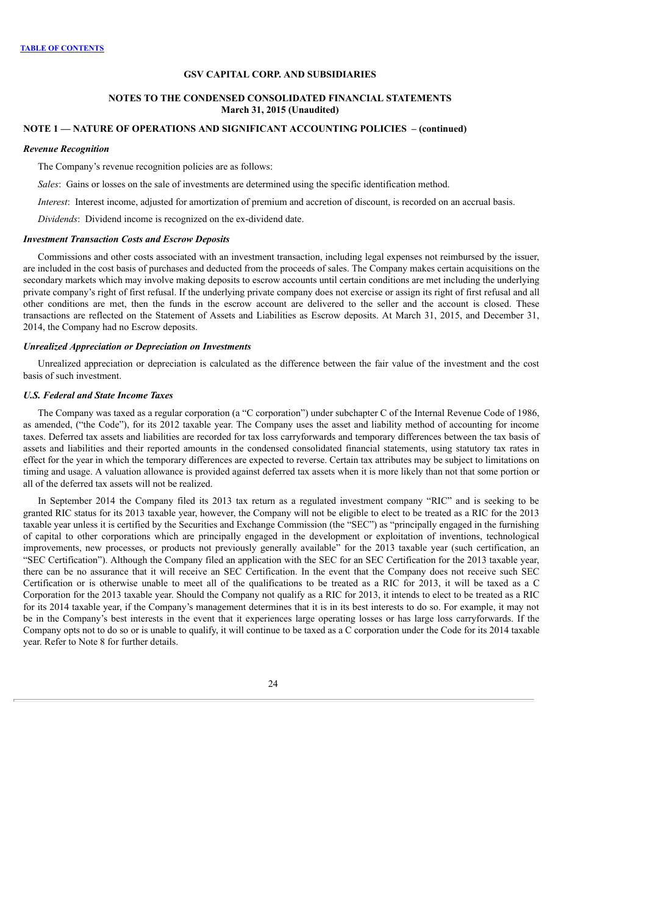### **NOTES TO THE CONDENSED CONSOLIDATED FINANCIAL STATEMENTS March 31, 2015 (Unaudited)**

## **NOTE 1 — NATURE OF OPERATIONS AND SIGNIFICANT ACCOUNTING POLICIES – (continued)**

#### *Revenue Recognition*

The Company's revenue recognition policies are as follows:

*Sales*: Gains or losses on the sale of investments are determined using the specific identification method.

*Interest*: Interest income, adjusted for amortization of premium and accretion of discount, is recorded on an accrual basis.

*Dividends*: Dividend income is recognized on the ex-dividend date.

#### *Investment Transaction Costs and Escrow Deposits*

Commissions and other costs associated with an investment transaction, including legal expenses not reimbursed by the issuer, are included in the cost basis of purchases and deducted from the proceeds of sales. The Company makes certain acquisitions on the secondary markets which may involve making deposits to escrow accounts until certain conditions are met including the underlying private company's right of first refusal. If the underlying private company does not exercise or assign its right of first refusal and all other conditions are met, then the funds in the escrow account are delivered to the seller and the account is closed. These transactions are reflected on the Statement of Assets and Liabilities as Escrow deposits. At March 31, 2015, and December 31, 2014, the Company had no Escrow deposits.

#### *Unrealized Appreciation or Depreciation on Investments*

Unrealized appreciation or depreciation is calculated as the difference between the fair value of the investment and the cost basis of such investment.

#### *U.S. Federal and State Income Taxes*

The Company was taxed as a regular corporation (a "C corporation") under subchapter C of the Internal Revenue Code of 1986, as amended, ("the Code"), for its 2012 taxable year. The Company uses the asset and liability method of accounting for income taxes. Deferred tax assets and liabilities are recorded for tax loss carryforwards and temporary differences between the tax basis of assets and liabilities and their reported amounts in the condensed consolidated financial statements, using statutory tax rates in effect for the year in which the temporary differences are expected to reverse. Certain tax attributes may be subject to limitations on timing and usage. A valuation allowance is provided against deferred tax assets when it is more likely than not that some portion or all of the deferred tax assets will not be realized.

In September 2014 the Company filed its 2013 tax return as a regulated investment company "RIC" and is seeking to be granted RIC status for its 2013 taxable year, however, the Company will not be eligible to elect to be treated as a RIC for the 2013 taxable year unless it is certified by the Securities and Exchange Commission (the "SEC") as "principally engaged in the furnishing of capital to other corporations which are principally engaged in the development or exploitation of inventions, technological improvements, new processes, or products not previously generally available" for the 2013 taxable year (such certification, an "SEC Certification"). Although the Company filed an application with the SEC for an SEC Certification for the 2013 taxable year, there can be no assurance that it will receive an SEC Certification. In the event that the Company does not receive such SEC Certification or is otherwise unable to meet all of the qualifications to be treated as a RIC for 2013, it will be taxed as a C Corporation for the 2013 taxable year. Should the Company not qualify as a RIC for 2013, it intends to elect to be treated as a RIC for its 2014 taxable year, if the Company's management determines that it is in its best interests to do so. For example, it may not be in the Company's best interests in the event that it experiences large operating losses or has large loss carryforwards. If the Company opts not to do so or is unable to qualify, it will continue to be taxed as a C corporation under the Code for its 2014 taxable year. Refer to Note 8 for further details.

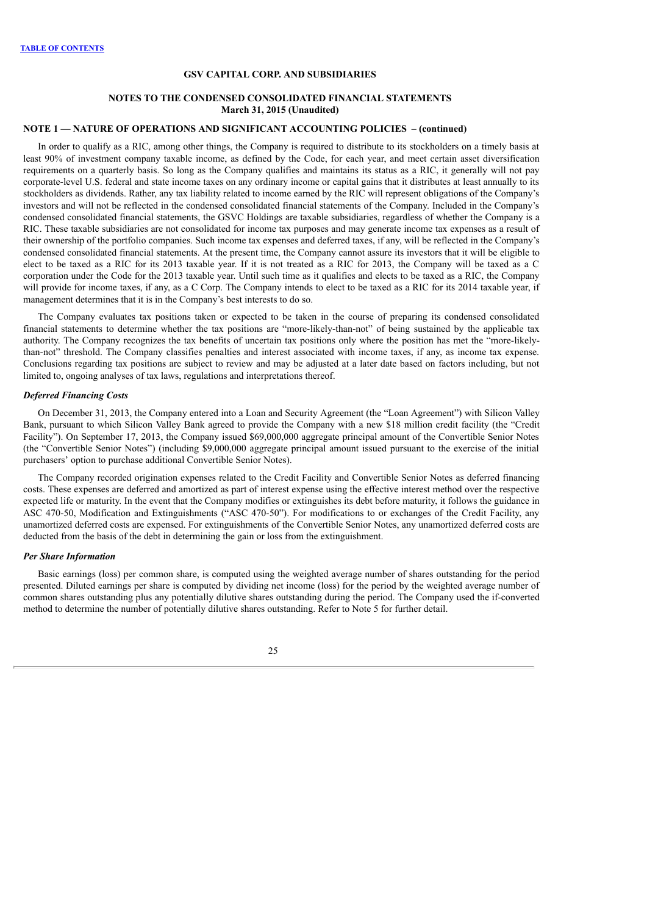### **NOTES TO THE CONDENSED CONSOLIDATED FINANCIAL STATEMENTS March 31, 2015 (Unaudited)**

## **NOTE 1 — NATURE OF OPERATIONS AND SIGNIFICANT ACCOUNTING POLICIES – (continued)**

In order to qualify as a RIC, among other things, the Company is required to distribute to its stockholders on a timely basis at least 90% of investment company taxable income, as defined by the Code, for each year, and meet certain asset diversification requirements on a quarterly basis. So long as the Company qualifies and maintains its status as a RIC, it generally will not pay corporate-level U.S. federal and state income taxes on any ordinary income or capital gains that it distributes at least annually to its stockholders as dividends. Rather, any tax liability related to income earned by the RIC will represent obligations of the Company's investors and will not be reflected in the condensed consolidated financial statements of the Company. Included in the Company's condensed consolidated financial statements, the GSVC Holdings are taxable subsidiaries, regardless of whether the Company is a RIC. These taxable subsidiaries are not consolidated for income tax purposes and may generate income tax expenses as a result of their ownership of the portfolio companies. Such income tax expenses and deferred taxes, if any, will be reflected in the Company's condensed consolidated financial statements. At the present time, the Company cannot assure its investors that it will be eligible to elect to be taxed as a RIC for its 2013 taxable year. If it is not treated as a RIC for 2013, the Company will be taxed as a C corporation under the Code for the 2013 taxable year. Until such time as it qualifies and elects to be taxed as a RIC, the Company will provide for income taxes, if any, as a C Corp. The Company intends to elect to be taxed as a RIC for its 2014 taxable year, if management determines that it is in the Company's best interests to do so.

The Company evaluates tax positions taken or expected to be taken in the course of preparing its condensed consolidated financial statements to determine whether the tax positions are "more-likely-than-not" of being sustained by the applicable tax authority. The Company recognizes the tax benefits of uncertain tax positions only where the position has met the "more-likelythan-not" threshold. The Company classifies penalties and interest associated with income taxes, if any, as income tax expense. Conclusions regarding tax positions are subject to review and may be adjusted at a later date based on factors including, but not limited to, ongoing analyses of tax laws, regulations and interpretations thereof.

#### *Deferred Financing Costs*

On December 31, 2013, the Company entered into a Loan and Security Agreement (the "Loan Agreement") with Silicon Valley Bank, pursuant to which Silicon Valley Bank agreed to provide the Company with a new \$18 million credit facility (the "Credit Facility"). On September 17, 2013, the Company issued \$69,000,000 aggregate principal amount of the Convertible Senior Notes (the "Convertible Senior Notes") (including \$9,000,000 aggregate principal amount issued pursuant to the exercise of the initial purchasers' option to purchase additional Convertible Senior Notes).

The Company recorded origination expenses related to the Credit Facility and Convertible Senior Notes as deferred financing costs. These expenses are deferred and amortized as part of interest expense using the effective interest method over the respective expected life or maturity. In the event that the Company modifies or extinguishes its debt before maturity, it follows the guidance in ASC 470-50, Modification and Extinguishments ("ASC 470-50"). For modifications to or exchanges of the Credit Facility, any unamortized deferred costs are expensed. For extinguishments of the Convertible Senior Notes, any unamortized deferred costs are deducted from the basis of the debt in determining the gain or loss from the extinguishment.

### *Per Share Information*

Basic earnings (loss) per common share, is computed using the weighted average number of shares outstanding for the period presented. Diluted earnings per share is computed by dividing net income (loss) for the period by the weighted average number of common shares outstanding plus any potentially dilutive shares outstanding during the period. The Company used the if-converted method to determine the number of potentially dilutive shares outstanding. Refer to Note 5 for further detail.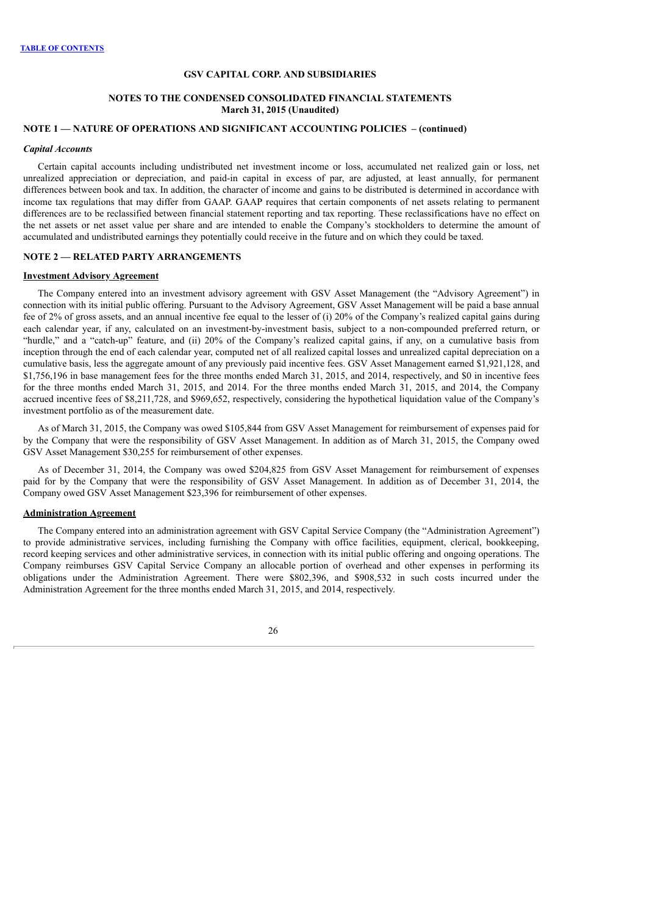### **NOTES TO THE CONDENSED CONSOLIDATED FINANCIAL STATEMENTS March 31, 2015 (Unaudited)**

## **NOTE 1 — NATURE OF OPERATIONS AND SIGNIFICANT ACCOUNTING POLICIES – (continued)**

### *Capital Accounts*

Certain capital accounts including undistributed net investment income or loss, accumulated net realized gain or loss, net unrealized appreciation or depreciation, and paid-in capital in excess of par, are adjusted, at least annually, for permanent differences between book and tax. In addition, the character of income and gains to be distributed is determined in accordance with income tax regulations that may differ from GAAP. GAAP requires that certain components of net assets relating to permanent differences are to be reclassified between financial statement reporting and tax reporting. These reclassifications have no effect on the net assets or net asset value per share and are intended to enable the Company's stockholders to determine the amount of accumulated and undistributed earnings they potentially could receive in the future and on which they could be taxed.

## **NOTE 2 — RELATED PARTY ARRANGEMENTS**

#### **Investment Advisory Agreement**

The Company entered into an investment advisory agreement with GSV Asset Management (the "Advisory Agreement") in connection with its initial public offering. Pursuant to the Advisory Agreement, GSV Asset Management will be paid a base annual fee of 2% of gross assets, and an annual incentive fee equal to the lesser of (i) 20% of the Company's realized capital gains during each calendar year, if any, calculated on an investment-by-investment basis, subject to a non-compounded preferred return, or "hurdle," and a "catch-up" feature, and (ii) 20% of the Company's realized capital gains, if any, on a cumulative basis from inception through the end of each calendar year, computed net of all realized capital losses and unrealized capital depreciation on a cumulative basis, less the aggregate amount of any previously paid incentive fees. GSV Asset Management earned \$1,921,128, and \$1,756,196 in base management fees for the three months ended March 31, 2015, and 2014, respectively, and \$0 in incentive fees for the three months ended March 31, 2015, and 2014. For the three months ended March 31, 2015, and 2014, the Company accrued incentive fees of \$8,211,728, and \$969,652, respectively, considering the hypothetical liquidation value of the Company's investment portfolio as of the measurement date.

As of March 31, 2015, the Company was owed \$105,844 from GSV Asset Management for reimbursement of expenses paid for by the Company that were the responsibility of GSV Asset Management. In addition as of March 31, 2015, the Company owed GSV Asset Management \$30,255 for reimbursement of other expenses.

As of December 31, 2014, the Company was owed \$204,825 from GSV Asset Management for reimbursement of expenses paid for by the Company that were the responsibility of GSV Asset Management. In addition as of December 31, 2014, the Company owed GSV Asset Management \$23,396 for reimbursement of other expenses.

#### **Administration Agreement**

The Company entered into an administration agreement with GSV Capital Service Company (the "Administration Agreement") to provide administrative services, including furnishing the Company with office facilities, equipment, clerical, bookkeeping, record keeping services and other administrative services, in connection with its initial public offering and ongoing operations. The Company reimburses GSV Capital Service Company an allocable portion of overhead and other expenses in performing its obligations under the Administration Agreement. There were \$802,396, and \$908,532 in such costs incurred under the Administration Agreement for the three months ended March 31, 2015, and 2014, respectively.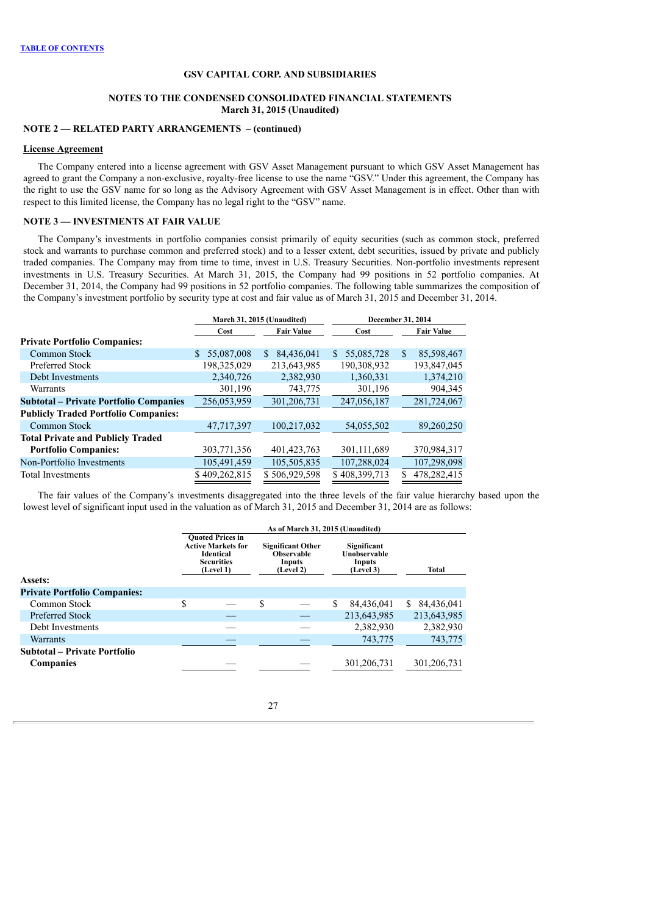### **NOTES TO THE CONDENSED CONSOLIDATED FINANCIAL STATEMENTS March 31, 2015 (Unaudited)**

## **NOTE 2 — RELATED PARTY ARRANGEMENTS – (continued)**

#### **License Agreement**

The Company entered into a license agreement with GSV Asset Management pursuant to which GSV Asset Management has agreed to grant the Company a non-exclusive, royalty-free license to use the name "GSV." Under this agreement, the Company has the right to use the GSV name for so long as the Advisory Agreement with GSV Asset Management is in effect. Other than with respect to this limited license, the Company has no legal right to the "GSV" name.

## **NOTE 3 — INVESTMENTS AT FAIR VALUE**

The Company's investments in portfolio companies consist primarily of equity securities (such as common stock, preferred stock and warrants to purchase common and preferred stock) and to a lesser extent, debt securities, issued by private and publicly traded companies. The Company may from time to time, invest in U.S. Treasury Securities. Non-portfolio investments represent investments in U.S. Treasury Securities. At March 31, 2015, the Company had 99 positions in 52 portfolio companies. At December 31, 2014, the Company had 99 positions in 52 portfolio companies. The following table summarizes the composition of the Company's investment portfolio by security type at cost and fair value as of March 31, 2015 and December 31, 2014.

|                                               |                  | March 31, 2015 (Unaudited) | <b>December 31, 2014</b> |                   |  |  |
|-----------------------------------------------|------------------|----------------------------|--------------------------|-------------------|--|--|
|                                               | Cost             | <b>Fair Value</b>          | Cost                     | <b>Fair Value</b> |  |  |
| <b>Private Portfolio Companies:</b>           |                  |                            |                          |                   |  |  |
| Common Stock                                  | 55,087,008<br>S. | 84.436.041<br>S.           | 55,085,728<br>S.         | 85.598.467<br>\$  |  |  |
| Preferred Stock                               | 198,325,029      | 213,643,985                | 190,308,932              | 193,847,045       |  |  |
| Debt Investments                              | 2,340,726        | 2,382,930                  | 1,360,331                | 1,374,210         |  |  |
| Warrants                                      | 301,196          | 743,775                    | 301,196                  | 904,345           |  |  |
| <b>Subtotal – Private Portfolio Companies</b> | 256,053,959      | 301,206,731                | 247,056,187              | 281,724,067       |  |  |
| <b>Publicly Traded Portfolio Companies:</b>   |                  |                            |                          |                   |  |  |
| Common Stock                                  | 47,717,397       | 100,217,032                | 54,055,502               | 89,260,250        |  |  |
| <b>Total Private and Publicly Traded</b>      |                  |                            |                          |                   |  |  |
| <b>Portfolio Companies:</b>                   | 303,771,356      | 401, 423, 763              | 301,111,689              | 370,984,317       |  |  |
| Non-Portfolio Investments                     | 105,491,459      | 105,505,835                | 107,288,024              | 107,298,098       |  |  |
| <b>Total Investments</b>                      | \$409,262,815    | \$506,929,598              | \$408,399,713            | 478,282,415       |  |  |
|                                               |                  |                            |                          |                   |  |  |

The fair values of the Company's investments disaggregated into the three levels of the fair value hierarchy based upon the lowest level of significant input used in the valuation as of March 31, 2015 and December 31, 2014 are as follows:

|                                                  |                                                                                                            | As of March 31, 2015 (Unaudited) |                                                                      |   |                                                    |                  |
|--------------------------------------------------|------------------------------------------------------------------------------------------------------------|----------------------------------|----------------------------------------------------------------------|---|----------------------------------------------------|------------------|
| Assets:                                          | <b>Ouoted Prices in</b><br><b>Active Markets for</b><br><b>Identical</b><br><b>Securities</b><br>(Level 1) |                                  | <b>Significant Other</b><br><b>Observable</b><br>Inputs<br>(Level 2) |   | Significant<br>Unobservable<br>Inputs<br>(Level 3) | Total            |
| <b>Private Portfolio Companies:</b>              |                                                                                                            |                                  |                                                                      |   |                                                    |                  |
| Common Stock                                     | \$                                                                                                         | \$                               |                                                                      | S | 84,436,041                                         | 84,436,041<br>S. |
| <b>Preferred Stock</b>                           |                                                                                                            |                                  |                                                                      |   | 213,643,985                                        | 213,643,985      |
| Debt Investments                                 |                                                                                                            |                                  |                                                                      |   | 2,382,930                                          | 2,382,930        |
| <b>Warrants</b>                                  |                                                                                                            |                                  |                                                                      |   | 743,775                                            | 743,775          |
| Subtotal – Private Portfolio<br><b>Companies</b> |                                                                                                            |                                  |                                                                      |   | 301, 206, 731                                      | 301,206,731      |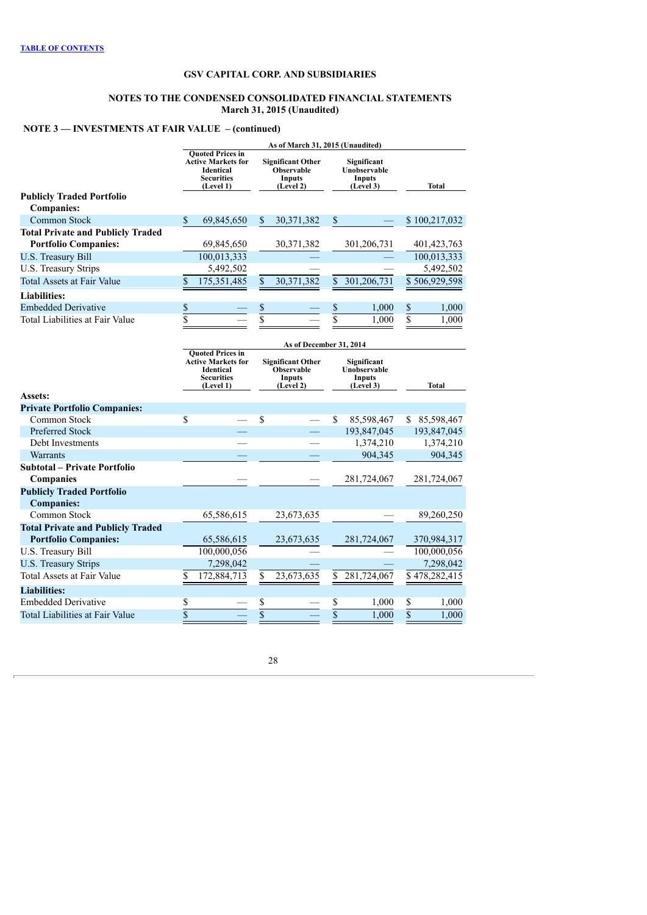#### **NOTES TO THE CONDENSED CONSOLIDATED FINANCIAL STATEMENTS March 31, 2015 (Unaudited)**

# **NOTE 3 — INVESTMENTS AT FAIR VALUE – (continued)**

|                                          | As of March 31, 2015 (Unaudited) |                                                                                                            |                                                                                                                      |                         |                         |                                                           |                 |               |
|------------------------------------------|----------------------------------|------------------------------------------------------------------------------------------------------------|----------------------------------------------------------------------------------------------------------------------|-------------------------|-------------------------|-----------------------------------------------------------|-----------------|---------------|
|                                          |                                  | <b>Quoted Prices in</b><br><b>Active Markets for</b><br><b>Identical</b><br><b>Securities</b><br>(Level 1) | <b>Significant Other</b><br>Observable<br>Inputs<br>(Level 2)                                                        |                         |                         | Significant<br>Unobservable<br><b>Inputs</b><br>(Level 3) |                 | <b>Total</b>  |
| <b>Publicly Traded Portfolio</b>         |                                  |                                                                                                            |                                                                                                                      |                         |                         |                                                           |                 |               |
| <b>Companies:</b>                        |                                  |                                                                                                            |                                                                                                                      |                         |                         |                                                           |                 |               |
| <b>Common Stock</b>                      | \$                               | 69,845,650                                                                                                 | \$                                                                                                                   | 30,371,382              | \$                      |                                                           |                 | \$100,217,032 |
| <b>Total Private and Publicly Traded</b> |                                  |                                                                                                            |                                                                                                                      |                         |                         |                                                           |                 |               |
| <b>Portfolio Companies:</b>              |                                  | 69,845,650                                                                                                 |                                                                                                                      | 30, 371, 382            |                         | 301,206,731                                               |                 | 401, 423, 763 |
| <b>U.S. Treasury Bill</b>                |                                  | 100,013,333                                                                                                |                                                                                                                      |                         |                         |                                                           |                 | 100,013,333   |
| U.S. Treasury Strips                     |                                  | 5,492,502                                                                                                  |                                                                                                                      |                         |                         |                                                           |                 | 5,492,502     |
| <b>Total Assets at Fair Value</b>        | \$                               | 175,351,485                                                                                                | \$                                                                                                                   | 30,371,382              | \$                      | 301,206,731                                               |                 | \$506,929,598 |
| <b>Liabilities:</b>                      |                                  |                                                                                                            |                                                                                                                      |                         |                         |                                                           |                 |               |
| <b>Embedded Derivative</b>               | \$                               |                                                                                                            | \$                                                                                                                   |                         | \$                      | 1,000                                                     | \$              | 1,000         |
| Total Liabilities at Fair Value          | \$                               |                                                                                                            | $\overline{\$}$                                                                                                      |                         | $\overline{\$}$         | 1.000                                                     | $\overline{s}$  | 1.000         |
|                                          |                                  |                                                                                                            |                                                                                                                      |                         |                         |                                                           |                 |               |
|                                          |                                  |                                                                                                            |                                                                                                                      | As of December 31, 2014 |                         |                                                           |                 |               |
|                                          |                                  | <b>Quoted Prices in</b><br><b>Active Markets for</b><br><b>Identical</b><br><b>Securities</b><br>(Level 1) | <b>Significant Other</b><br>Significant<br><b>Observable</b><br>Unobservable<br>Inputs<br><b>Inputs</b><br>(Level 2) |                         | (Level 3)               |                                                           | <b>Total</b>    |               |
| Assets:                                  |                                  |                                                                                                            |                                                                                                                      |                         |                         |                                                           |                 |               |
| <b>Private Portfolio Companies:</b>      |                                  |                                                                                                            |                                                                                                                      |                         |                         |                                                           |                 |               |
| Common Stock                             | \$                               |                                                                                                            | \$                                                                                                                   |                         | \$                      | 85,598,467                                                |                 | \$85,598,467  |
| Preferred Stock                          |                                  |                                                                                                            |                                                                                                                      |                         |                         | 193,847,045                                               |                 | 193,847,045   |
| Debt Investments                         |                                  |                                                                                                            |                                                                                                                      |                         |                         | 1,374,210                                                 |                 | 1,374,210     |
| Warrants                                 |                                  |                                                                                                            |                                                                                                                      |                         |                         | 904,345                                                   |                 | 904,345       |
| <b>Subtotal – Private Portfolio</b>      |                                  |                                                                                                            |                                                                                                                      |                         |                         |                                                           |                 |               |
| Companies                                |                                  |                                                                                                            |                                                                                                                      |                         |                         | 281,724,067                                               |                 | 281,724,067   |
| <b>Publicly Traded Portfolio</b>         |                                  |                                                                                                            |                                                                                                                      |                         |                         |                                                           |                 |               |
| <b>Companies:</b>                        |                                  |                                                                                                            |                                                                                                                      |                         |                         |                                                           |                 |               |
| Common Stock                             |                                  | 65,586,615                                                                                                 |                                                                                                                      | 23,673,635              |                         |                                                           |                 | 89,260,250    |
| <b>Total Private and Publicly Traded</b> |                                  |                                                                                                            |                                                                                                                      |                         |                         |                                                           |                 |               |
| <b>Portfolio Companies:</b>              |                                  | 65,586,615                                                                                                 |                                                                                                                      | 23,673,635              |                         | 281,724,067                                               |                 | 370,984,317   |
| U.S. Treasury Bill                       |                                  | 100,000,056                                                                                                |                                                                                                                      |                         |                         |                                                           |                 | 100,000,056   |
| <b>U.S. Treasury Strips</b>              |                                  | 7,298,042                                                                                                  |                                                                                                                      |                         |                         |                                                           |                 | 7,298,042     |
| Total Assets at Fair Value               | \$                               | 172,884,713                                                                                                | \$                                                                                                                   | 23,673,635              | \$                      | 281,724,067                                               |                 | \$478,282,415 |
| <b>Liabilities:</b>                      |                                  |                                                                                                            |                                                                                                                      |                         |                         |                                                           |                 |               |
| <b>Embedded Derivative</b>               | \$                               |                                                                                                            | \$                                                                                                                   |                         | \$                      | 1,000                                                     | \$              | 1.000         |
| <b>Total Liabilities at Fair Value</b>   | $\overline{\$}$                  |                                                                                                            | $\overline{\$}$                                                                                                      |                         | $\overline{\mathbb{S}}$ | 1,000                                                     | $\overline{\$}$ | 1,000         |
|                                          |                                  |                                                                                                            |                                                                                                                      |                         |                         |                                                           |                 |               |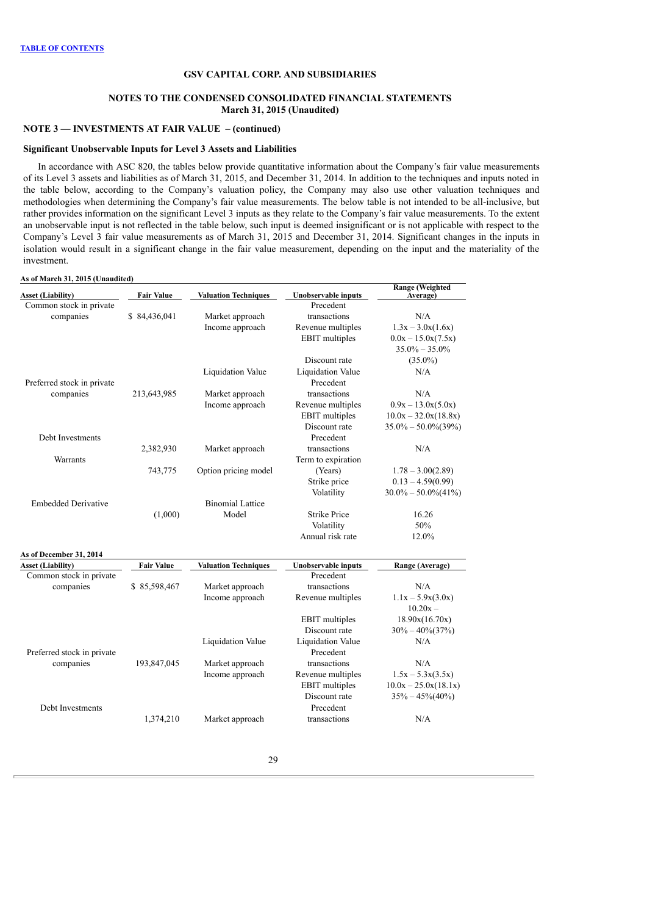### **NOTES TO THE CONDENSED CONSOLIDATED FINANCIAL STATEMENTS March 31, 2015 (Unaudited)**

# **NOTE 3 — INVESTMENTS AT FAIR VALUE – (continued)**

#### **Significant Unobservable Inputs for Level 3 Assets and Liabilities**

In accordance with ASC 820, the tables below provide quantitative information about the Company's fair value measurements of its Level 3 assets and liabilities as of March 31, 2015, and December 31, 2014. In addition to the techniques and inputs noted in the table below, according to the Company's valuation policy, the Company may also use other valuation techniques and methodologies when determining the Company's fair value measurements. The below table is not intended to be all-inclusive, but rather provides information on the significant Level 3 inputs as they relate to the Company's fair value measurements. To the extent an unobservable input is not reflected in the table below, such input is deemed insignificant or is not applicable with respect to the Company's Level 3 fair value measurements as of March 31, 2015 and December 31, 2014. Significant changes in the inputs in isolation would result in a significant change in the fair value measurement, depending on the input and the materiality of the investment.

#### **As of March 31, 2015 (Unaudited)**

| <b>Fair Value</b> | <b>Valuation Techniques</b>                                                    | Unobservable inputs                                                                                                                                                                             | <b>Range (Weighted</b><br>Average)                                                                                                                                                                                                                                                                                                             |
|-------------------|--------------------------------------------------------------------------------|-------------------------------------------------------------------------------------------------------------------------------------------------------------------------------------------------|------------------------------------------------------------------------------------------------------------------------------------------------------------------------------------------------------------------------------------------------------------------------------------------------------------------------------------------------|
|                   |                                                                                | Precedent                                                                                                                                                                                       |                                                                                                                                                                                                                                                                                                                                                |
|                   |                                                                                | transactions                                                                                                                                                                                    | N/A                                                                                                                                                                                                                                                                                                                                            |
|                   |                                                                                |                                                                                                                                                                                                 | $1.3x - 3.0x(1.6x)$                                                                                                                                                                                                                                                                                                                            |
|                   |                                                                                |                                                                                                                                                                                                 | $0.0x - 15.0x(7.5x)$                                                                                                                                                                                                                                                                                                                           |
|                   |                                                                                |                                                                                                                                                                                                 | $35.0\% - 35.0\%$                                                                                                                                                                                                                                                                                                                              |
|                   |                                                                                |                                                                                                                                                                                                 | $(35.0\%)$                                                                                                                                                                                                                                                                                                                                     |
|                   |                                                                                |                                                                                                                                                                                                 | N/A                                                                                                                                                                                                                                                                                                                                            |
|                   |                                                                                |                                                                                                                                                                                                 |                                                                                                                                                                                                                                                                                                                                                |
|                   |                                                                                |                                                                                                                                                                                                 | N/A                                                                                                                                                                                                                                                                                                                                            |
|                   |                                                                                |                                                                                                                                                                                                 | $0.9x - 13.0x(5.0x)$                                                                                                                                                                                                                                                                                                                           |
|                   |                                                                                |                                                                                                                                                                                                 | $10.0x - 32.0x(18.8x)$                                                                                                                                                                                                                                                                                                                         |
|                   |                                                                                |                                                                                                                                                                                                 | $35.0\% - 50.0\%$ (39%)                                                                                                                                                                                                                                                                                                                        |
|                   |                                                                                |                                                                                                                                                                                                 |                                                                                                                                                                                                                                                                                                                                                |
|                   |                                                                                |                                                                                                                                                                                                 | N/A                                                                                                                                                                                                                                                                                                                                            |
|                   |                                                                                |                                                                                                                                                                                                 |                                                                                                                                                                                                                                                                                                                                                |
|                   |                                                                                |                                                                                                                                                                                                 |                                                                                                                                                                                                                                                                                                                                                |
|                   |                                                                                |                                                                                                                                                                                                 | $1.78 - 3.00(2.89)$                                                                                                                                                                                                                                                                                                                            |
|                   |                                                                                |                                                                                                                                                                                                 | $0.13 - 4.59(0.99)$                                                                                                                                                                                                                                                                                                                            |
|                   |                                                                                |                                                                                                                                                                                                 | $30.0\% - 50.0\% (41\%)$                                                                                                                                                                                                                                                                                                                       |
|                   |                                                                                |                                                                                                                                                                                                 |                                                                                                                                                                                                                                                                                                                                                |
|                   |                                                                                |                                                                                                                                                                                                 | 16.26                                                                                                                                                                                                                                                                                                                                          |
|                   |                                                                                |                                                                                                                                                                                                 | 50%                                                                                                                                                                                                                                                                                                                                            |
|                   |                                                                                |                                                                                                                                                                                                 | 12.0%                                                                                                                                                                                                                                                                                                                                          |
|                   |                                                                                |                                                                                                                                                                                                 |                                                                                                                                                                                                                                                                                                                                                |
| <b>Fair Value</b> | <b>Valuation Techniques</b>                                                    | <b>Unobservable inputs</b>                                                                                                                                                                      | Range (Average)                                                                                                                                                                                                                                                                                                                                |
|                   |                                                                                |                                                                                                                                                                                                 |                                                                                                                                                                                                                                                                                                                                                |
|                   |                                                                                | transactions                                                                                                                                                                                    | N/A                                                                                                                                                                                                                                                                                                                                            |
|                   | Income approach                                                                | Revenue multiples                                                                                                                                                                               | $1.1x - 5.9x(3.0x)$                                                                                                                                                                                                                                                                                                                            |
|                   |                                                                                |                                                                                                                                                                                                 | $10.20x -$                                                                                                                                                                                                                                                                                                                                     |
|                   |                                                                                | <b>EBIT</b> multiples                                                                                                                                                                           | 18.90x(16.70x)                                                                                                                                                                                                                                                                                                                                 |
|                   |                                                                                | Discount rate                                                                                                                                                                                   | $30\% - 40\% (37\%)$                                                                                                                                                                                                                                                                                                                           |
|                   | <b>Liquidation Value</b>                                                       | Liquidation Value                                                                                                                                                                               | N/A                                                                                                                                                                                                                                                                                                                                            |
|                   |                                                                                | Precedent                                                                                                                                                                                       |                                                                                                                                                                                                                                                                                                                                                |
| 193,847,045       | Market approach                                                                | transactions                                                                                                                                                                                    | N/A                                                                                                                                                                                                                                                                                                                                            |
|                   | Income approach                                                                | Revenue multiples                                                                                                                                                                               | $1.5x - 5.3x(3.5x)$                                                                                                                                                                                                                                                                                                                            |
|                   |                                                                                | <b>EBIT</b> multiples                                                                                                                                                                           | $10.0x - 25.0x(18.1x)$                                                                                                                                                                                                                                                                                                                         |
|                   |                                                                                | Discount rate                                                                                                                                                                                   | $35\% - 45\%(40\%)$                                                                                                                                                                                                                                                                                                                            |
|                   |                                                                                | Precedent                                                                                                                                                                                       |                                                                                                                                                                                                                                                                                                                                                |
|                   |                                                                                |                                                                                                                                                                                                 |                                                                                                                                                                                                                                                                                                                                                |
| 1,374,210         | Market approach                                                                | transactions                                                                                                                                                                                    | N/A                                                                                                                                                                                                                                                                                                                                            |
|                   | \$84,436,041<br>213,643,985<br>2,382,930<br>743,775<br>(1,000)<br>\$85,598,467 | Market approach<br>Income approach<br>Liquidation Value<br>Market approach<br>Income approach<br>Market approach<br>Option pricing model<br><b>Binomial Lattice</b><br>Model<br>Market approach | Revenue multiples<br><b>EBIT</b> multiples<br>Discount rate<br>Liquidation Value<br>Precedent<br>transactions<br>Revenue multiples<br><b>EBIT</b> multiples<br>Discount rate<br>Precedent<br>transactions<br>Term to expiration<br>(Years)<br>Strike price<br>Volatility<br><b>Strike Price</b><br>Volatility<br>Annual risk rate<br>Precedent |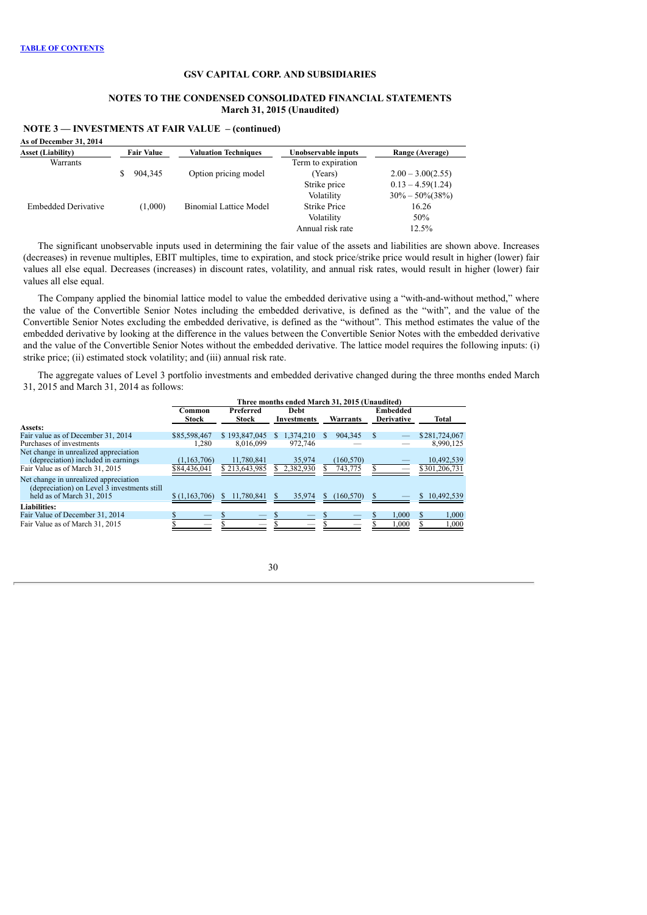### **NOTES TO THE CONDENSED CONSOLIDATED FINANCIAL STATEMENTS March 31, 2015 (Unaudited)**

| <b>Fair Value</b> |         | <b>Valuation Techniques</b>   | Unobservable inputs | Range (Average)      |
|-------------------|---------|-------------------------------|---------------------|----------------------|
|                   |         |                               | Term to expiration  |                      |
|                   |         | Option pricing model          | (Years)             | $2.00 - 3.00(2.55)$  |
|                   |         |                               | Strike price        | $0.13 - 4.59(1.24)$  |
|                   |         |                               | Volatility          | $30\% - 50\% (38\%)$ |
|                   | (1,000) | <b>Binomial Lattice Model</b> | <b>Strike Price</b> | 16.26                |
|                   |         |                               | Volatility          | 50%                  |
|                   |         |                               | Annual risk rate    | 12.5%                |
|                   |         | 904,345                       |                     |                      |

**NOTE 3 — INVESTMENTS AT FAIR VALUE – (continued)**

The significant unobservable inputs used in determining the fair value of the assets and liabilities are shown above. Increases (decreases) in revenue multiples, EBIT multiples, time to expiration, and stock price/strike price would result in higher (lower) fair values all else equal. Decreases (increases) in discount rates, volatility, and annual risk rates, would result in higher (lower) fair values all else equal.

The Company applied the binomial lattice model to value the embedded derivative using a "with-and-without method," where the value of the Convertible Senior Notes including the embedded derivative, is defined as the "with", and the value of the Convertible Senior Notes excluding the embedded derivative, is defined as the "without". This method estimates the value of the embedded derivative by looking at the difference in the values between the Convertible Senior Notes with the embedded derivative and the value of the Convertible Senior Notes without the embedded derivative. The lattice model requires the following inputs: (i) strike price; (ii) estimated stock volatility; and (iii) annual risk rate.

The aggregate values of Level 3 portfolio investments and embedded derivative changed during the three months ended March 31, 2015 and March 31, 2014 as follows:

|                                                                                                                                | Three months ended March 31, 2015 (Unaudited) |                                                                |                     |                       |                               |                             |  |  |  |  |
|--------------------------------------------------------------------------------------------------------------------------------|-----------------------------------------------|----------------------------------------------------------------|---------------------|-----------------------|-------------------------------|-----------------------------|--|--|--|--|
|                                                                                                                                | Common<br><b>Stock</b>                        | Preferred<br><b>Debt</b><br><b>Stock</b><br><b>Investments</b> |                     | Warrants              | Embedded<br><b>Derivative</b> |                             |  |  |  |  |
| Assets:                                                                                                                        |                                               |                                                                |                     |                       |                               |                             |  |  |  |  |
| Fair value as of December 31, 2014                                                                                             | \$85,598,467                                  | \$193,847,045                                                  | 1.374.210           | 904,345<br>S.         |                               | \$281,724,067               |  |  |  |  |
| Purchases of investments                                                                                                       | 1,280                                         | 8,016,099                                                      | 972.746             |                       |                               | 8,990,125                   |  |  |  |  |
| Net change in unrealized appreciation<br>(depreciation) included in earnings<br>Fair Value as of March 31, 2015                | (1, 163, 706)<br>\$84,436,041                 | 11.780.841<br>\$213,643,985                                    | 35.974<br>2,382,930 | (160, 570)<br>743,775 |                               | 10,492,539<br>\$301,206,731 |  |  |  |  |
| Net change in unrealized appreciation<br>(depreciation) on Level $\overline{3}$ investments still<br>held as of March 31, 2015 | \$(1,163,706)                                 | 11,780,841                                                     | 35,974              | (160, 570)<br>\$.     |                               | 10,492,539                  |  |  |  |  |
| <b>Liabilities:</b>                                                                                                            |                                               |                                                                |                     |                       |                               |                             |  |  |  |  |
| Fair Value of December 31, 2014<br>Fair Value as of March 31, 2015                                                             |                                               |                                                                |                     |                       | 1,000<br>1,000                | 1,000<br>1,000              |  |  |  |  |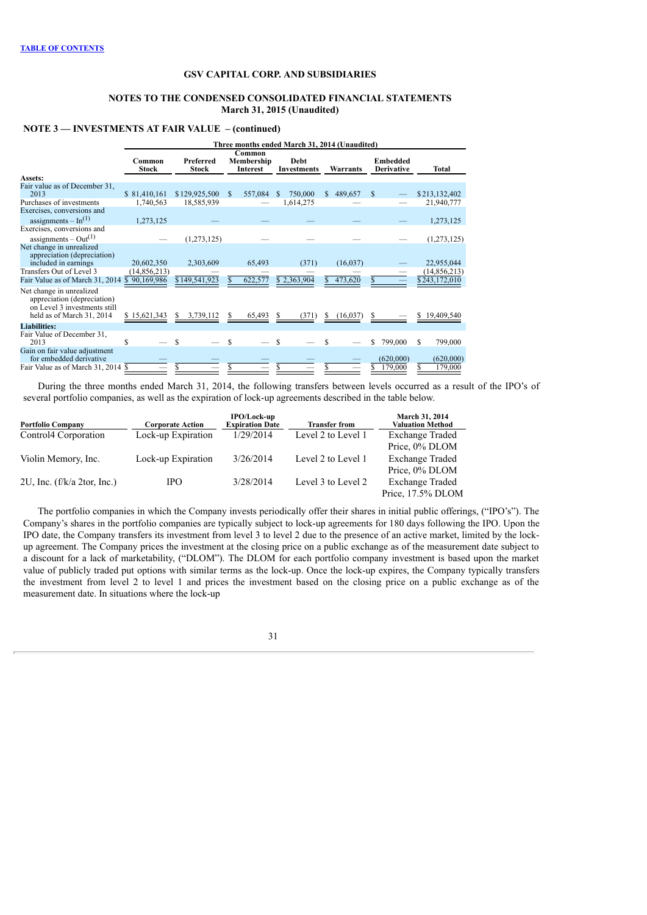### **NOTES TO THE CONDENSED CONSOLIDATED FINANCIAL STATEMENTS March 31, 2015 (Unaudited)**

## **NOTE 3 — INVESTMENTS AT FAIR VALUE – (continued)**

|                                                                                                                      | Three months ended March 31, 2014 (Unaudited) |                                                               |     |                                        |    |             |                                      |           |       |           |                |
|----------------------------------------------------------------------------------------------------------------------|-----------------------------------------------|---------------------------------------------------------------|-----|----------------------------------------|----|-------------|--------------------------------------|-----------|-------|-----------|----------------|
|                                                                                                                      | Common<br><b>Stock</b>                        | Common<br>Preferred<br>Membership<br>Stock<br><b>Interest</b> |     | Debt<br>Warrants<br><b>Investments</b> |    |             | <b>Embedded</b><br><b>Derivative</b> |           | Total |           |                |
| Assets:                                                                                                              |                                               |                                                               |     |                                        |    |             |                                      |           |       |           |                |
| Fair value as of December 31.<br>2013                                                                                | \$81,410,161                                  | \$129,925,500                                                 | \$. | 557,084                                | S. | 750,000     | S.                                   | 489,657   | -S    |           | \$213,132,402  |
| Purchases of investments                                                                                             | 1,740,563                                     | 18,585,939                                                    |     |                                        |    | 1,614,275   |                                      |           |       |           | 21,940,777     |
| Exercises, conversions and                                                                                           |                                               |                                                               |     |                                        |    |             |                                      |           |       |           |                |
| assignments $-$ In <sup>(1)</sup>                                                                                    | 1,273,125                                     |                                                               |     |                                        |    |             |                                      |           |       |           | 1,273,125      |
| Exercises, conversions and                                                                                           |                                               |                                                               |     |                                        |    |             |                                      |           |       |           |                |
| assignments – $Out(1)$                                                                                               |                                               | (1,273,125)                                                   |     |                                        |    |             |                                      |           |       |           | (1,273,125)    |
| Net change in unrealized<br>appreciation (depreciation)<br>included in earnings                                      | 20,602,350                                    | 2,303,609                                                     |     | 65,493                                 |    | (371)       |                                      | (16, 037) |       |           | 22,955,044     |
| Transfers Out of Level 3                                                                                             | (14, 856, 213)                                |                                                               |     |                                        |    |             |                                      |           |       |           | (14, 856, 213) |
| Fair Value as of March 31, 2014 \$90,169,986                                                                         |                                               | \$149,541,923                                                 |     | 622,577                                |    | \$2,363,904 |                                      | 473,620   |       |           | \$243,172,010  |
| Net change in unrealized<br>appreciation (depreciation)<br>on Level 3 investments still<br>held as of March 31, 2014 | \$15,621,343                                  | 3,739,112                                                     |     | 65,493                                 |    | (371)       | S                                    | (16,037)  |       |           | 19,409,540     |
| Liabilities:                                                                                                         |                                               |                                                               |     |                                        |    |             |                                      |           |       |           |                |
| Fair Value of December 31.<br>2013                                                                                   | S                                             |                                                               | \$. |                                        | \$ |             |                                      |           | \$    | 799,000   | \$<br>799,000  |
| Gain on fair value adjustment<br>for embedded derivative                                                             |                                               |                                                               |     |                                        |    |             |                                      |           |       | (620,000) | (620,000)      |
| Fair Value as of March 31, 2014 \$                                                                                   |                                               |                                                               |     |                                        |    |             |                                      |           |       | 179,000   | 179,000        |

During the three months ended March 31, 2014, the following transfers between levels occurred as a result of the IPO's of several portfolio companies, as well as the expiration of lock-up agreements described in the table below.

| <b>Portfolio Company</b>         | <b>Corporate Action</b> | IPO/Lock-up<br><b>Expiration Date</b> | <b>Transfer from</b> | March 31, 2014<br><b>Valuation Method</b> |
|----------------------------------|-------------------------|---------------------------------------|----------------------|-------------------------------------------|
| Control <sup>4</sup> Corporation | Lock-up Expiration      | 1/29/2014                             | Level 2 to Level 1   | <b>Exchange Traded</b>                    |
|                                  |                         |                                       |                      | Price, 0% DLOM                            |
| Violin Memory, Inc.              | Lock-up Expiration      | 3/26/2014                             | Level 2 to Level 1   | <b>Exchange Traded</b>                    |
|                                  |                         |                                       |                      | Price, 0% DLOM                            |
| 2U, Inc. $(f/k/a 2tor, Inc.)$    | IPO.                    | 3/28/2014                             | Level 3 to Level 2   | <b>Exchange Traded</b>                    |
|                                  |                         |                                       |                      | Price, 17.5% DLOM                         |

The portfolio companies in which the Company invests periodically offer their shares in initial public offerings, ("IPO's"). The Company's shares in the portfolio companies are typically subject to lock-up agreements for 180 days following the IPO. Upon the IPO date, the Company transfers its investment from level 3 to level 2 due to the presence of an active market, limited by the lockup agreement. The Company prices the investment at the closing price on a public exchange as of the measurement date subject to a discount for a lack of marketability, ("DLOM"). The DLOM for each portfolio company investment is based upon the market value of publicly traded put options with similar terms as the lock-up. Once the lock-up expires, the Company typically transfers the investment from level 2 to level 1 and prices the investment based on the closing price on a public exchange as of the measurement date. In situations where the lock-up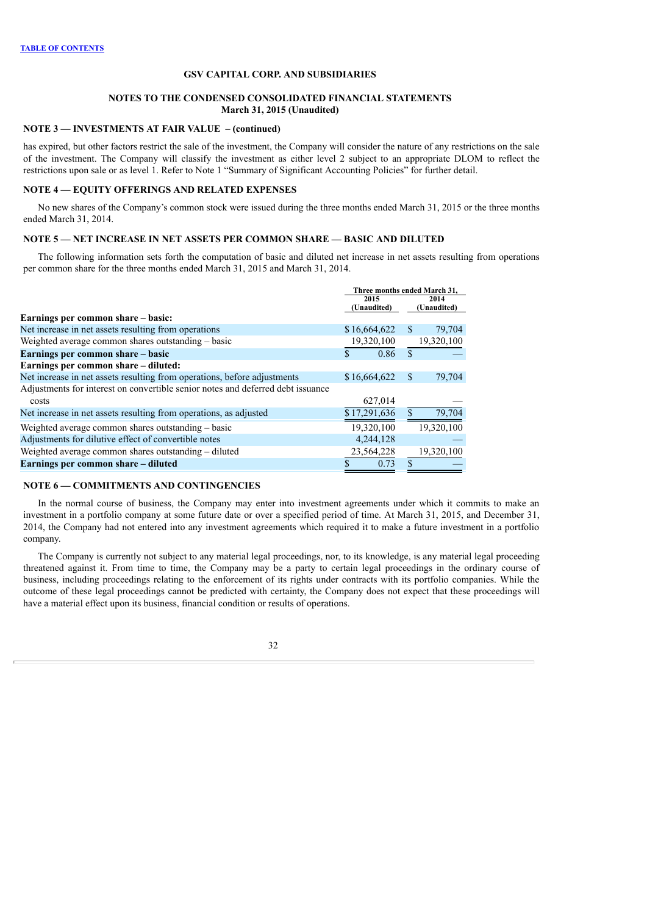### **NOTES TO THE CONDENSED CONSOLIDATED FINANCIAL STATEMENTS March 31, 2015 (Unaudited)**

## **NOTE 3 — INVESTMENTS AT FAIR VALUE – (continued)**

has expired, but other factors restrict the sale of the investment, the Company will consider the nature of any restrictions on the sale of the investment. The Company will classify the investment as either level 2 subject to an appropriate DLOM to reflect the restrictions upon sale or as level 1. Refer to Note 1 "Summary of Significant Accounting Policies" for further detail.

### **NOTE 4 — EQUITY OFFERINGS AND RELATED EXPENSES**

No new shares of the Company's common stock were issued during the three months ended March 31, 2015 or the three months ended March 31, 2014.

### **NOTE 5 — NET INCREASE IN NET ASSETS PER COMMON SHARE — BASIC AND DILUTED**

The following information sets forth the computation of basic and diluted net increase in net assets resulting from operations per common share for the three months ended March 31, 2015 and March 31, 2014.

| 2015<br>2014<br>(Unaudited)<br>(Unaudited)<br>Earnings per common share – basic:<br>Net increase in net assets resulting from operations<br>\$16,664,622<br>79,704<br><sup>\$</sup><br>19,320,100<br>Weighted average common shares outstanding – basic<br>19,320,100<br>$\mathcal{S}$<br>\$<br>Earnings per common share – basic<br>0.86<br>Earnings per common share - diluted:<br>Net increase in net assets resulting from operations, before adjustments<br>79,704<br>\$16,664,622<br>S<br>Adjustments for interest on convertible senior notes and deferred debt issuance<br>627,014<br>costs |
|-----------------------------------------------------------------------------------------------------------------------------------------------------------------------------------------------------------------------------------------------------------------------------------------------------------------------------------------------------------------------------------------------------------------------------------------------------------------------------------------------------------------------------------------------------------------------------------------------------|
|                                                                                                                                                                                                                                                                                                                                                                                                                                                                                                                                                                                                     |
|                                                                                                                                                                                                                                                                                                                                                                                                                                                                                                                                                                                                     |
|                                                                                                                                                                                                                                                                                                                                                                                                                                                                                                                                                                                                     |
|                                                                                                                                                                                                                                                                                                                                                                                                                                                                                                                                                                                                     |
|                                                                                                                                                                                                                                                                                                                                                                                                                                                                                                                                                                                                     |
|                                                                                                                                                                                                                                                                                                                                                                                                                                                                                                                                                                                                     |
|                                                                                                                                                                                                                                                                                                                                                                                                                                                                                                                                                                                                     |
|                                                                                                                                                                                                                                                                                                                                                                                                                                                                                                                                                                                                     |
|                                                                                                                                                                                                                                                                                                                                                                                                                                                                                                                                                                                                     |
| 79,704<br>\$17,291,636<br>Net increase in net assets resulting from operations, as adjusted                                                                                                                                                                                                                                                                                                                                                                                                                                                                                                         |
| 19,320,100<br>19.320.100<br>Weighted average common shares outstanding – basic                                                                                                                                                                                                                                                                                                                                                                                                                                                                                                                      |
| 4,244,128<br>Adjustments for dilutive effect of convertible notes                                                                                                                                                                                                                                                                                                                                                                                                                                                                                                                                   |
| Weighted average common shares outstanding – diluted<br>23,564,228<br>19,320,100                                                                                                                                                                                                                                                                                                                                                                                                                                                                                                                    |
| Earnings per common share – diluted<br>0.73                                                                                                                                                                                                                                                                                                                                                                                                                                                                                                                                                         |

## **NOTE 6 — COMMITMENTS AND CONTINGENCIES**

In the normal course of business, the Company may enter into investment agreements under which it commits to make an investment in a portfolio company at some future date or over a specified period of time. At March 31, 2015, and December 31, 2014, the Company had not entered into any investment agreements which required it to make a future investment in a portfolio company.

The Company is currently not subject to any material legal proceedings, nor, to its knowledge, is any material legal proceeding threatened against it. From time to time, the Company may be a party to certain legal proceedings in the ordinary course of business, including proceedings relating to the enforcement of its rights under contracts with its portfolio companies. While the outcome of these legal proceedings cannot be predicted with certainty, the Company does not expect that these proceedings will have a material effect upon its business, financial condition or results of operations.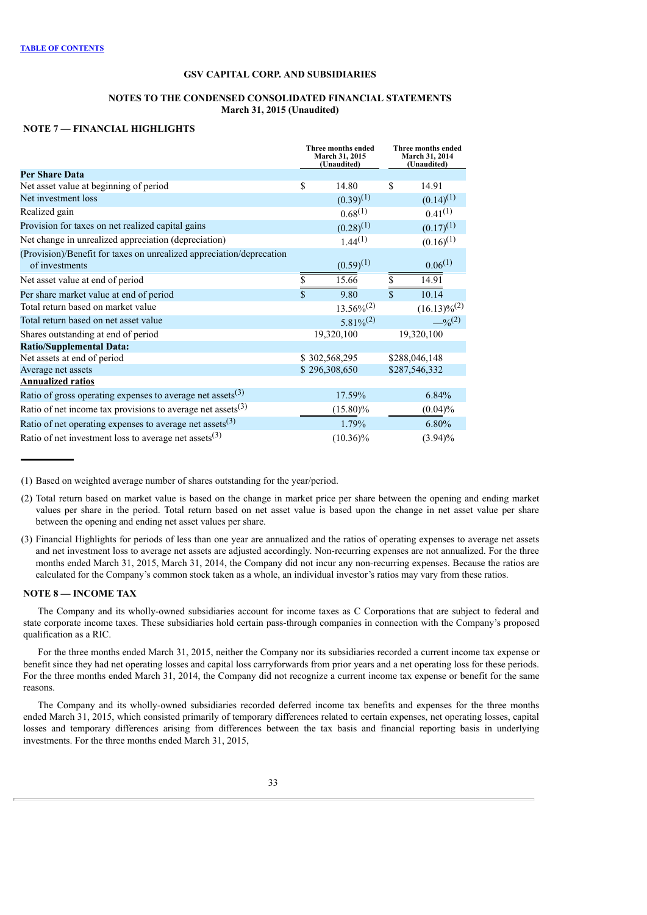## **NOTES TO THE CONDENSED CONSOLIDATED FINANCIAL STATEMENTS March 31, 2015 (Unaudited)**

## **NOTE 7 — FINANCIAL HIGHLIGHTS**

|                                                                                        | Three months ended<br>March 31, 2015<br>(Unaudited) |                 |                    | Three months ended<br>March 31, 2014<br>(Unaudited) |
|----------------------------------------------------------------------------------------|-----------------------------------------------------|-----------------|--------------------|-----------------------------------------------------|
| <b>Per Share Data</b>                                                                  |                                                     |                 |                    |                                                     |
| Net asset value at beginning of period                                                 | \$                                                  | 14.80           | \$                 | 14.91                                               |
| Net investment loss                                                                    |                                                     | $(0.39)^{(1)}$  |                    | $(0.14)^{(1)}$                                      |
| Realized gain                                                                          |                                                     | $0.68^{(1)}$    |                    | $0.41^{(1)}$                                        |
| Provision for taxes on net realized capital gains                                      |                                                     | $(0.28)^{(1)}$  |                    | $(0.17)^{(1)}$                                      |
| Net change in unrealized appreciation (depreciation)                                   |                                                     | $1.44^{(1)}$    |                    | $(0.16)^{(1)}$                                      |
| (Provision)/Benefit for taxes on unrealized appreciation/deprecation<br>of investments |                                                     | $(0.59)^{(1)}$  |                    | $0.06^{(1)}$                                        |
| Net asset value at end of period                                                       |                                                     | 15.66           | \$                 | 14.91                                               |
| Per share market value at end of period                                                |                                                     | 9.80            | $\mathbf{\hat{S}}$ | 10.14                                               |
| Total return based on market value                                                     |                                                     | $13.56\%^{(2)}$ |                    | $(16.13)\%^{(2)}$                                   |
| Total return based on net asset value                                                  |                                                     | $5.81\%^{(2)}$  |                    | $-$ % <sup>(2)</sup>                                |
| Shares outstanding at end of period                                                    |                                                     | 19,320,100      |                    | 19,320,100                                          |
| <b>Ratio/Supplemental Data:</b>                                                        |                                                     |                 |                    |                                                     |
| Net assets at end of period                                                            |                                                     | \$302,568,295   |                    | \$288,046,148                                       |
| Average net assets                                                                     |                                                     | \$296,308,650   |                    | \$287,546,332                                       |
| <b>Annualized ratios</b>                                                               |                                                     |                 |                    |                                                     |
| Ratio of gross operating expenses to average net assets $(3)$                          |                                                     | 17.59%          |                    | 6.84%                                               |
| Ratio of net income tax provisions to average net assets $(3)$                         |                                                     | $(15.80)\%$     |                    | $(0.04)\%$                                          |
| Ratio of net operating expenses to average net assets $(3)$                            |                                                     | 1.79%           |                    | 6.80%                                               |
| Ratio of net investment loss to average net assets $(3)$                               |                                                     | $(10.36)\%$     |                    | $(3.94)\%$                                          |

<sup>(1)</sup> Based on weighted average number of shares outstanding for the year/period.

## **NOTE 8 — INCOME TAX**

The Company and its wholly-owned subsidiaries account for income taxes as C Corporations that are subject to federal and state corporate income taxes. These subsidiaries hold certain pass-through companies in connection with the Company's proposed qualification as a RIC.

For the three months ended March 31, 2015, neither the Company nor its subsidiaries recorded a current income tax expense or benefit since they had net operating losses and capital loss carryforwards from prior years and a net operating loss for these periods. For the three months ended March 31, 2014, the Company did not recognize a current income tax expense or benefit for the same reasons.

The Company and its wholly-owned subsidiaries recorded deferred income tax benefits and expenses for the three months ended March 31, 2015, which consisted primarily of temporary differences related to certain expenses, net operating losses, capital losses and temporary differences arising from differences between the tax basis and financial reporting basis in underlying investments. For the three months ended March 31, 2015,

<sup>(2)</sup> Total return based on market value is based on the change in market price per share between the opening and ending market values per share in the period. Total return based on net asset value is based upon the change in net asset value per share between the opening and ending net asset values per share.

<sup>(3)</sup> Financial Highlights for periods of less than one year are annualized and the ratios of operating expenses to average net assets and net investment loss to average net assets are adjusted accordingly. Non-recurring expenses are not annualized. For the three months ended March 31, 2015, March 31, 2014, the Company did not incur any non-recurring expenses. Because the ratios are calculated for the Company's common stock taken as a whole, an individual investor's ratios may vary from these ratios.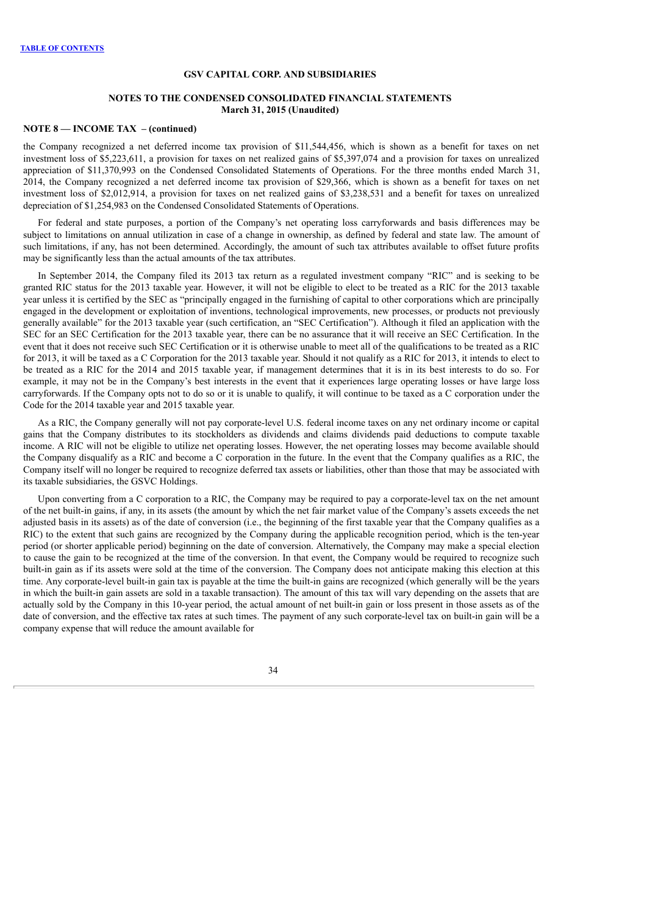### **NOTES TO THE CONDENSED CONSOLIDATED FINANCIAL STATEMENTS March 31, 2015 (Unaudited)**

### **NOTE 8 — INCOME TAX – (continued)**

the Company recognized a net deferred income tax provision of \$11,544,456, which is shown as a benefit for taxes on net investment loss of \$5,223,611, a provision for taxes on net realized gains of \$5,397,074 and a provision for taxes on unrealized appreciation of \$11,370,993 on the Condensed Consolidated Statements of Operations. For the three months ended March 31, 2014, the Company recognized a net deferred income tax provision of \$29,366, which is shown as a benefit for taxes on net investment loss of \$2,012,914, a provision for taxes on net realized gains of \$3,238,531 and a benefit for taxes on unrealized depreciation of \$1,254,983 on the Condensed Consolidated Statements of Operations.

For federal and state purposes, a portion of the Company's net operating loss carryforwards and basis differences may be subject to limitations on annual utilization in case of a change in ownership, as defined by federal and state law. The amount of such limitations, if any, has not been determined. Accordingly, the amount of such tax attributes available to offset future profits may be significantly less than the actual amounts of the tax attributes.

In September 2014, the Company filed its 2013 tax return as a regulated investment company "RIC" and is seeking to be granted RIC status for the 2013 taxable year. However, it will not be eligible to elect to be treated as a RIC for the 2013 taxable year unless it is certified by the SEC as "principally engaged in the furnishing of capital to other corporations which are principally engaged in the development or exploitation of inventions, technological improvements, new processes, or products not previously generally available" for the 2013 taxable year (such certification, an "SEC Certification"). Although it filed an application with the SEC for an SEC Certification for the 2013 taxable year, there can be no assurance that it will receive an SEC Certification. In the event that it does not receive such SEC Certification or it is otherwise unable to meet all of the qualifications to be treated as a RIC for 2013, it will be taxed as a C Corporation for the 2013 taxable year. Should it not qualify as a RIC for 2013, it intends to elect to be treated as a RIC for the 2014 and 2015 taxable year, if management determines that it is in its best interests to do so. For example, it may not be in the Company's best interests in the event that it experiences large operating losses or have large loss carryforwards. If the Company opts not to do so or it is unable to qualify, it will continue to be taxed as a C corporation under the Code for the 2014 taxable year and 2015 taxable year.

As a RIC, the Company generally will not pay corporate-level U.S. federal income taxes on any net ordinary income or capital gains that the Company distributes to its stockholders as dividends and claims dividends paid deductions to compute taxable income. A RIC will not be eligible to utilize net operating losses. However, the net operating losses may become available should the Company disqualify as a RIC and become a C corporation in the future. In the event that the Company qualifies as a RIC, the Company itself will no longer be required to recognize deferred tax assets or liabilities, other than those that may be associated with its taxable subsidiaries, the GSVC Holdings.

Upon converting from a C corporation to a RIC, the Company may be required to pay a corporate-level tax on the net amount of the net built-in gains, if any, in its assets (the amount by which the net fair market value of the Company's assets exceeds the net adjusted basis in its assets) as of the date of conversion (i.e., the beginning of the first taxable year that the Company qualifies as a RIC) to the extent that such gains are recognized by the Company during the applicable recognition period, which is the ten-year period (or shorter applicable period) beginning on the date of conversion. Alternatively, the Company may make a special election to cause the gain to be recognized at the time of the conversion. In that event, the Company would be required to recognize such built-in gain as if its assets were sold at the time of the conversion. The Company does not anticipate making this election at this time. Any corporate-level built-in gain tax is payable at the time the built-in gains are recognized (which generally will be the years in which the built-in gain assets are sold in a taxable transaction). The amount of this tax will vary depending on the assets that are actually sold by the Company in this 10-year period, the actual amount of net built-in gain or loss present in those assets as of the date of conversion, and the effective tax rates at such times. The payment of any such corporate-level tax on built-in gain will be a company expense that will reduce the amount available for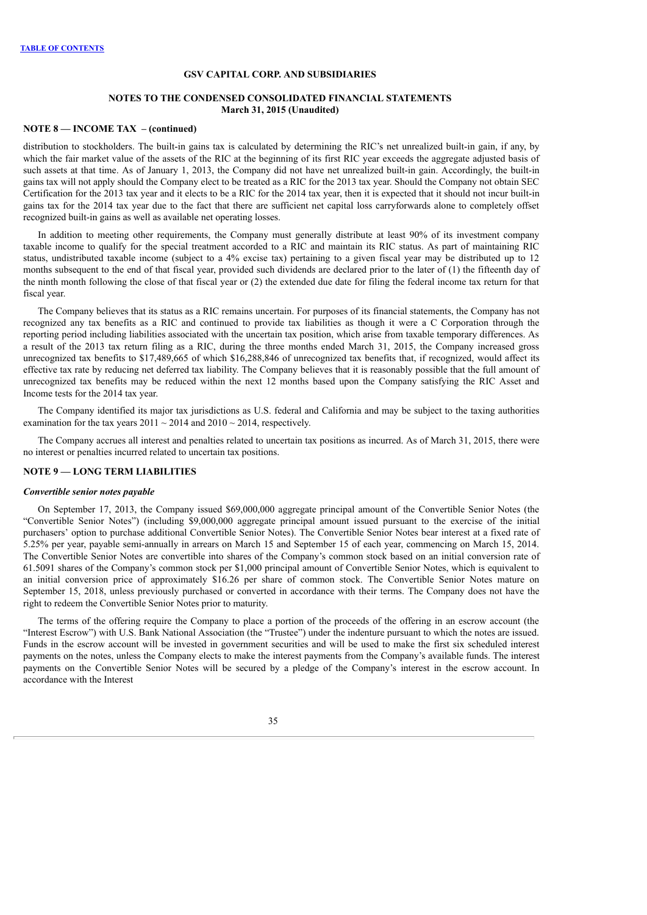### **NOTES TO THE CONDENSED CONSOLIDATED FINANCIAL STATEMENTS March 31, 2015 (Unaudited)**

### **NOTE 8 — INCOME TAX – (continued)**

distribution to stockholders. The built-in gains tax is calculated by determining the RIC's net unrealized built-in gain, if any, by which the fair market value of the assets of the RIC at the beginning of its first RIC year exceeds the aggregate adjusted basis of such assets at that time. As of January 1, 2013, the Company did not have net unrealized built-in gain. Accordingly, the built-in gains tax will not apply should the Company elect to be treated as a RIC for the 2013 tax year. Should the Company not obtain SEC Certification for the 2013 tax year and it elects to be a RIC for the 2014 tax year, then it is expected that it should not incur built-in gains tax for the 2014 tax year due to the fact that there are sufficient net capital loss carryforwards alone to completely offset recognized built-in gains as well as available net operating losses.

In addition to meeting other requirements, the Company must generally distribute at least 90% of its investment company taxable income to qualify for the special treatment accorded to a RIC and maintain its RIC status. As part of maintaining RIC status, undistributed taxable income (subject to a 4% excise tax) pertaining to a given fiscal year may be distributed up to 12 months subsequent to the end of that fiscal year, provided such dividends are declared prior to the later of (1) the fifteenth day of the ninth month following the close of that fiscal year or (2) the extended due date for filing the federal income tax return for that fiscal year.

The Company believes that its status as a RIC remains uncertain. For purposes of its financial statements, the Company has not recognized any tax benefits as a RIC and continued to provide tax liabilities as though it were a C Corporation through the reporting period including liabilities associated with the uncertain tax position, which arise from taxable temporary differences. As a result of the 2013 tax return filing as a RIC, during the three months ended March 31, 2015, the Company increased gross unrecognized tax benefits to \$17,489,665 of which \$16,288,846 of unrecognized tax benefits that, if recognized, would affect its effective tax rate by reducing net deferred tax liability. The Company believes that it is reasonably possible that the full amount of unrecognized tax benefits may be reduced within the next 12 months based upon the Company satisfying the RIC Asset and Income tests for the 2014 tax year.

The Company identified its major tax jurisdictions as U.S. federal and California and may be subject to the taxing authorities examination for the tax years  $2011 \sim 2014$  and  $2010 \sim 2014$ , respectively.

The Company accrues all interest and penalties related to uncertain tax positions as incurred. As of March 31, 2015, there were no interest or penalties incurred related to uncertain tax positions.

## **NOTE 9 — LONG TERM LIABILITIES**

## *Convertible senior notes payable*

On September 17, 2013, the Company issued \$69,000,000 aggregate principal amount of the Convertible Senior Notes (the "Convertible Senior Notes") (including \$9,000,000 aggregate principal amount issued pursuant to the exercise of the initial purchasers' option to purchase additional Convertible Senior Notes). The Convertible Senior Notes bear interest at a fixed rate of 5.25% per year, payable semi-annually in arrears on March 15 and September 15 of each year, commencing on March 15, 2014. The Convertible Senior Notes are convertible into shares of the Company's common stock based on an initial conversion rate of 61.5091 shares of the Company's common stock per \$1,000 principal amount of Convertible Senior Notes, which is equivalent to an initial conversion price of approximately \$16.26 per share of common stock. The Convertible Senior Notes mature on September 15, 2018, unless previously purchased or converted in accordance with their terms. The Company does not have the right to redeem the Convertible Senior Notes prior to maturity.

The terms of the offering require the Company to place a portion of the proceeds of the offering in an escrow account (the "Interest Escrow") with U.S. Bank National Association (the "Trustee") under the indenture pursuant to which the notes are issued. Funds in the escrow account will be invested in government securities and will be used to make the first six scheduled interest payments on the notes, unless the Company elects to make the interest payments from the Company's available funds. The interest payments on the Convertible Senior Notes will be secured by a pledge of the Company's interest in the escrow account. In accordance with the Interest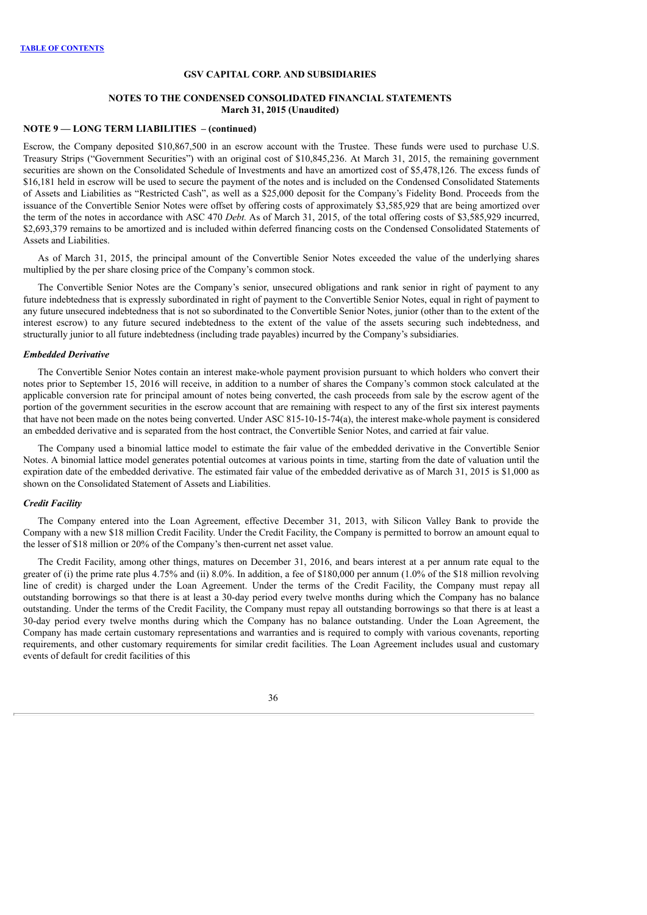### **NOTES TO THE CONDENSED CONSOLIDATED FINANCIAL STATEMENTS March 31, 2015 (Unaudited)**

### **NOTE 9 — LONG TERM LIABILITIES – (continued)**

Escrow, the Company deposited \$10,867,500 in an escrow account with the Trustee. These funds were used to purchase U.S. Treasury Strips ("Government Securities") with an original cost of \$10,845,236. At March 31, 2015, the remaining government securities are shown on the Consolidated Schedule of Investments and have an amortized cost of \$5,478,126. The excess funds of \$16,181 held in escrow will be used to secure the payment of the notes and is included on the Condensed Consolidated Statements of Assets and Liabilities as "Restricted Cash", as well as a \$25,000 deposit for the Company's Fidelity Bond. Proceeds from the issuance of the Convertible Senior Notes were offset by offering costs of approximately \$3,585,929 that are being amortized over the term of the notes in accordance with ASC 470 *Debt.* As of March 31, 2015, of the total offering costs of \$3,585,929 incurred, \$2,693,379 remains to be amortized and is included within deferred financing costs on the Condensed Consolidated Statements of Assets and Liabilities.

As of March 31, 2015, the principal amount of the Convertible Senior Notes exceeded the value of the underlying shares multiplied by the per share closing price of the Company's common stock.

The Convertible Senior Notes are the Company's senior, unsecured obligations and rank senior in right of payment to any future indebtedness that is expressly subordinated in right of payment to the Convertible Senior Notes, equal in right of payment to any future unsecured indebtedness that is not so subordinated to the Convertible Senior Notes, junior (other than to the extent of the interest escrow) to any future secured indebtedness to the extent of the value of the assets securing such indebtedness, and structurally junior to all future indebtedness (including trade payables) incurred by the Company's subsidiaries.

#### *Embedded Derivative*

The Convertible Senior Notes contain an interest make-whole payment provision pursuant to which holders who convert their notes prior to September 15, 2016 will receive, in addition to a number of shares the Company's common stock calculated at the applicable conversion rate for principal amount of notes being converted, the cash proceeds from sale by the escrow agent of the portion of the government securities in the escrow account that are remaining with respect to any of the first six interest payments that have not been made on the notes being converted. Under ASC 815-10-15-74(a), the interest make-whole payment is considered an embedded derivative and is separated from the host contract, the Convertible Senior Notes, and carried at fair value.

The Company used a binomial lattice model to estimate the fair value of the embedded derivative in the Convertible Senior Notes. A binomial lattice model generates potential outcomes at various points in time, starting from the date of valuation until the expiration date of the embedded derivative. The estimated fair value of the embedded derivative as of March 31, 2015 is \$1,000 as shown on the Consolidated Statement of Assets and Liabilities.

#### *Credit Facility*

The Company entered into the Loan Agreement, effective December 31, 2013, with Silicon Valley Bank to provide the Company with a new \$18 million Credit Facility. Under the Credit Facility, the Company is permitted to borrow an amount equal to the lesser of \$18 million or 20% of the Company's then-current net asset value.

The Credit Facility, among other things, matures on December 31, 2016, and bears interest at a per annum rate equal to the greater of (i) the prime rate plus 4.75% and (ii) 8.0%. In addition, a fee of \$180,000 per annum (1.0% of the \$18 million revolving line of credit) is charged under the Loan Agreement. Under the terms of the Credit Facility, the Company must repay all outstanding borrowings so that there is at least a 30-day period every twelve months during which the Company has no balance outstanding. Under the terms of the Credit Facility, the Company must repay all outstanding borrowings so that there is at least a 30-day period every twelve months during which the Company has no balance outstanding. Under the Loan Agreement, the Company has made certain customary representations and warranties and is required to comply with various covenants, reporting requirements, and other customary requirements for similar credit facilities. The Loan Agreement includes usual and customary events of default for credit facilities of this

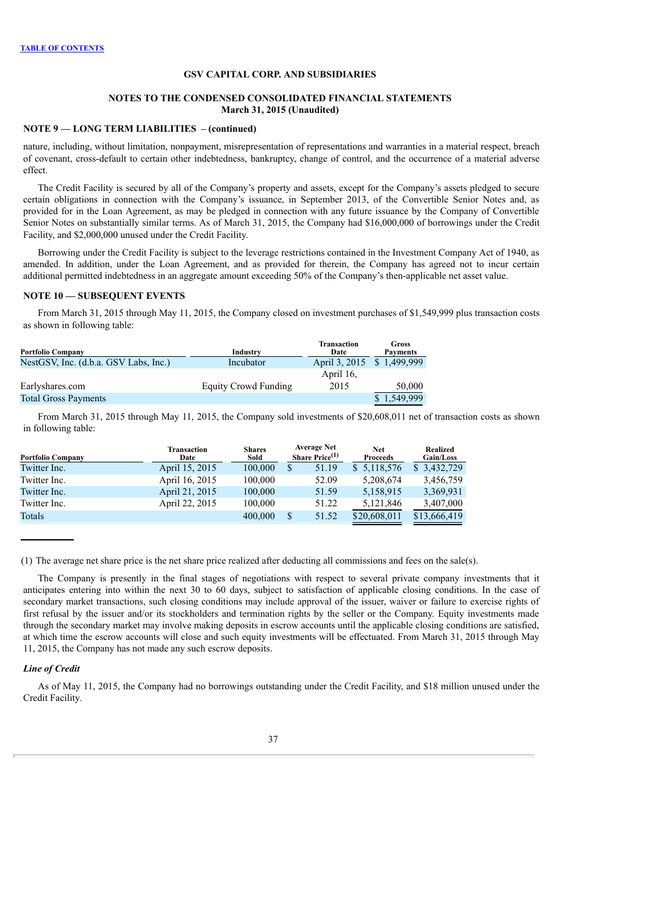### **NOTES TO THE CONDENSED CONSOLIDATED FINANCIAL STATEMENTS March 31, 2015 (Unaudited)**

### **NOTE 9 — LONG TERM LIABILITIES – (continued)**

nature, including, without limitation, nonpayment, misrepresentation of representations and warranties in a material respect, breach of covenant, cross-default to certain other indebtedness, bankruptcy, change of control, and the occurrence of a material adverse effect.

The Credit Facility is secured by all of the Company's property and assets, except for the Company's assets pledged to secure certain obligations in connection with the Company's issuance, in September 2013, of the Convertible Senior Notes and, as provided for in the Loan Agreement, as may be pledged in connection with any future issuance by the Company of Convertible Senior Notes on substantially similar terms. As of March 31, 2015, the Company had \$16,000,000 of borrowings under the Credit Facility, and \$2,000,000 unused under the Credit Facility.

Borrowing under the Credit Facility is subject to the leverage restrictions contained in the Investment Company Act of 1940, as amended. In addition, under the Loan Agreement, and as provided for therein, the Company has agreed not to incur certain additional permitted indebtedness in an aggregate amount exceeding 50% of the Company's then-applicable net asset value.

#### **NOTE 10 — SUBSEQUENT EVENTS**

From March 31, 2015 through May 11, 2015, the Company closed on investment purchases of \$1,549,999 plus transaction costs as shown in following table:

| <b>Portfolio Company</b>              | Industry             | Transaction<br>Date        | Gross<br><b>Payments</b> |
|---------------------------------------|----------------------|----------------------------|--------------------------|
| NestGSV, Inc. (d.b.a. GSV Labs, Inc.) | Incubator            | April 3, 2015 \$ 1,499,999 |                          |
|                                       |                      | April 16.                  |                          |
| Earlyshares.com                       | Equity Crowd Funding | 2015                       | 50,000                   |
| <b>Total Gross Payments</b>           |                      |                            | 1,549,999                |

From March 31, 2015 through May 11, 2015, the Company sold investments of \$20,608,011 net of transaction costs as shown in following table:

| <b>Portfolio Company</b> | <b>Transaction</b><br>Date | <b>Shares</b><br>Sold | <b>Average Net</b><br>Share $Price(1)$ | <b>Net</b><br><b>Proceeds</b> | Realized<br>Gain/Loss |
|--------------------------|----------------------------|-----------------------|----------------------------------------|-------------------------------|-----------------------|
| Twitter Inc.             | April 15, 2015             | 100,000               | 51.19                                  | \$5,118,576                   | \$3,432,729           |
| Twitter Inc.             | April 16, 2015             | 100,000               | 52.09                                  | 5,208,674                     | 3,456,759             |
| Twitter Inc.             | April 21, 2015             | 100,000               | 51.59                                  | 5,158,915                     | 3,369,931             |
| Twitter Inc.             | April 22, 2015             | 100,000               | 51.22                                  | 5,121,846                     | 3,407,000             |
| Totals                   |                            | 400,000               | 51.52                                  | \$20,608,011                  | \$13,666,419          |

(1) The average net share price is the net share price realized after deducting all commissions and fees on the sale(s).

The Company is presently in the final stages of negotiations with respect to several private company investments that it anticipates entering into within the next 30 to 60 days, subject to satisfaction of applicable closing conditions. In the case of secondary market transactions, such closing conditions may include approval of the issuer, waiver or failure to exercise rights of first refusal by the issuer and/or its stockholders and termination rights by the seller or the Company. Equity investments made through the secondary market may involve making deposits in escrow accounts until the applicable closing conditions are satisfied, at which time the escrow accounts will close and such equity investments will be effectuated. From March 31, 2015 through May 11, 2015, the Company has not made any such escrow deposits.

## *Line of Credit*

As of May 11, 2015, the Company had no borrowings outstanding under the Credit Facility, and \$18 million unused under the Credit Facility.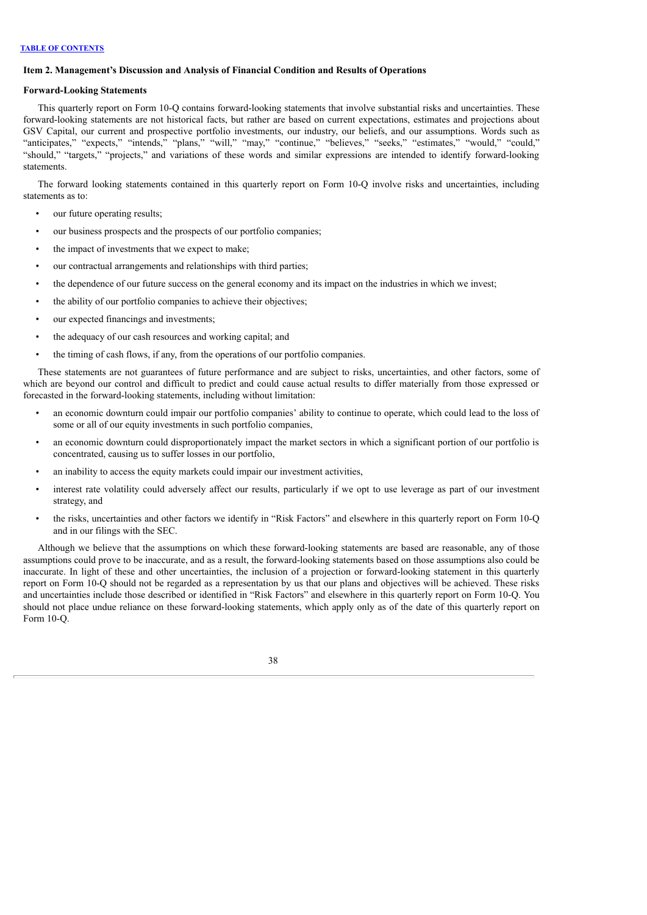## <span id="page-39-0"></span>**Item 2. Management's Discussion and Analysis of Financial Condition and Results of Operations**

#### **Forward-Looking Statements**

This quarterly report on Form 10-Q contains forward-looking statements that involve substantial risks and uncertainties. These forward-looking statements are not historical facts, but rather are based on current expectations, estimates and projections about GSV Capital, our current and prospective portfolio investments, our industry, our beliefs, and our assumptions. Words such as "anticipates," "expects," "intends," "plans," "will," "may," "continue," "believes," "seeks," "estimates," "would," "could," "should," "targets," "projects," and variations of these words and similar expressions are intended to identify forward-looking statements.

The forward looking statements contained in this quarterly report on Form 10-Q involve risks and uncertainties, including statements as to:

- our future operating results;
- our business prospects and the prospects of our portfolio companies;
- the impact of investments that we expect to make;
- our contractual arrangements and relationships with third parties;
- the dependence of our future success on the general economy and its impact on the industries in which we invest;
- the ability of our portfolio companies to achieve their objectives;
- our expected financings and investments;
- the adequacy of our cash resources and working capital; and
- the timing of cash flows, if any, from the operations of our portfolio companies.

These statements are not guarantees of future performance and are subject to risks, uncertainties, and other factors, some of which are beyond our control and difficult to predict and could cause actual results to differ materially from those expressed or forecasted in the forward-looking statements, including without limitation:

- an economic downturn could impair our portfolio companies' ability to continue to operate, which could lead to the loss of some or all of our equity investments in such portfolio companies,
- an economic downturn could disproportionately impact the market sectors in which a significant portion of our portfolio is concentrated, causing us to suffer losses in our portfolio,
- an inability to access the equity markets could impair our investment activities,
- interest rate volatility could adversely affect our results, particularly if we opt to use leverage as part of our investment strategy, and
- the risks, uncertainties and other factors we identify in "Risk Factors" and elsewhere in this quarterly report on Form 10-Q and in our filings with the SEC.

Although we believe that the assumptions on which these forward-looking statements are based are reasonable, any of those assumptions could prove to be inaccurate, and as a result, the forward-looking statements based on those assumptions also could be inaccurate. In light of these and other uncertainties, the inclusion of a projection or forward-looking statement in this quarterly report on Form 10-Q should not be regarded as a representation by us that our plans and objectives will be achieved. These risks and uncertainties include those described or identified in "Risk Factors" and elsewhere in this quarterly report on Form 10-Q. You should not place undue reliance on these forward-looking statements, which apply only as of the date of this quarterly report on Form 10-Q.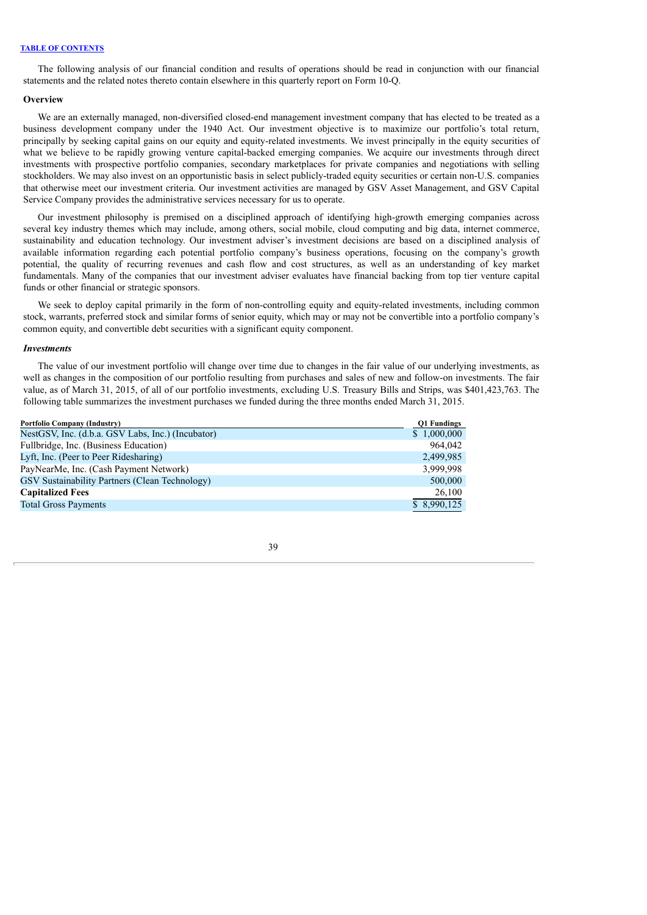The following analysis of our financial condition and results of operations should be read in conjunction with our financial statements and the related notes thereto contain elsewhere in this quarterly report on Form 10-Q.

#### **Overview**

We are an externally managed, non-diversified closed-end management investment company that has elected to be treated as a business development company under the 1940 Act. Our investment objective is to maximize our portfolio's total return, principally by seeking capital gains on our equity and equity-related investments. We invest principally in the equity securities of what we believe to be rapidly growing venture capital-backed emerging companies. We acquire our investments through direct investments with prospective portfolio companies, secondary marketplaces for private companies and negotiations with selling stockholders. We may also invest on an opportunistic basis in select publicly-traded equity securities or certain non-U.S. companies that otherwise meet our investment criteria. Our investment activities are managed by GSV Asset Management, and GSV Capital Service Company provides the administrative services necessary for us to operate.

Our investment philosophy is premised on a disciplined approach of identifying high-growth emerging companies across several key industry themes which may include, among others, social mobile, cloud computing and big data, internet commerce, sustainability and education technology. Our investment adviser's investment decisions are based on a disciplined analysis of available information regarding each potential portfolio company's business operations, focusing on the company's growth potential, the quality of recurring revenues and cash flow and cost structures, as well as an understanding of key market fundamentals. Many of the companies that our investment adviser evaluates have financial backing from top tier venture capital funds or other financial or strategic sponsors.

We seek to deploy capital primarily in the form of non-controlling equity and equity-related investments, including common stock, warrants, preferred stock and similar forms of senior equity, which may or may not be convertible into a portfolio company's common equity, and convertible debt securities with a significant equity component.

#### *Investments*

The value of our investment portfolio will change over time due to changes in the fair value of our underlying investments, as well as changes in the composition of our portfolio resulting from purchases and sales of new and follow-on investments. The fair value, as of March 31, 2015, of all of our portfolio investments, excluding U.S. Treasury Bills and Strips, was \$401,423,763. The following table summarizes the investment purchases we funded during the three months ended March 31, 2015.

| <b>Portfolio Company (Industry)</b>               | <b>Q1 Fundings</b> |
|---------------------------------------------------|--------------------|
| NestGSV, Inc. (d.b.a. GSV Labs, Inc.) (Incubator) | \$1,000,000        |
| Fullbridge, Inc. (Business Education)             | 964.042            |
| Lyft, Inc. (Peer to Peer Ridesharing)             | 2,499,985          |
| PayNearMe, Inc. (Cash Payment Network)            | 3,999,998          |
| GSV Sustainability Partners (Clean Technology)    | 500,000            |
| <b>Capitalized Fees</b>                           | 26,100             |
| <b>Total Gross Payments</b>                       | \$8,990,125        |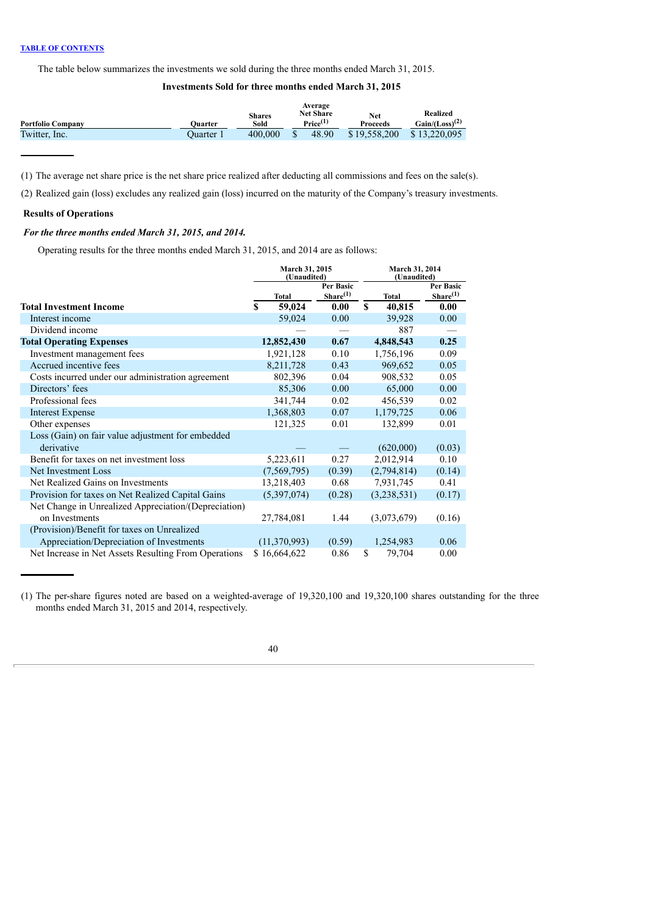The table below summarizes the investments we sold during the three months ended March 31, 2015.

## **Investments Sold for three months ended March 31, 2015**

|                          |           |                       | Average<br><b>Net Share</b> |                        | Realized            |  |
|--------------------------|-----------|-----------------------|-----------------------------|------------------------|---------------------|--|
| <b>Portfolio Company</b> | Ouarter   | <b>Shares</b><br>Sold | Price <sup>(1)</sup>        | Net<br><b>Proceeds</b> | $Gain/(Loss)^{(2)}$ |  |
| Twitter, Inc.            | Ouarter 1 | 400.000               | 48.90                       | \$19.558.200           | \$13,220,095        |  |
|                          |           |                       |                             |                        |                     |  |

(1) The average net share price is the net share price realized after deducting all commissions and fees on the sale(s).

(2) Realized gain (loss) excludes any realized gain (loss) incurred on the maturity of the Company's treasury investments.

## **Results of Operations**

## *For the three months ended March 31, 2015, and 2014.*

Operating results for the three months ended March 31, 2015, and 2014 are as follows:

|                                                      | March 31, 2015<br>(Unaudited) |                      | <b>March 31, 2014</b><br>(Unaudited) |                      |  |  |
|------------------------------------------------------|-------------------------------|----------------------|--------------------------------------|----------------------|--|--|
|                                                      |                               | Per Basic            |                                      | Per Basic            |  |  |
|                                                      | <b>Total</b>                  | Share <sup>(1)</sup> | <b>Total</b>                         | Share <sup>(1)</sup> |  |  |
| <b>Total Investment Income</b>                       | S<br>59,024                   | 0.00                 | S<br>40,815                          | 0.00                 |  |  |
| Interest income                                      | 59,024                        | 0.00                 | 39,928                               | 0.00                 |  |  |
| Dividend income                                      |                               |                      | 887                                  |                      |  |  |
| <b>Total Operating Expenses</b>                      | 12,852,430                    | 0.67                 | 4,848,543                            | 0.25                 |  |  |
| Investment management fees                           | 1,921,128                     | 0.10                 | 1,756,196                            | 0.09                 |  |  |
| Accrued incentive fees                               | 8,211,728                     | 0.43                 | 969,652                              | 0.05                 |  |  |
| Costs incurred under our administration agreement    | 802,396                       | 0.04                 | 908,532                              | 0.05                 |  |  |
| Directors' fees                                      | 85,306                        | 0.00                 | 65,000                               | 0.00                 |  |  |
| Professional fees                                    | 341,744                       | 0.02                 | 456,539                              | 0.02                 |  |  |
| <b>Interest Expense</b>                              | 1,368,803                     | 0.07                 | 1,179,725                            | 0.06                 |  |  |
| Other expenses                                       | 121,325                       | 0.01                 | 132,899                              | 0.01                 |  |  |
| Loss (Gain) on fair value adjustment for embedded    |                               |                      |                                      |                      |  |  |
| derivative                                           |                               |                      | (620,000)                            | (0.03)               |  |  |
| Benefit for taxes on net investment loss             | 5,223,611                     | 0.27                 | 2,012,914                            | 0.10                 |  |  |
| Net Investment Loss                                  | (7, 569, 795)                 | (0.39)               | (2,794,814)                          | (0.14)               |  |  |
| Net Realized Gains on Investments                    | 13,218,403                    | 0.68                 | 7,931,745                            | 0.41                 |  |  |
| Provision for taxes on Net Realized Capital Gains    | (5,397,074)                   | (0.28)               | (3,238,531)                          | (0.17)               |  |  |
| Net Change in Unrealized Appreciation/(Depreciation) |                               |                      |                                      |                      |  |  |
| on Investments                                       | 27,784,081                    | 1.44                 | (3,073,679)                          | (0.16)               |  |  |
| (Provision)/Benefit for taxes on Unrealized          |                               |                      |                                      |                      |  |  |
| Appreciation/Depreciation of Investments             | (11, 370, 993)                | (0.59)               | 1,254,983                            | 0.06                 |  |  |
| Net Increase in Net Assets Resulting From Operations | \$16,664,622                  | 0.86                 | \$<br>79,704                         | 0.00                 |  |  |

(1) The per-share figures noted are based on a weighted-average of 19,320,100 and 19,320,100 shares outstanding for the three months ended March 31, 2015 and 2014, respectively.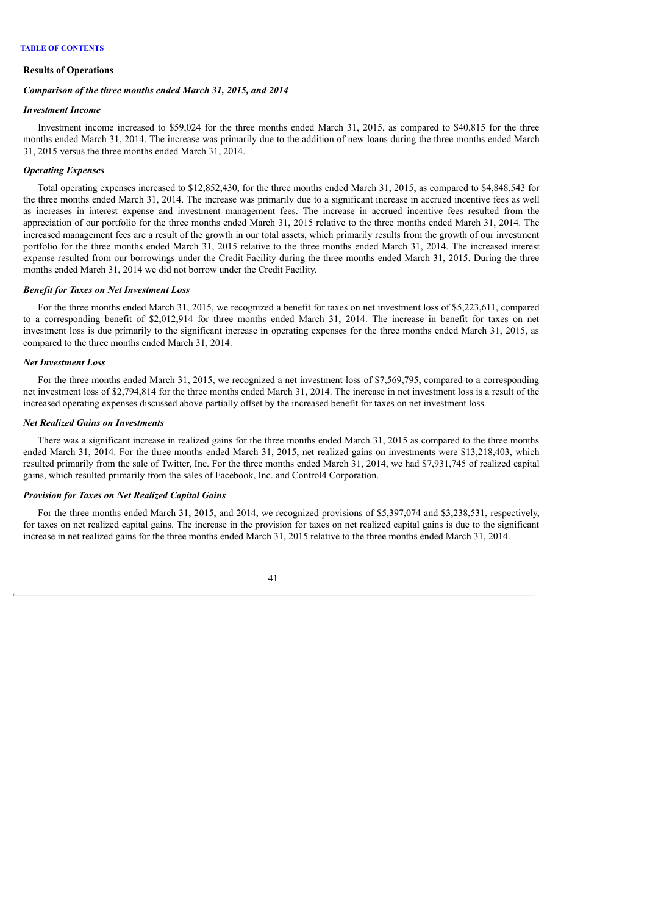#### **Results of Operations**

#### *Comparison of the three months ended March 31, 2015, and 2014*

#### *Investment Income*

Investment income increased to \$59,024 for the three months ended March 31, 2015, as compared to \$40,815 for the three months ended March 31, 2014. The increase was primarily due to the addition of new loans during the three months ended March 31, 2015 versus the three months ended March 31, 2014.

### *Operating Expenses*

Total operating expenses increased to \$12,852,430, for the three months ended March 31, 2015, as compared to \$4,848,543 for the three months ended March 31, 2014. The increase was primarily due to a significant increase in accrued incentive fees as well as increases in interest expense and investment management fees. The increase in accrued incentive fees resulted from the appreciation of our portfolio for the three months ended March 31, 2015 relative to the three months ended March 31, 2014. The increased management fees are a result of the growth in our total assets, which primarily results from the growth of our investment portfolio for the three months ended March 31, 2015 relative to the three months ended March 31, 2014. The increased interest expense resulted from our borrowings under the Credit Facility during the three months ended March 31, 2015. During the three months ended March 31, 2014 we did not borrow under the Credit Facility.

### *Benefit for Taxes on Net Investment Loss*

For the three months ended March 31, 2015, we recognized a benefit for taxes on net investment loss of \$5,223,611, compared to a corresponding benefit of \$2,012,914 for three months ended March 31, 2014. The increase in benefit for taxes on net investment loss is due primarily to the significant increase in operating expenses for the three months ended March 31, 2015, as compared to the three months ended March 31, 2014.

#### *Net Investment Loss*

For the three months ended March 31, 2015, we recognized a net investment loss of \$7,569,795, compared to a corresponding net investment loss of \$2,794,814 for the three months ended March 31, 2014. The increase in net investment loss is a result of the increased operating expenses discussed above partially offset by the increased benefit for taxes on net investment loss.

#### *Net Realized Gains on Investments*

There was a significant increase in realized gains for the three months ended March 31, 2015 as compared to the three months ended March 31, 2014. For the three months ended March 31, 2015, net realized gains on investments were \$13,218,403, which resulted primarily from the sale of Twitter, Inc. For the three months ended March 31, 2014, we had \$7,931,745 of realized capital gains, which resulted primarily from the sales of Facebook, Inc. and Control4 Corporation.

## *Provision for Taxes on Net Realized Capital Gains*

For the three months ended March 31, 2015, and 2014, we recognized provisions of \$5,397,074 and \$3,238,531, respectively, for taxes on net realized capital gains. The increase in the provision for taxes on net realized capital gains is due to the significant increase in net realized gains for the three months ended March 31, 2015 relative to the three months ended March 31, 2014.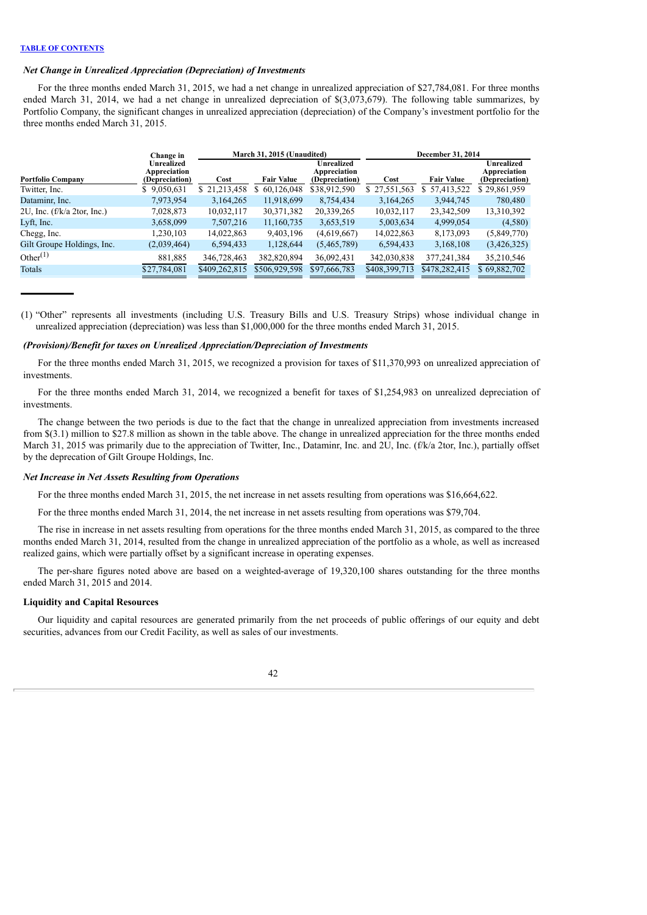### *Net Change in Unrealized Appreciation (Depreciation) of Investments*

For the three months ended March 31, 2015, we had a net change in unrealized appreciation of \$27,784,081. For three months ended March 31, 2014, we had a net change in unrealized depreciation of \$(3,073,679). The following table summarizes, by Portfolio Company, the significant changes in unrealized appreciation (depreciation) of the Company's investment portfolio for the three months ended March 31, 2015.

|                               | Change in                                           | March 31, 2015 (Unaudited) |                   |                                                     |               | December 31, 2014 |                                                     |  |
|-------------------------------|-----------------------------------------------------|----------------------------|-------------------|-----------------------------------------------------|---------------|-------------------|-----------------------------------------------------|--|
| <b>Portfolio Company</b>      | <b>Unrealized</b><br>Appreciation<br>(Depreciation) | Cost                       | <b>Fair Value</b> | <b>Unrealized</b><br>Appreciation<br>(Depreciation) | Cost          | <b>Fair Value</b> | <b>Unrealized</b><br>Appreciation<br>(Depreciation) |  |
| Twitter, Inc.                 | \$9,050,631                                         | \$21,213,458               | 60,126,048        | \$38,912,590                                        | \$27,551,563  | 57,413,522<br>S.  | \$29,861,959                                        |  |
| Dataminr, Inc.                | 7,973,954                                           | 3,164,265                  | 11,918,699        | 8,754,434                                           | 3,164,265     | 3,944,745         | 780,480                                             |  |
| 2U, Inc. $(f/k/a 2tor, Inc.)$ | 7,028,873                                           | 10,032,117                 | 30,371,382        | 20,339,265                                          | 10,032,117    | 23,342,509        | 13,310,392                                          |  |
| Lyft, Inc.                    | 3,658,099                                           | 7,507,216                  | 11,160,735        | 3,653,519                                           | 5,003,634     | 4,999,054         | (4,580)                                             |  |
| Chegg, Inc.                   | 1,230,103                                           | 14,022,863                 | 9,403,196         | (4,619,667)                                         | 14,022,863    | 8,173,093         | (5,849,770)                                         |  |
| Gilt Groupe Holdings, Inc.    | (2,039,464)                                         | 6,594,433                  | 1,128,644         | (5,465,789)                                         | 6,594,433     | 3,168,108         | (3,426,325)                                         |  |
| Other $^{(1)}$                | 881,885                                             | 346,728,463                | 382,820,894       | 36,092,431                                          | 342,030,838   | 377,241,384       | 35,210,546                                          |  |
| Totals                        | \$27,784,081                                        | \$409,262,815              | \$506,929,598     | \$97,666,783                                        | \$408,399,713 | \$478,282,415     | \$69,882,702                                        |  |

(1) "Other" represents all investments (including U.S. Treasury Bills and U.S. Treasury Strips) whose individual change in unrealized appreciation (depreciation) was less than \$1,000,000 for the three months ended March 31, 2015.

### *(Provision)/Benefit for taxes on Unrealized Appreciation/Depreciation of Investments*

For the three months ended March 31, 2015, we recognized a provision for taxes of \$11,370,993 on unrealized appreciation of investments.

For the three months ended March 31, 2014, we recognized a benefit for taxes of \$1,254,983 on unrealized depreciation of investments.

The change between the two periods is due to the fact that the change in unrealized appreciation from investments increased from \$(3.1) million to \$27.8 million as shown in the table above. The change in unrealized appreciation for the three months ended March 31, 2015 was primarily due to the appreciation of Twitter, Inc., Dataminr, Inc. and 2U, Inc. (f/k/a 2tor, Inc.), partially offset by the deprecation of Gilt Groupe Holdings, Inc.

#### *Net Increase in Net Assets Resulting from Operations*

For the three months ended March 31, 2015, the net increase in net assets resulting from operations was \$16,664,622.

For the three months ended March 31, 2014, the net increase in net assets resulting from operations was \$79,704.

The rise in increase in net assets resulting from operations for the three months ended March 31, 2015, as compared to the three months ended March 31, 2014, resulted from the change in unrealized appreciation of the portfolio as a whole, as well as increased realized gains, which were partially offset by a significant increase in operating expenses.

The per-share figures noted above are based on a weighted-average of 19,320,100 shares outstanding for the three months ended March 31, 2015 and 2014.

### **Liquidity and Capital Resources**

Our liquidity and capital resources are generated primarily from the net proceeds of public offerings of our equity and debt securities, advances from our Credit Facility, as well as sales of our investments.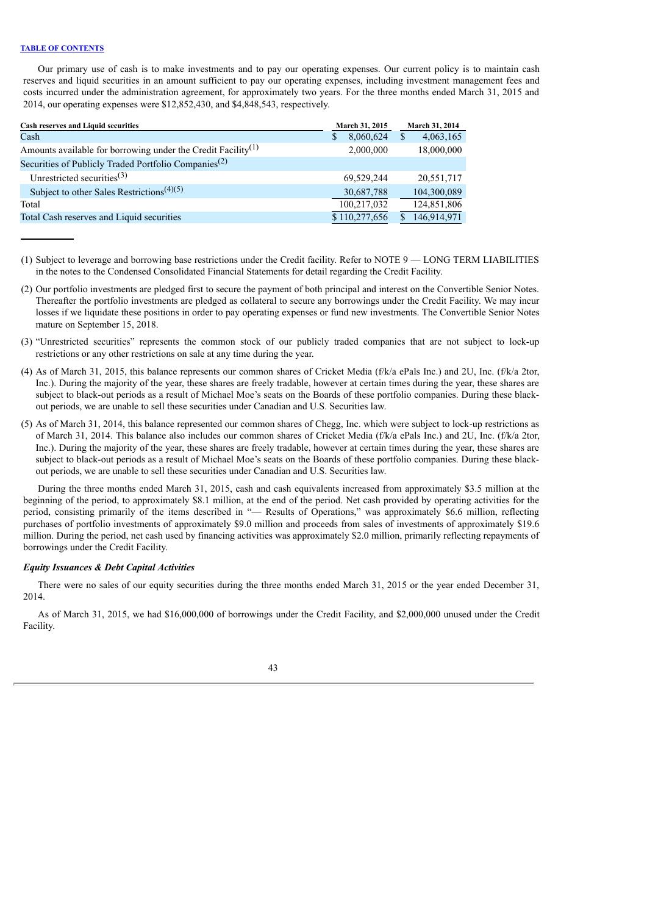Our primary use of cash is to make investments and to pay our operating expenses. Our current policy is to maintain cash reserves and liquid securities in an amount sufficient to pay our operating expenses, including investment management fees and costs incurred under the administration agreement, for approximately two years. For the three months ended March 31, 2015 and 2014, our operating expenses were \$12,852,430, and \$4,848,543, respectively.

| <b>Cash reserves and Liquid securities</b>                               | March 31, 2015 | March 31, 2014            |
|--------------------------------------------------------------------------|----------------|---------------------------|
| Cash                                                                     | 8,060,624<br>S | 4,063,165<br><sup>S</sup> |
| Amounts available for borrowing under the Credit Facility <sup>(1)</sup> | 2,000,000      | 18,000,000                |
| Securities of Publicly Traded Portfolio Companies <sup>(2)</sup>         |                |                           |
| Unrestricted securities <sup>(3)</sup>                                   | 69.529.244     | 20,551,717                |
| Subject to other Sales Restrictions <sup>(4)(5)</sup>                    | 30,687,788     | 104,300,089               |
| Total                                                                    | 100,217,032    | 124,851,806               |
| Total Cash reserves and Liquid securities                                | \$110,277,656  | 146,914,971               |

<sup>(1)</sup> Subject to leverage and borrowing base restrictions under the Credit facility. Refer to NOTE 9 — LONG TERM LIABILITIES in the notes to the Condensed Consolidated Financial Statements for detail regarding the Credit Facility.

- (2) Our portfolio investments are pledged first to secure the payment of both principal and interest on the Convertible Senior Notes. Thereafter the portfolio investments are pledged as collateral to secure any borrowings under the Credit Facility. We may incur losses if we liquidate these positions in order to pay operating expenses or fund new investments. The Convertible Senior Notes mature on September 15, 2018.
- (3) "Unrestricted securities" represents the common stock of our publicly traded companies that are not subject to lock-up restrictions or any other restrictions on sale at any time during the year.
- (4) As of March 31, 2015, this balance represents our common shares of Cricket Media (f/k/a ePals Inc.) and 2U, Inc. (f/k/a 2tor, Inc.). During the majority of the year, these shares are freely tradable, however at certain times during the year, these shares are subject to black-out periods as a result of Michael Moe's seats on the Boards of these portfolio companies. During these blackout periods, we are unable to sell these securities under Canadian and U.S. Securities law.
- (5) As of March 31, 2014, this balance represented our common shares of Chegg, Inc. which were subject to lock-up restrictions as of March 31, 2014. This balance also includes our common shares of Cricket Media (f/k/a ePals Inc.) and 2U, Inc. (f/k/a 2tor, Inc.). During the majority of the year, these shares are freely tradable, however at certain times during the year, these shares are subject to black-out periods as a result of Michael Moe's seats on the Boards of these portfolio companies. During these blackout periods, we are unable to sell these securities under Canadian and U.S. Securities law.

During the three months ended March 31, 2015, cash and cash equivalents increased from approximately \$3.5 million at the beginning of the period, to approximately \$8.1 million, at the end of the period. Net cash provided by operating activities for the period, consisting primarily of the items described in "— Results of Operations," was approximately \$6.6 million, reflecting purchases of portfolio investments of approximately \$9.0 million and proceeds from sales of investments of approximately \$19.6 million. During the period, net cash used by financing activities was approximately \$2.0 million, primarily reflecting repayments of borrowings under the Credit Facility.

## *Equity Issuances & Debt Capital Activities*

There were no sales of our equity securities during the three months ended March 31, 2015 or the year ended December 31, 2014.

As of March 31, 2015, we had \$16,000,000 of borrowings under the Credit Facility, and \$2,000,000 unused under the Credit Facility.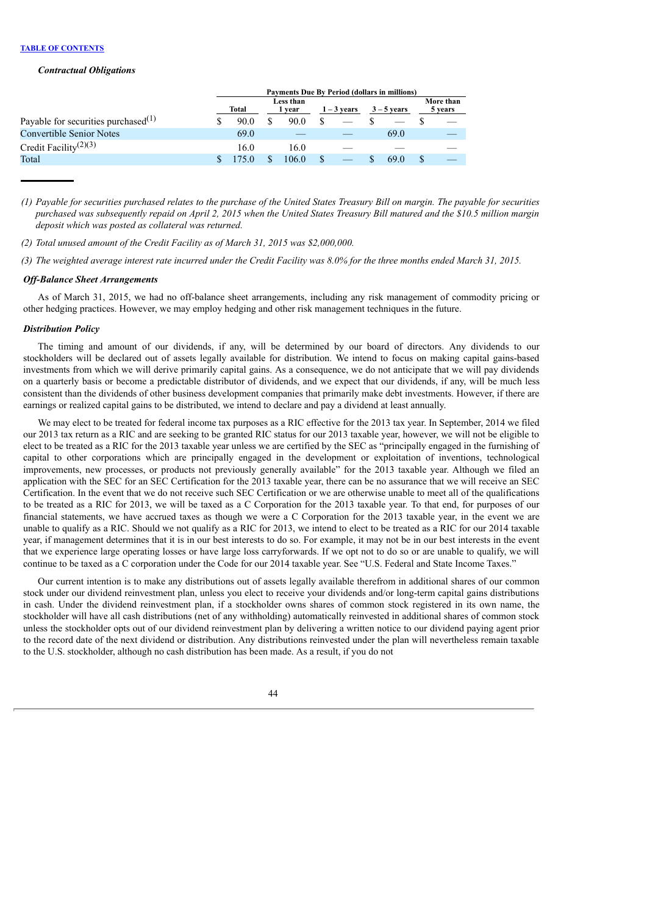#### *Contractual Obligations*

|                                                 | <b>Payments Due By Period (dollars in millions)</b> |       |  |                     |  |               |               |  |                      |
|-------------------------------------------------|-----------------------------------------------------|-------|--|---------------------|--|---------------|---------------|--|----------------------|
|                                                 |                                                     | Total |  | Less than<br>l vear |  | $1 - 3$ years | $3 - 5$ vears |  | More than<br>5 years |
| Payable for securities purchased <sup>(1)</sup> |                                                     | 90.0  |  | 90.0                |  |               |               |  |                      |
| <b>Convertible Senior Notes</b>                 |                                                     | 69.0  |  |                     |  |               | 69.0          |  |                      |
| Credit Facility <sup>(2)(3)</sup>               |                                                     | 16.0  |  | 16.0                |  |               |               |  |                      |
| Total                                           |                                                     |       |  | 106.0               |  |               | 69.0          |  |                      |

(1) Payable for securities purchased relates to the purchase of the United States Treasury Bill on margin. The payable for securities purchased was subsequently repaid on April 2, 2015 when the United States Treasury Bill matured and the \$10.5 million margin *deposit which was posted as collateral was returned.*

*(2) Total unused amount of the Credit Facility as of March 31, 2015 was \$2,000,000.*

(3) The weighted average interest rate incurred under the Credit Facility was 8.0% for the three months ended March 31, 2015.

#### *Of -Balance Sheet Arrangements*

As of March 31, 2015, we had no off-balance sheet arrangements, including any risk management of commodity pricing or other hedging practices. However, we may employ hedging and other risk management techniques in the future.

#### *Distribution Policy*

The timing and amount of our dividends, if any, will be determined by our board of directors. Any dividends to our stockholders will be declared out of assets legally available for distribution. We intend to focus on making capital gains-based investments from which we will derive primarily capital gains. As a consequence, we do not anticipate that we will pay dividends on a quarterly basis or become a predictable distributor of dividends, and we expect that our dividends, if any, will be much less consistent than the dividends of other business development companies that primarily make debt investments. However, if there are earnings or realized capital gains to be distributed, we intend to declare and pay a dividend at least annually.

We may elect to be treated for federal income tax purposes as a RIC effective for the 2013 tax year. In September, 2014 we filed our 2013 tax return as a RIC and are seeking to be granted RIC status for our 2013 taxable year, however, we will not be eligible to elect to be treated as a RIC for the 2013 taxable year unless we are certified by the SEC as "principally engaged in the furnishing of capital to other corporations which are principally engaged in the development or exploitation of inventions, technological improvements, new processes, or products not previously generally available" for the 2013 taxable year. Although we filed an application with the SEC for an SEC Certification for the 2013 taxable year, there can be no assurance that we will receive an SEC Certification. In the event that we do not receive such SEC Certification or we are otherwise unable to meet all of the qualifications to be treated as a RIC for 2013, we will be taxed as a C Corporation for the 2013 taxable year. To that end, for purposes of our financial statements, we have accrued taxes as though we were a C Corporation for the 2013 taxable year, in the event we are unable to qualify as a RIC. Should we not qualify as a RIC for 2013, we intend to elect to be treated as a RIC for our 2014 taxable year, if management determines that it is in our best interests to do so. For example, it may not be in our best interests in the event that we experience large operating losses or have large loss carryforwards. If we opt not to do so or are unable to qualify, we will continue to be taxed as a C corporation under the Code for our 2014 taxable year. See "U.S. Federal and State Income Taxes."

Our current intention is to make any distributions out of assets legally available therefrom in additional shares of our common stock under our dividend reinvestment plan, unless you elect to receive your dividends and/or long-term capital gains distributions in cash. Under the dividend reinvestment plan, if a stockholder owns shares of common stock registered in its own name, the stockholder will have all cash distributions (net of any withholding) automatically reinvested in additional shares of common stock unless the stockholder opts out of our dividend reinvestment plan by delivering a written notice to our dividend paying agent prior to the record date of the next dividend or distribution. Any distributions reinvested under the plan will nevertheless remain taxable to the U.S. stockholder, although no cash distribution has been made. As a result, if you do not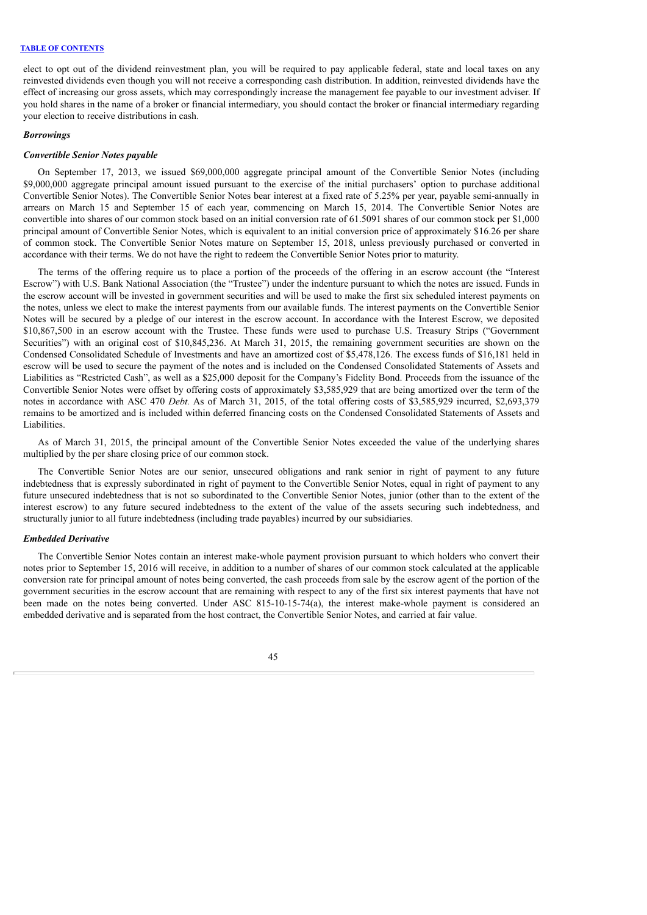elect to opt out of the dividend reinvestment plan, you will be required to pay applicable federal, state and local taxes on any reinvested dividends even though you will not receive a corresponding cash distribution. In addition, reinvested dividends have the effect of increasing our gross assets, which may correspondingly increase the management fee payable to our investment adviser. If you hold shares in the name of a broker or financial intermediary, you should contact the broker or financial intermediary regarding your election to receive distributions in cash.

## *Borrowings*

#### *Convertible Senior Notes payable*

On September 17, 2013, we issued \$69,000,000 aggregate principal amount of the Convertible Senior Notes (including \$9,000,000 aggregate principal amount issued pursuant to the exercise of the initial purchasers' option to purchase additional Convertible Senior Notes). The Convertible Senior Notes bear interest at a fixed rate of 5.25% per year, payable semi-annually in arrears on March 15 and September 15 of each year, commencing on March 15, 2014. The Convertible Senior Notes are convertible into shares of our common stock based on an initial conversion rate of 61.5091 shares of our common stock per \$1,000 principal amount of Convertible Senior Notes, which is equivalent to an initial conversion price of approximately \$16.26 per share of common stock. The Convertible Senior Notes mature on September 15, 2018, unless previously purchased or converted in accordance with their terms. We do not have the right to redeem the Convertible Senior Notes prior to maturity.

The terms of the offering require us to place a portion of the proceeds of the offering in an escrow account (the "Interest Escrow") with U.S. Bank National Association (the "Trustee") under the indenture pursuant to which the notes are issued. Funds in the escrow account will be invested in government securities and will be used to make the first six scheduled interest payments on the notes, unless we elect to make the interest payments from our available funds. The interest payments on the Convertible Senior Notes will be secured by a pledge of our interest in the escrow account. In accordance with the Interest Escrow, we deposited \$10,867,500 in an escrow account with the Trustee. These funds were used to purchase U.S. Treasury Strips ("Government Securities") with an original cost of \$10,845,236. At March 31, 2015, the remaining government securities are shown on the Condensed Consolidated Schedule of Investments and have an amortized cost of \$5,478,126. The excess funds of \$16,181 held in escrow will be used to secure the payment of the notes and is included on the Condensed Consolidated Statements of Assets and Liabilities as "Restricted Cash", as well as a \$25,000 deposit for the Company's Fidelity Bond. Proceeds from the issuance of the Convertible Senior Notes were offset by offering costs of approximately \$3,585,929 that are being amortized over the term of the notes in accordance with ASC 470 *Debt.* As of March 31, 2015, of the total offering costs of \$3,585,929 incurred, \$2,693,379 remains to be amortized and is included within deferred financing costs on the Condensed Consolidated Statements of Assets and Liabilities.

As of March 31, 2015, the principal amount of the Convertible Senior Notes exceeded the value of the underlying shares multiplied by the per share closing price of our common stock.

The Convertible Senior Notes are our senior, unsecured obligations and rank senior in right of payment to any future indebtedness that is expressly subordinated in right of payment to the Convertible Senior Notes, equal in right of payment to any future unsecured indebtedness that is not so subordinated to the Convertible Senior Notes, junior (other than to the extent of the interest escrow) to any future secured indebtedness to the extent of the value of the assets securing such indebtedness, and structurally junior to all future indebtedness (including trade payables) incurred by our subsidiaries.

#### *Embedded Derivative*

The Convertible Senior Notes contain an interest make-whole payment provision pursuant to which holders who convert their notes prior to September 15, 2016 will receive, in addition to a number of shares of our common stock calculated at the applicable conversion rate for principal amount of notes being converted, the cash proceeds from sale by the escrow agent of the portion of the government securities in the escrow account that are remaining with respect to any of the first six interest payments that have not been made on the notes being converted. Under ASC 815-10-15-74(a), the interest make-whole payment is considered an embedded derivative and is separated from the host contract, the Convertible Senior Notes, and carried at fair value.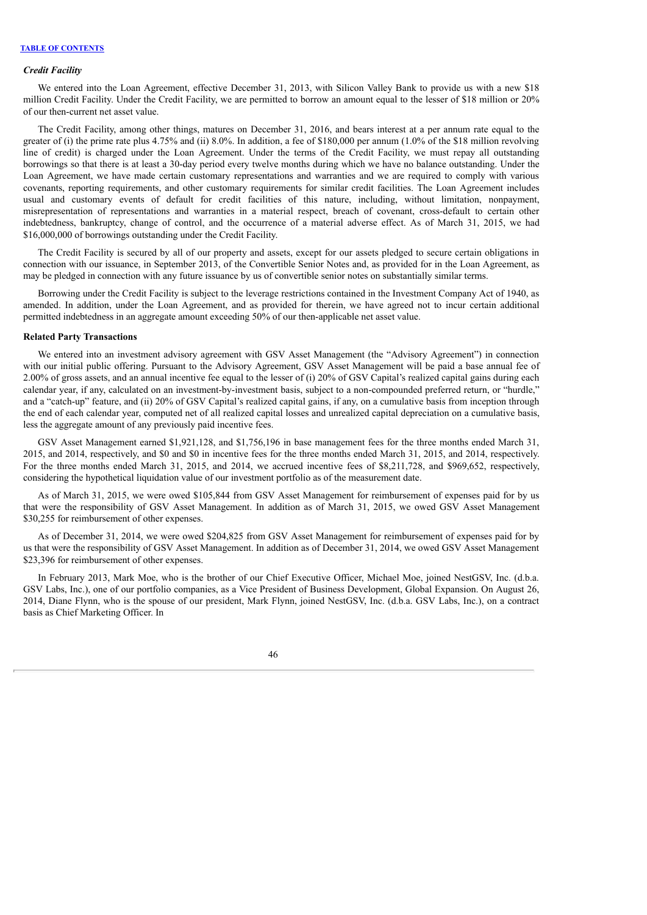#### *Credit Facility*

We entered into the Loan Agreement, effective December 31, 2013, with Silicon Valley Bank to provide us with a new \$18 million Credit Facility. Under the Credit Facility, we are permitted to borrow an amount equal to the lesser of \$18 million or 20% of our then-current net asset value.

The Credit Facility, among other things, matures on December 31, 2016, and bears interest at a per annum rate equal to the greater of (i) the prime rate plus 4.75% and (ii) 8.0%. In addition, a fee of \$180,000 per annum (1.0% of the \$18 million revolving line of credit) is charged under the Loan Agreement. Under the terms of the Credit Facility, we must repay all outstanding borrowings so that there is at least a 30-day period every twelve months during which we have no balance outstanding. Under the Loan Agreement, we have made certain customary representations and warranties and we are required to comply with various covenants, reporting requirements, and other customary requirements for similar credit facilities. The Loan Agreement includes usual and customary events of default for credit facilities of this nature, including, without limitation, nonpayment, misrepresentation of representations and warranties in a material respect, breach of covenant, cross-default to certain other indebtedness, bankruptcy, change of control, and the occurrence of a material adverse effect. As of March 31, 2015, we had \$16,000,000 of borrowings outstanding under the Credit Facility.

The Credit Facility is secured by all of our property and assets, except for our assets pledged to secure certain obligations in connection with our issuance, in September 2013, of the Convertible Senior Notes and, as provided for in the Loan Agreement, as may be pledged in connection with any future issuance by us of convertible senior notes on substantially similar terms.

Borrowing under the Credit Facility is subject to the leverage restrictions contained in the Investment Company Act of 1940, as amended. In addition, under the Loan Agreement, and as provided for therein, we have agreed not to incur certain additional permitted indebtedness in an aggregate amount exceeding 50% of our then-applicable net asset value.

#### **Related Party Transactions**

We entered into an investment advisory agreement with GSV Asset Management (the "Advisory Agreement") in connection with our initial public offering. Pursuant to the Advisory Agreement, GSV Asset Management will be paid a base annual fee of 2.00% of gross assets, and an annual incentive fee equal to the lesser of (i) 20% of GSV Capital's realized capital gains during each calendar year, if any, calculated on an investment-by-investment basis, subject to a non-compounded preferred return, or "hurdle," and a "catch-up" feature, and (ii) 20% of GSV Capital's realized capital gains, if any, on a cumulative basis from inception through the end of each calendar year, computed net of all realized capital losses and unrealized capital depreciation on a cumulative basis, less the aggregate amount of any previously paid incentive fees.

GSV Asset Management earned \$1,921,128, and \$1,756,196 in base management fees for the three months ended March 31, 2015, and 2014, respectively, and \$0 and \$0 in incentive fees for the three months ended March 31, 2015, and 2014, respectively. For the three months ended March 31, 2015, and 2014, we accrued incentive fees of \$8,211,728, and \$969,652, respectively, considering the hypothetical liquidation value of our investment portfolio as of the measurement date.

As of March 31, 2015, we were owed \$105,844 from GSV Asset Management for reimbursement of expenses paid for by us that were the responsibility of GSV Asset Management. In addition as of March 31, 2015, we owed GSV Asset Management \$30,255 for reimbursement of other expenses.

As of December 31, 2014, we were owed \$204,825 from GSV Asset Management for reimbursement of expenses paid for by us that were the responsibility of GSV Asset Management. In addition as of December 31, 2014, we owed GSV Asset Management \$23,396 for reimbursement of other expenses.

In February 2013, Mark Moe, who is the brother of our Chief Executive Officer, Michael Moe, joined NestGSV, Inc. (d.b.a. GSV Labs, Inc.), one of our portfolio companies, as a Vice President of Business Development, Global Expansion. On August 26, 2014, Diane Flynn, who is the spouse of our president, Mark Flynn, joined NestGSV, Inc. (d.b.a. GSV Labs, Inc.), on a contract basis as Chief Marketing Officer. In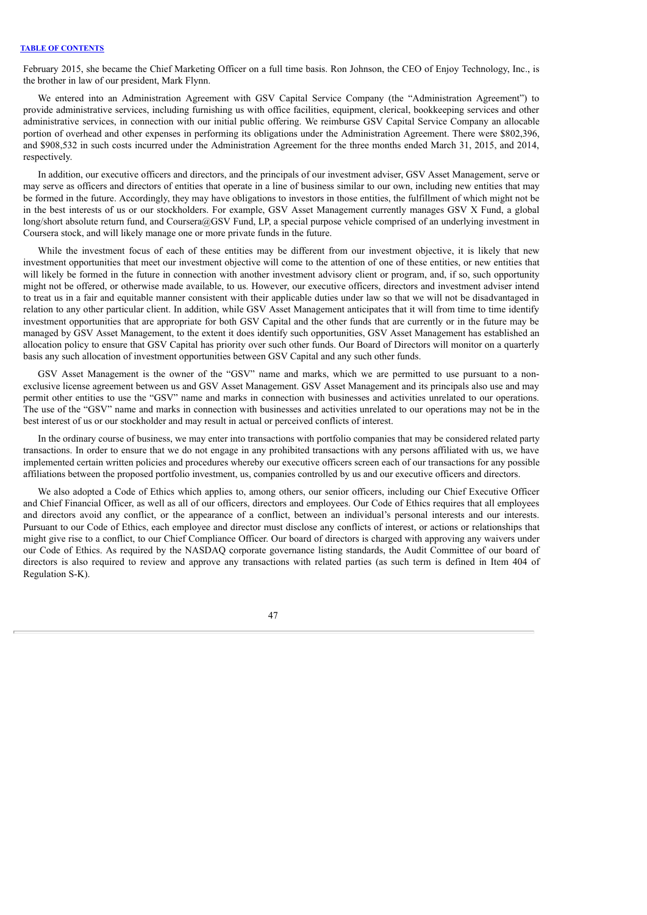February 2015, she became the Chief Marketing Officer on a full time basis. Ron Johnson, the CEO of Enjoy Technology, Inc., is the brother in law of our president, Mark Flynn.

We entered into an Administration Agreement with GSV Capital Service Company (the "Administration Agreement") to provide administrative services, including furnishing us with office facilities, equipment, clerical, bookkeeping services and other administrative services, in connection with our initial public offering. We reimburse GSV Capital Service Company an allocable portion of overhead and other expenses in performing its obligations under the Administration Agreement. There were \$802,396, and \$908,532 in such costs incurred under the Administration Agreement for the three months ended March 31, 2015, and 2014, respectively.

In addition, our executive officers and directors, and the principals of our investment adviser, GSV Asset Management, serve or may serve as officers and directors of entities that operate in a line of business similar to our own, including new entities that may be formed in the future. Accordingly, they may have obligations to investors in those entities, the fulfillment of which might not be in the best interests of us or our stockholders. For example, GSV Asset Management currently manages GSV X Fund, a global long/short absolute return fund, and Coursera@GSV Fund, LP, a special purpose vehicle comprised of an underlying investment in Coursera stock, and will likely manage one or more private funds in the future.

While the investment focus of each of these entities may be different from our investment objective, it is likely that new investment opportunities that meet our investment objective will come to the attention of one of these entities, or new entities that will likely be formed in the future in connection with another investment advisory client or program, and, if so, such opportunity might not be offered, or otherwise made available, to us. However, our executive officers, directors and investment adviser intend to treat us in a fair and equitable manner consistent with their applicable duties under law so that we will not be disadvantaged in relation to any other particular client. In addition, while GSV Asset Management anticipates that it will from time to time identify investment opportunities that are appropriate for both GSV Capital and the other funds that are currently or in the future may be managed by GSV Asset Management, to the extent it does identify such opportunities, GSV Asset Management has established an allocation policy to ensure that GSV Capital has priority over such other funds. Our Board of Directors will monitor on a quarterly basis any such allocation of investment opportunities between GSV Capital and any such other funds.

GSV Asset Management is the owner of the "GSV" name and marks, which we are permitted to use pursuant to a nonexclusive license agreement between us and GSV Asset Management. GSV Asset Management and its principals also use and may permit other entities to use the "GSV" name and marks in connection with businesses and activities unrelated to our operations. The use of the "GSV" name and marks in connection with businesses and activities unrelated to our operations may not be in the best interest of us or our stockholder and may result in actual or perceived conflicts of interest.

In the ordinary course of business, we may enter into transactions with portfolio companies that may be considered related party transactions. In order to ensure that we do not engage in any prohibited transactions with any persons affiliated with us, we have implemented certain written policies and procedures whereby our executive officers screen each of our transactions for any possible affiliations between the proposed portfolio investment, us, companies controlled by us and our executive officers and directors.

We also adopted a Code of Ethics which applies to, among others, our senior officers, including our Chief Executive Officer and Chief Financial Officer, as well as all of our officers, directors and employees. Our Code of Ethics requires that all employees and directors avoid any conflict, or the appearance of a conflict, between an individual's personal interests and our interests. Pursuant to our Code of Ethics, each employee and director must disclose any conflicts of interest, or actions or relationships that might give rise to a conflict, to our Chief Compliance Officer. Our board of directors is charged with approving any waivers under our Code of Ethics. As required by the NASDAQ corporate governance listing standards, the Audit Committee of our board of directors is also required to review and approve any transactions with related parties (as such term is defined in Item 404 of Regulation S-K).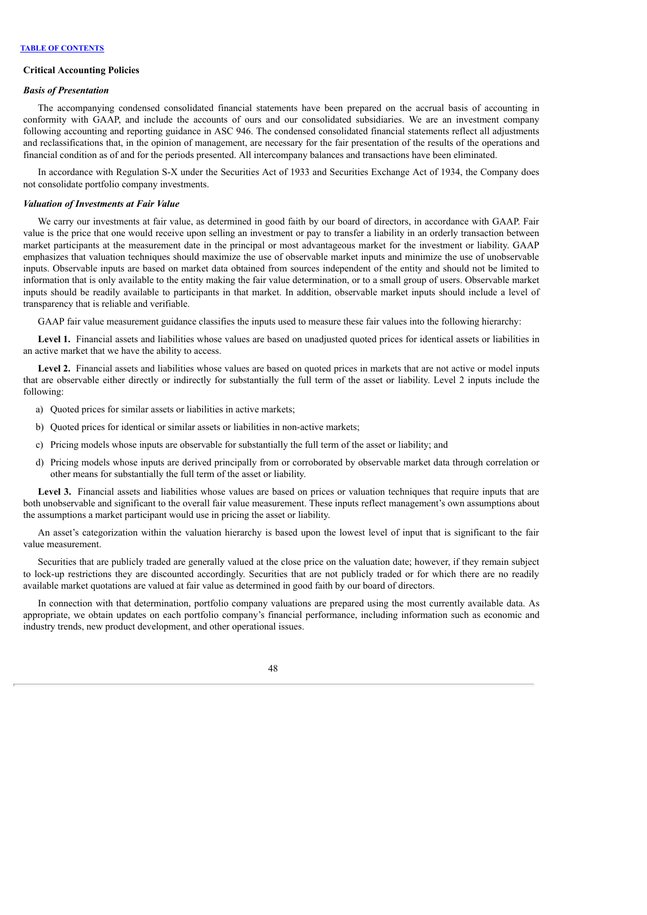#### **Critical Accounting Policies**

#### *Basis of Presentation*

The accompanying condensed consolidated financial statements have been prepared on the accrual basis of accounting in conformity with GAAP, and include the accounts of ours and our consolidated subsidiaries. We are an investment company following accounting and reporting guidance in ASC 946. The condensed consolidated financial statements reflect all adjustments and reclassifications that, in the opinion of management, are necessary for the fair presentation of the results of the operations and financial condition as of and for the periods presented. All intercompany balances and transactions have been eliminated.

In accordance with Regulation S-X under the Securities Act of 1933 and Securities Exchange Act of 1934, the Company does not consolidate portfolio company investments.

#### *Valuation of Investments at Fair Value*

We carry our investments at fair value, as determined in good faith by our board of directors, in accordance with GAAP. Fair value is the price that one would receive upon selling an investment or pay to transfer a liability in an orderly transaction between market participants at the measurement date in the principal or most advantageous market for the investment or liability. GAAP emphasizes that valuation techniques should maximize the use of observable market inputs and minimize the use of unobservable inputs. Observable inputs are based on market data obtained from sources independent of the entity and should not be limited to information that is only available to the entity making the fair value determination, or to a small group of users. Observable market inputs should be readily available to participants in that market. In addition, observable market inputs should include a level of transparency that is reliable and verifiable.

GAAP fair value measurement guidance classifies the inputs used to measure these fair values into the following hierarchy:

**Level 1.** Financial assets and liabilities whose values are based on unadjusted quoted prices for identical assets or liabilities in an active market that we have the ability to access.

**Level 2.** Financial assets and liabilities whose values are based on quoted prices in markets that are not active or model inputs that are observable either directly or indirectly for substantially the full term of the asset or liability. Level 2 inputs include the following:

- a) Quoted prices for similar assets or liabilities in active markets;
- b) Quoted prices for identical or similar assets or liabilities in non-active markets;
- c) Pricing models whose inputs are observable for substantially the full term of the asset or liability; and
- d) Pricing models whose inputs are derived principally from or corroborated by observable market data through correlation or other means for substantially the full term of the asset or liability.

Level 3. Financial assets and liabilities whose values are based on prices or valuation techniques that require inputs that are both unobservable and significant to the overall fair value measurement. These inputs reflect management's own assumptions about the assumptions a market participant would use in pricing the asset or liability.

An asset's categorization within the valuation hierarchy is based upon the lowest level of input that is significant to the fair value measurement.

Securities that are publicly traded are generally valued at the close price on the valuation date; however, if they remain subject to lock-up restrictions they are discounted accordingly. Securities that are not publicly traded or for which there are no readily available market quotations are valued at fair value as determined in good faith by our board of directors.

In connection with that determination, portfolio company valuations are prepared using the most currently available data. As appropriate, we obtain updates on each portfolio company's financial performance, including information such as economic and industry trends, new product development, and other operational issues.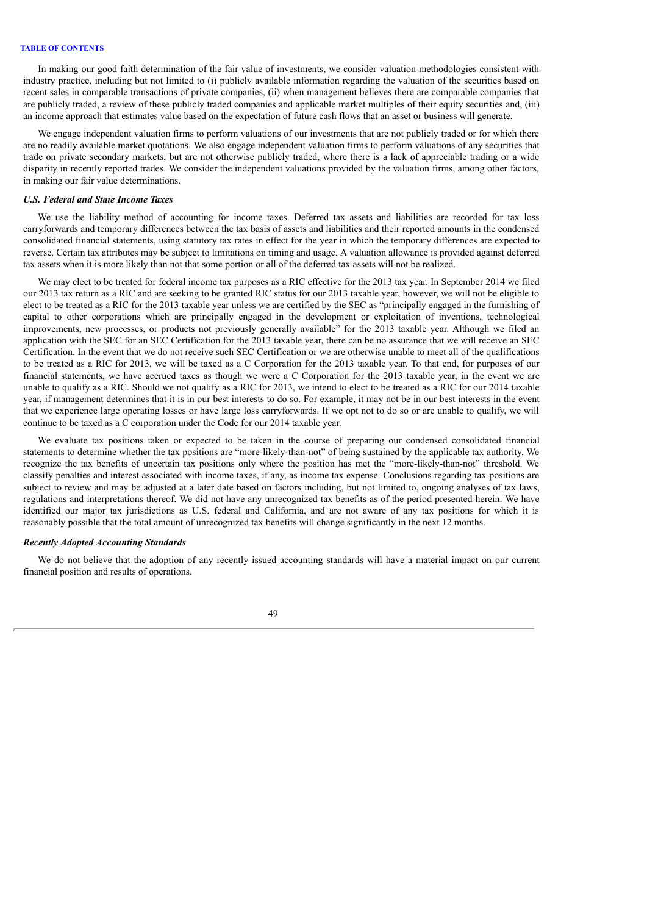In making our good faith determination of the fair value of investments, we consider valuation methodologies consistent with industry practice, including but not limited to (i) publicly available information regarding the valuation of the securities based on recent sales in comparable transactions of private companies, (ii) when management believes there are comparable companies that are publicly traded, a review of these publicly traded companies and applicable market multiples of their equity securities and, (iii) an income approach that estimates value based on the expectation of future cash flows that an asset or business will generate.

We engage independent valuation firms to perform valuations of our investments that are not publicly traded or for which there are no readily available market quotations. We also engage independent valuation firms to perform valuations of any securities that trade on private secondary markets, but are not otherwise publicly traded, where there is a lack of appreciable trading or a wide disparity in recently reported trades. We consider the independent valuations provided by the valuation firms, among other factors, in making our fair value determinations.

#### *U.S. Federal and State Income Taxes*

We use the liability method of accounting for income taxes. Deferred tax assets and liabilities are recorded for tax loss carryforwards and temporary differences between the tax basis of assets and liabilities and their reported amounts in the condensed consolidated financial statements, using statutory tax rates in effect for the year in which the temporary differences are expected to reverse. Certain tax attributes may be subject to limitations on timing and usage. A valuation allowance is provided against deferred tax assets when it is more likely than not that some portion or all of the deferred tax assets will not be realized.

We may elect to be treated for federal income tax purposes as a RIC effective for the 2013 tax year. In September 2014 we filed our 2013 tax return as a RIC and are seeking to be granted RIC status for our 2013 taxable year, however, we will not be eligible to elect to be treated as a RIC for the 2013 taxable year unless we are certified by the SEC as "principally engaged in the furnishing of capital to other corporations which are principally engaged in the development or exploitation of inventions, technological improvements, new processes, or products not previously generally available" for the 2013 taxable year. Although we filed an application with the SEC for an SEC Certification for the 2013 taxable year, there can be no assurance that we will receive an SEC Certification. In the event that we do not receive such SEC Certification or we are otherwise unable to meet all of the qualifications to be treated as a RIC for 2013, we will be taxed as a C Corporation for the 2013 taxable year. To that end, for purposes of our financial statements, we have accrued taxes as though we were a C Corporation for the 2013 taxable year, in the event we are unable to qualify as a RIC. Should we not qualify as a RIC for 2013, we intend to elect to be treated as a RIC for our 2014 taxable year, if management determines that it is in our best interests to do so. For example, it may not be in our best interests in the event that we experience large operating losses or have large loss carryforwards. If we opt not to do so or are unable to qualify, we will continue to be taxed as a C corporation under the Code for our 2014 taxable year.

We evaluate tax positions taken or expected to be taken in the course of preparing our condensed consolidated financial statements to determine whether the tax positions are "more-likely-than-not" of being sustained by the applicable tax authority. We recognize the tax benefits of uncertain tax positions only where the position has met the "more-likely-than-not" threshold. We classify penalties and interest associated with income taxes, if any, as income tax expense. Conclusions regarding tax positions are subject to review and may be adjusted at a later date based on factors including, but not limited to, ongoing analyses of tax laws, regulations and interpretations thereof. We did not have any unrecognized tax benefits as of the period presented herein. We have identified our major tax jurisdictions as U.S. federal and California, and are not aware of any tax positions for which it is reasonably possible that the total amount of unrecognized tax benefits will change significantly in the next 12 months.

#### *Recently Adopted Accounting Standards*

We do not believe that the adoption of any recently issued accounting standards will have a material impact on our current financial position and results of operations.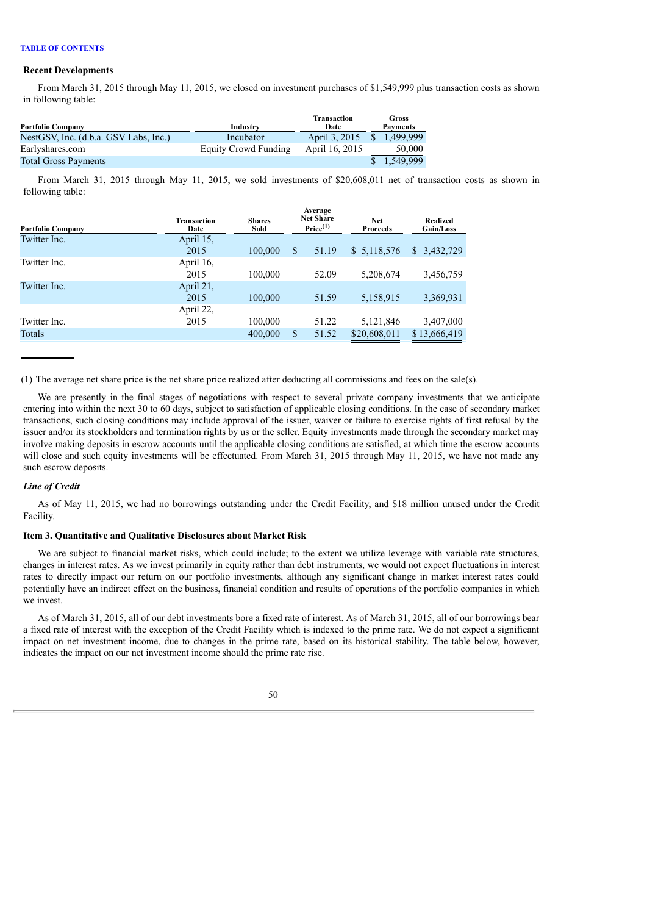#### **Recent Developments**

From March 31, 2015 through May 11, 2015, we closed on investment purchases of \$1,549,999 plus transaction costs as shown in following table:

| <b>Portfolio Company</b>              | Industry             | <b>Transaction</b><br>Date | Gross<br><b>Payments</b> |
|---------------------------------------|----------------------|----------------------------|--------------------------|
| NestGSV, Inc. (d.b.a. GSV Labs, Inc.) | Incubator            | April 3, 2015              | 1.499.999                |
| Earlyshares.com                       | Equity Crowd Funding | April 16, 2015             | 50,000                   |
| <b>Total Gross Payments</b>           |                      |                            | 1.549.999                |

From March 31, 2015 through May 11, 2015, we sold investments of \$20,608,011 net of transaction costs as shown in following table:

| <b>Portfolio Company</b> | <b>Transaction</b><br>Date | <b>Shares</b><br>Sold |              | Average<br><b>Net Share</b><br>Price <sup>(1)</sup> | <b>Net</b><br><b>Proceeds</b> | <b>Realized</b><br>Gain/Loss |
|--------------------------|----------------------------|-----------------------|--------------|-----------------------------------------------------|-------------------------------|------------------------------|
| Twitter Inc.             | April 15,                  |                       |              |                                                     |                               |                              |
|                          | 2015                       | 100,000               | $\mathbb{S}$ | 51.19                                               | \$5,118,576                   | \$3,432,729                  |
| Twitter Inc.             | April 16,                  |                       |              |                                                     |                               |                              |
|                          | 2015                       | 100,000               |              | 52.09                                               | 5,208,674                     | 3,456,759                    |
| Twitter Inc.             | April 21,                  |                       |              |                                                     |                               |                              |
|                          | 2015                       | 100,000               |              | 51.59                                               | 5,158,915                     | 3,369,931                    |
|                          | April 22,                  |                       |              |                                                     |                               |                              |
| Twitter Inc.             | 2015                       | 100,000               |              | 51.22                                               | 5,121,846                     | 3,407,000                    |
| Totals                   |                            | 400,000               | \$           | 51.52                                               | \$20,608,011                  | \$13,666,419                 |

(1) The average net share price is the net share price realized after deducting all commissions and fees on the sale(s).

We are presently in the final stages of negotiations with respect to several private company investments that we anticipate entering into within the next 30 to 60 days, subject to satisfaction of applicable closing conditions. In the case of secondary market transactions, such closing conditions may include approval of the issuer, waiver or failure to exercise rights of first refusal by the issuer and/or its stockholders and termination rights by us or the seller. Equity investments made through the secondary market may involve making deposits in escrow accounts until the applicable closing conditions are satisfied, at which time the escrow accounts will close and such equity investments will be effectuated. From March 31, 2015 through May 11, 2015, we have not made any such escrow deposits.

#### *Line of Credit*

As of May 11, 2015, we had no borrowings outstanding under the Credit Facility, and \$18 million unused under the Credit Facility.

### <span id="page-51-0"></span>**Item 3. Quantitative and Qualitative Disclosures about Market Risk**

We are subject to financial market risks, which could include; to the extent we utilize leverage with variable rate structures, changes in interest rates. As we invest primarily in equity rather than debt instruments, we would not expect fluctuations in interest rates to directly impact our return on our portfolio investments, although any significant change in market interest rates could potentially have an indirect effect on the business, financial condition and results of operations of the portfolio companies in which we invest.

As of March 31, 2015, all of our debt investments bore a fixed rate of interest. As of March 31, 2015, all of our borrowings bear a fixed rate of interest with the exception of the Credit Facility which is indexed to the prime rate. We do not expect a significant impact on net investment income, due to changes in the prime rate, based on its historical stability. The table below, however, indicates the impact on our net investment income should the prime rate rise.

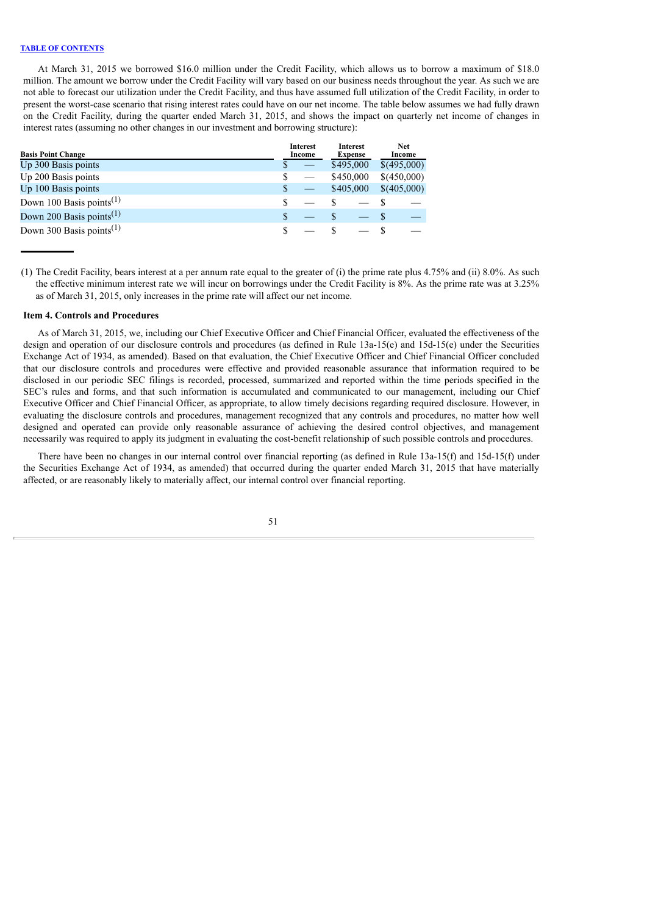At March 31, 2015 we borrowed \$16.0 million under the Credit Facility, which allows us to borrow a maximum of \$18.0 million. The amount we borrow under the Credit Facility will vary based on our business needs throughout the year. As such we are not able to forecast our utilization under the Credit Facility, and thus have assumed full utilization of the Credit Facility, in order to present the worst-case scenario that rising interest rates could have on our net income. The table below assumes we had fully drawn on the Credit Facility, during the quarter ended March 31, 2015, and shows the impact on quarterly net income of changes in interest rates (assuming no other changes in our investment and borrowing structure):

| <b>Basis Point Change</b>            |   | <b>Interest</b><br>Income | <b>Interest</b><br><b>Expense</b> |             | <b>Net</b><br>Income |
|--------------------------------------|---|---------------------------|-----------------------------------|-------------|----------------------|
| Up 300 Basis points                  |   |                           | \$495,000                         | \$(495,000) |                      |
| Up 200 Basis points                  | S |                           | \$450,000                         | \$(450,000) |                      |
| Up 100 Basis points                  | S |                           | \$405,000                         | \$(405,000) |                      |
| Down 100 Basis points <sup>(1)</sup> |   |                           |                                   |             |                      |
| Down 200 Basis points <sup>(1)</sup> |   |                           |                                   |             |                      |
| Down 300 Basis points <sup>(1)</sup> |   |                           |                                   |             |                      |

(1) The Credit Facility, bears interest at a per annum rate equal to the greater of (i) the prime rate plus 4.75% and (ii) 8.0%. As such the effective minimum interest rate we will incur on borrowings under the Credit Facility is 8%. As the prime rate was at 3.25% as of March 31, 2015, only increases in the prime rate will affect our net income.

### <span id="page-52-0"></span>**Item 4. Controls and Procedures**

As of March 31, 2015, we, including our Chief Executive Officer and Chief Financial Officer, evaluated the effectiveness of the design and operation of our disclosure controls and procedures (as defined in Rule 13a-15(e) and 15d-15(e) under the Securities Exchange Act of 1934, as amended). Based on that evaluation, the Chief Executive Officer and Chief Financial Officer concluded that our disclosure controls and procedures were effective and provided reasonable assurance that information required to be disclosed in our periodic SEC filings is recorded, processed, summarized and reported within the time periods specified in the SEC's rules and forms, and that such information is accumulated and communicated to our management, including our Chief Executive Officer and Chief Financial Officer, as appropriate, to allow timely decisions regarding required disclosure. However, in evaluating the disclosure controls and procedures, management recognized that any controls and procedures, no matter how well designed and operated can provide only reasonable assurance of achieving the desired control objectives, and management necessarily was required to apply its judgment in evaluating the cost-benefit relationship of such possible controls and procedures.

There have been no changes in our internal control over financial reporting (as defined in Rule 13a-15(f) and 15d-15(f) under the Securities Exchange Act of 1934, as amended) that occurred during the quarter ended March 31, 2015 that have materially affected, or are reasonably likely to materially affect, our internal control over financial reporting.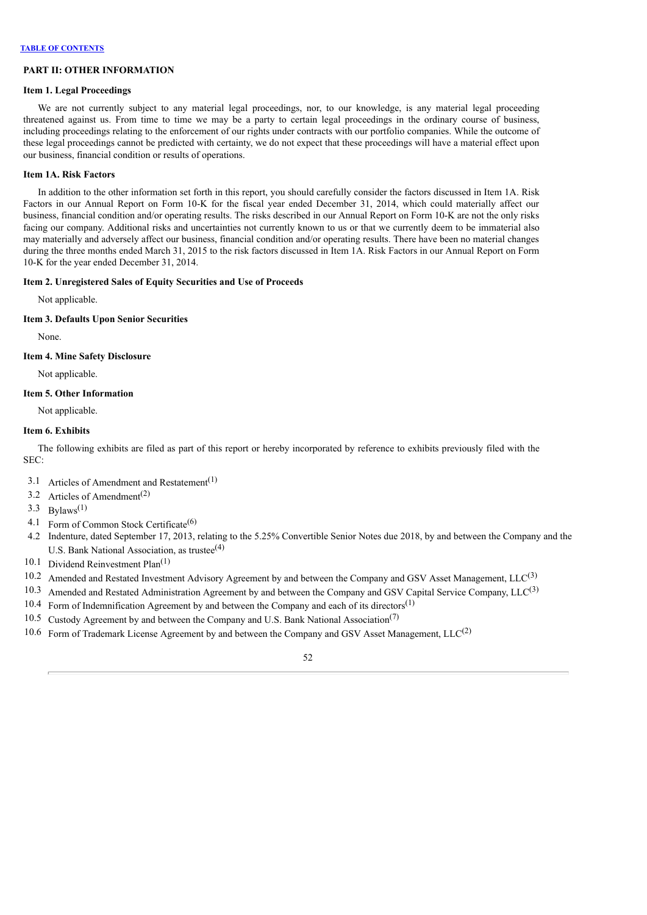### **PART II: OTHER INFORMATION**

#### <span id="page-53-0"></span>**Item 1. Legal Proceedings**

We are not currently subject to any material legal proceedings, nor, to our knowledge, is any material legal proceeding threatened against us. From time to time we may be a party to certain legal proceedings in the ordinary course of business, including proceedings relating to the enforcement of our rights under contracts with our portfolio companies. While the outcome of these legal proceedings cannot be predicted with certainty, we do not expect that these proceedings will have a material effect upon our business, financial condition or results of operations.

## <span id="page-53-1"></span>**Item 1A. Risk Factors**

In addition to the other information set forth in this report, you should carefully consider the factors discussed in Item 1A. Risk Factors in our Annual Report on Form 10-K for the fiscal year ended December 31, 2014, which could materially affect our business, financial condition and/or operating results. The risks described in our Annual Report on Form 10-K are not the only risks facing our company. Additional risks and uncertainties not currently known to us or that we currently deem to be immaterial also may materially and adversely affect our business, financial condition and/or operating results. There have been no material changes during the three months ended March 31, 2015 to the risk factors discussed in Item 1A. Risk Factors in our Annual Report on Form 10-K for the year ended December 31, 2014.

### <span id="page-53-2"></span>**Item 2. Unregistered Sales of Equity Securities and Use of Proceeds**

Not applicable.

#### <span id="page-53-3"></span>**Item 3. Defaults Upon Senior Securities**

None.

### <span id="page-53-4"></span>**Item 4. Mine Safety Disclosure**

Not applicable.

### <span id="page-53-5"></span>**Item 5. Other Information**

Not applicable.

#### <span id="page-53-6"></span>**Item 6. Exhibits**

The following exhibits are filed as part of this report or hereby incorporated by reference to exhibits previously filed with the SEC:

- 3.1 Articles of Amendment and Restatement<sup>(1)</sup>
- 3.2 Articles of Amendment<sup>(2)</sup>
- 3.3 Bylaws<sup>(1)</sup>
- 4.1 Form of Common Stock Certificate<sup>(6)</sup>
- 4.2 Indenture, dated September 17, 2013, relating to the 5.25% Convertible Senior Notes due 2018, by and between the Company and the U.S. Bank National Association, as trustee<sup>(4)</sup>
- 10.1 Dividend Reinvestment Plan<sup>(1)</sup>
- 10.2 Amended and Restated Investment Advisory Agreement by and between the Company and GSV Asset Management,  $LLC^{(3)}$
- 10.3 Amended and Restated Administration Agreement by and between the Company and GSV Capital Service Company,  $LLC^{(3)}$
- $10.4$  Form of Indemnification Agreement by and between the Company and each of its directors<sup>(1)</sup>
- 10.5 Custody Agreement by and between the Company and U.S. Bank National Association<sup>(7)</sup>
- 10.6 Form of Trademark License Agreement by and between the Company and GSV Asset Management,  $LLC^{(2)}$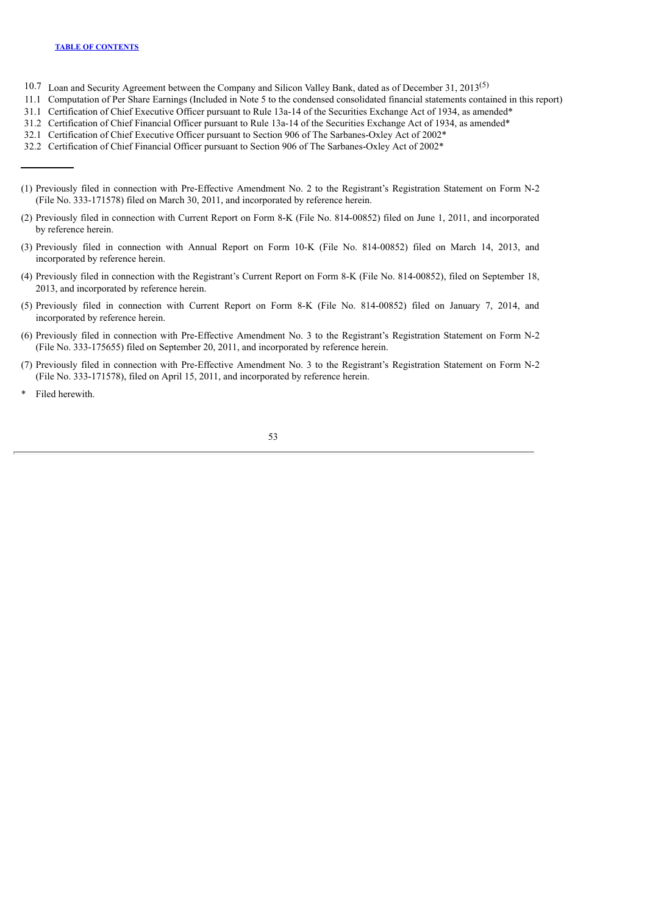- 10.7 Loan and Security Agreement between the Company and Silicon Valley Bank, dated as of December 31, 2013<sup>(5)</sup>
- 11.1 Computation of Per Share Earnings (Included in Note 5 to the condensed consolidated financial statements contained in this report)
- 31.1 Certification of Chief Executive Officer pursuant to Rule 13a-14 of the Securities Exchange Act of 1934, as amended\*
- 31.2 Certification of Chief Financial Officer pursuant to Rule 13a-14 of the Securities Exchange Act of 1934, as amended\*
- 32.1 Certification of Chief Executive Officer pursuant to Section 906 of The Sarbanes-Oxley Act of 2002\*
- 32.2 Certification of Chief Financial Officer pursuant to Section 906 of The Sarbanes-Oxley Act of 2002\*
- (1) Previously filed in connection with Pre-Effective Amendment No. 2 to the Registrant's Registration Statement on Form N-2 (File No. 333-171578) filed on March 30, 2011, and incorporated by reference herein.
- (2) Previously filed in connection with Current Report on Form 8-K (File No. 814-00852) filed on June 1, 2011, and incorporated by reference herein.
- (3) Previously filed in connection with Annual Report on Form 10-K (File No. 814-00852) filed on March 14, 2013, and incorporated by reference herein.
- (4) Previously filed in connection with the Registrant's Current Report on Form 8-K (File No. 814-00852), filed on September 18, 2013, and incorporated by reference herein.
- (5) Previously filed in connection with Current Report on Form 8-K (File No. 814-00852) filed on January 7, 2014, and incorporated by reference herein.
- (6) Previously filed in connection with Pre-Effective Amendment No. 3 to the Registrant's Registration Statement on Form N-2 (File No. 333-175655) filed on September 20, 2011, and incorporated by reference herein.
- (7) Previously filed in connection with Pre-Effective Amendment No. 3 to the Registrant's Registration Statement on Form N-2 (File No. 333-171578), filed on April 15, 2011, and incorporated by reference herein.
- Filed herewith.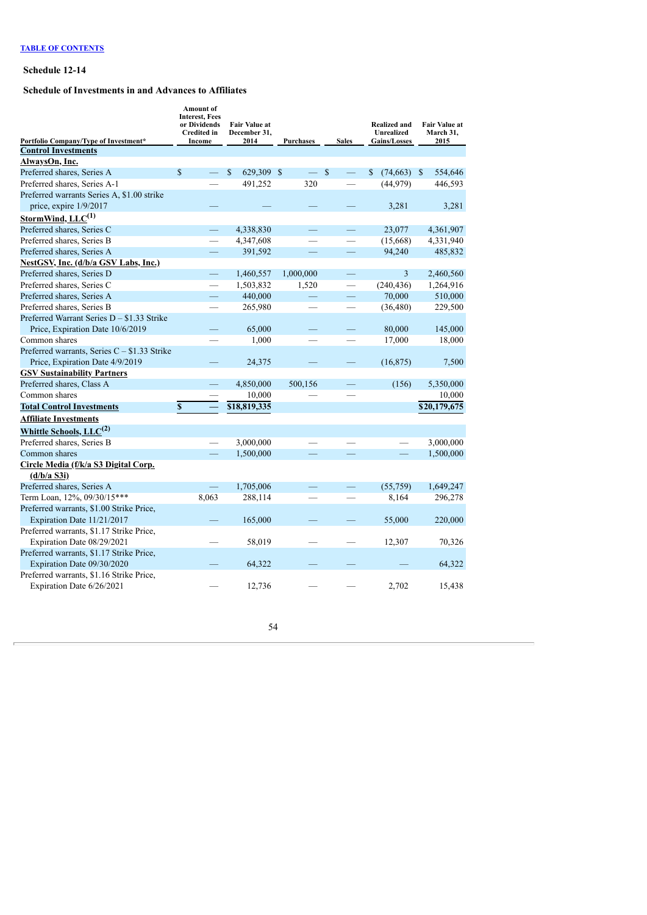## <span id="page-55-0"></span>**Schedule 12-14**

# **Schedule of Investments in and Advances to Affiliates**

| Portfolio Company/Type of Investment*         | Amount of<br><b>Interest, Fees</b><br>or Dividends<br><b>Credited</b> in<br>Income | <b>Fair Value at</b><br>December 31,<br>2014 | Purchases | <b>Sales</b>                  | Realized and<br>Unrealized<br><b>Gains/Losses</b> | <b>Fair Value at</b><br>March 31,<br>2015 |
|-----------------------------------------------|------------------------------------------------------------------------------------|----------------------------------------------|-----------|-------------------------------|---------------------------------------------------|-------------------------------------------|
| <b>Control Investments</b>                    |                                                                                    |                                              |           |                               |                                                   |                                           |
| AlwaysOn, Inc.                                |                                                                                    |                                              |           |                               |                                                   |                                           |
| Preferred shares, Series A                    | $\mathbf S$                                                                        | $\mathbf S$<br>629,309                       | -S        | <sup>\$</sup>                 | $\mathbb{S}$<br>$(74,663)$ \$                     | 554,646                                   |
| Preferred shares, Series A-1                  |                                                                                    | 491,252                                      | 320       |                               | (44, 979)                                         | 446,593                                   |
| Preferred warrants Series A, \$1.00 strike    |                                                                                    |                                              |           |                               |                                                   |                                           |
| price, expire 1/9/2017                        |                                                                                    |                                              |           |                               | 3,281                                             | 3,281                                     |
| StormWind, LLC <sup>(1)</sup>                 |                                                                                    |                                              |           |                               |                                                   |                                           |
| Preferred shares, Series C                    |                                                                                    | 4,338,830                                    |           |                               | 23.077                                            | 4,361,907                                 |
| Preferred shares, Series B                    |                                                                                    | 4,347,608                                    |           |                               | (15,668)                                          | 4,331,940                                 |
| Preferred shares, Series A                    |                                                                                    | 391,592                                      |           |                               | 94,240                                            | 485,832                                   |
| NestGSV, Inc. (d/b/a GSV Labs, Inc.)          |                                                                                    |                                              |           |                               |                                                   |                                           |
| Preferred shares, Series D                    | $\equiv$                                                                           | 1,460,557                                    | 1,000,000 |                               | 3                                                 | 2,460,560                                 |
| Preferred shares, Series C                    |                                                                                    | 1,503,832                                    | 1,520     | $\overbrace{\phantom{12333}}$ | (240, 436)                                        | 1,264,916                                 |
| Preferred shares, Series A                    |                                                                                    | 440,000                                      |           |                               | 70,000                                            | 510,000                                   |
| Preferred shares, Series B                    |                                                                                    | 265,980                                      |           |                               | (36, 480)                                         | 229,500                                   |
| Preferred Warrant Series D - \$1.33 Strike    |                                                                                    |                                              |           |                               |                                                   |                                           |
| Price, Expiration Date 10/6/2019              |                                                                                    | 65,000                                       |           |                               | 80,000                                            | 145,000                                   |
| Common shares                                 |                                                                                    | 1,000                                        |           |                               | 17,000                                            | 18,000                                    |
| Preferred warrants, Series $C - $1.33$ Strike |                                                                                    |                                              |           |                               |                                                   |                                           |
| Price, Expiration Date 4/9/2019               |                                                                                    | 24,375                                       |           |                               | (16, 875)                                         | 7,500                                     |
| <b>GSV Sustainability Partners</b>            |                                                                                    |                                              |           |                               |                                                   |                                           |
| Preferred shares, Class A                     |                                                                                    | 4,850,000                                    | 500,156   |                               | (156)                                             | 5,350,000                                 |
| Common shares                                 |                                                                                    | 10,000                                       |           |                               |                                                   | 10,000                                    |
| <b>Total Control Investments</b>              | $\mathbf{s}$                                                                       | \$18,819,335                                 |           |                               |                                                   | \$20,179,675                              |
| <b>Affiliate Investments</b>                  |                                                                                    |                                              |           |                               |                                                   |                                           |
| Whittle Schools, $LLC^{(2)}$                  |                                                                                    |                                              |           |                               |                                                   |                                           |
| Preferred shares, Series B                    |                                                                                    | 3,000,000                                    |           |                               |                                                   | 3,000,000                                 |
| Common shares                                 |                                                                                    | 1,500,000                                    |           |                               | $\equiv$                                          | 1,500,000                                 |
| Circle Media (f/k/a S3 Digital Corp.          |                                                                                    |                                              |           |                               |                                                   |                                           |
| (d/b/a S3i)                                   |                                                                                    |                                              |           |                               |                                                   |                                           |
| Preferred shares, Series A                    |                                                                                    | 1,705,006                                    |           |                               | (55,759)                                          | 1,649,247                                 |
| Term Loan, 12%, 09/30/15***                   | 8,063                                                                              | 288,114                                      |           |                               | 8,164                                             | 296,278                                   |
| Preferred warrants, \$1.00 Strike Price,      |                                                                                    |                                              |           |                               |                                                   |                                           |
| Expiration Date 11/21/2017                    |                                                                                    | 165,000                                      |           |                               | 55,000                                            | 220,000                                   |
| Preferred warrants, \$1.17 Strike Price,      |                                                                                    |                                              |           |                               |                                                   |                                           |
| Expiration Date 08/29/2021                    |                                                                                    | 58,019                                       |           |                               | 12,307                                            | 70,326                                    |
| Preferred warrants, \$1.17 Strike Price,      |                                                                                    |                                              |           |                               |                                                   |                                           |
| Expiration Date 09/30/2020                    |                                                                                    | 64,322                                       |           |                               |                                                   | 64,322                                    |
| Preferred warrants, \$1.16 Strike Price,      |                                                                                    |                                              |           |                               |                                                   |                                           |
| Expiration Date 6/26/2021                     |                                                                                    | 12,736                                       |           |                               | 2,702                                             | 15,438                                    |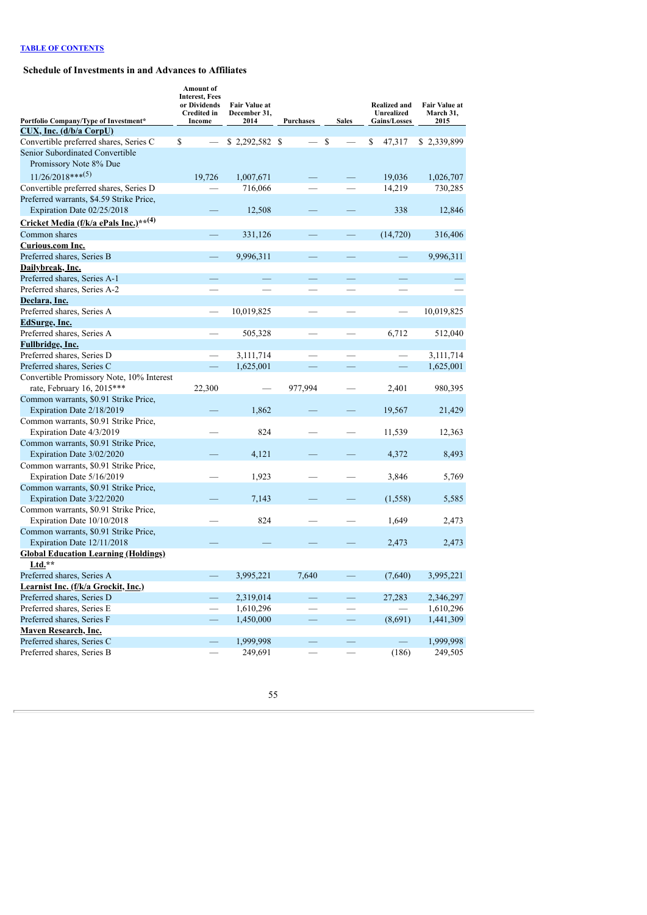# **Schedule of Investments in and Advances to Affiliates**

| Portfolio Company/Type of Investment*             | Amount of<br><b>Interest, Fees</b><br>or Dividends<br>Credited in<br>Income | Fair Value at<br>December 31,<br>2014 | <b>Purchases</b>         | <b>Sales</b>             | <b>Realized and</b><br>Unrealized<br><b>Gains/Losses</b> | Fair Value at<br>March 31,<br>2015 |
|---------------------------------------------------|-----------------------------------------------------------------------------|---------------------------------------|--------------------------|--------------------------|----------------------------------------------------------|------------------------------------|
| CUX, Inc. (d/b/a CorpU)                           |                                                                             |                                       |                          |                          |                                                          |                                    |
| Convertible preferred shares, Series C            | \$                                                                          | $$2,292,582$ \;                       | $\overline{\phantom{0}}$ | \$<br>$\qquad \qquad$    | \$<br>47,317                                             | \$2,339,899                        |
| Senior Subordinated Convertible                   |                                                                             |                                       |                          |                          |                                                          |                                    |
| Promissory Note 8% Due                            |                                                                             |                                       |                          |                          |                                                          |                                    |
| $11/26/2018***^{(5)}$                             | 19,726                                                                      | 1,007,671                             |                          |                          | 19,036                                                   | 1,026,707                          |
| Convertible preferred shares, Series D            |                                                                             | 716,066                               |                          |                          | 14,219                                                   | 730,285                            |
| Preferred warrants, \$4.59 Strike Price,          |                                                                             |                                       |                          |                          |                                                          |                                    |
| Expiration Date 02/25/2018                        |                                                                             | 12,508                                |                          |                          | 338                                                      | 12,846                             |
| Cricket Media (f/k/a ePals Inc.)** <sup>(4)</sup> |                                                                             |                                       |                          |                          |                                                          |                                    |
| Common shares                                     |                                                                             | 331,126                               |                          |                          | (14, 720)                                                | 316,406                            |
| Curious.com Inc.                                  |                                                                             |                                       |                          |                          |                                                          |                                    |
| Preferred shares, Series B                        |                                                                             | 9,996,311                             |                          | $\overline{\phantom{0}}$ |                                                          | 9,996,311                          |
| Dailybreak, Inc.                                  |                                                                             |                                       |                          |                          |                                                          |                                    |
| Preferred shares, Series A-1                      |                                                                             |                                       |                          | —                        |                                                          |                                    |
| Preferred shares, Series A-2                      | $\overline{\phantom{0}}$                                                    |                                       |                          |                          |                                                          |                                    |
| Declara, Inc.                                     |                                                                             |                                       |                          |                          |                                                          |                                    |
| Preferred shares, Series A                        |                                                                             | 10,019,825                            |                          |                          |                                                          | 10,019,825                         |
| <b>EdSurge</b> , Inc.                             |                                                                             |                                       |                          |                          |                                                          |                                    |
| Preferred shares, Series A                        |                                                                             | 505,328                               |                          |                          | 6,712                                                    | 512,040                            |
| Fullbridge, Inc.                                  |                                                                             |                                       |                          |                          |                                                          |                                    |
| Preferred shares, Series D                        |                                                                             | 3,111,714                             |                          |                          |                                                          | 3,111,714                          |
| Preferred shares, Series C                        |                                                                             | 1,625,001                             |                          |                          |                                                          | 1,625,001                          |
| Convertible Promissory Note, 10% Interest         |                                                                             |                                       |                          |                          |                                                          |                                    |
| rate, February 16, 2015 ***                       | 22,300                                                                      |                                       | 977,994                  |                          | 2,401                                                    | 980,395                            |
| Common warrants, \$0.91 Strike Price,             |                                                                             |                                       |                          |                          |                                                          |                                    |
| Expiration Date 2/18/2019                         |                                                                             | 1,862                                 |                          |                          | 19,567                                                   | 21,429                             |
| Common warrants, \$0.91 Strike Price,             |                                                                             |                                       |                          |                          |                                                          |                                    |
| Expiration Date 4/3/2019                          |                                                                             | 824                                   |                          |                          | 11,539                                                   | 12,363                             |
| Common warrants, \$0.91 Strike Price,             |                                                                             |                                       |                          |                          |                                                          |                                    |
| Expiration Date 3/02/2020                         |                                                                             | 4,121                                 |                          |                          | 4,372                                                    | 8,493                              |
| Common warrants, \$0.91 Strike Price,             |                                                                             |                                       |                          |                          |                                                          |                                    |
| Expiration Date 5/16/2019                         |                                                                             | 1,923                                 |                          |                          | 3,846                                                    | 5,769                              |
| Common warrants, \$0.91 Strike Price,             |                                                                             |                                       |                          |                          |                                                          |                                    |
| Expiration Date 3/22/2020                         |                                                                             | 7,143                                 |                          |                          | (1, 558)                                                 | 5,585                              |
| Common warrants, \$0.91 Strike Price,             |                                                                             |                                       |                          |                          |                                                          |                                    |
| Expiration Date 10/10/2018                        |                                                                             | 824                                   |                          |                          | 1,649                                                    | 2,473                              |
| Common warrants, \$0.91 Strike Price,             |                                                                             |                                       |                          |                          |                                                          |                                    |
| Expiration Date 12/11/2018                        |                                                                             |                                       |                          |                          | 2,473                                                    | 2,473                              |
| <b>Global Education Learning (Holdings)</b>       |                                                                             |                                       |                          |                          |                                                          |                                    |
| $Ltd.**$                                          |                                                                             |                                       |                          |                          |                                                          |                                    |
| Preferred shares, Series A                        |                                                                             | 3,995,221                             | 7,640                    |                          | (7,640)                                                  | 3,995,221                          |
| Learnist Inc. (f/k/a Grockit, Inc.)               |                                                                             |                                       |                          |                          |                                                          |                                    |
| Preferred shares, Series D                        |                                                                             | 2,319,014                             | —                        | $\overline{\phantom{0}}$ | 27,283                                                   | 2,346,297                          |
| Preferred shares, Series E                        |                                                                             | 1,610,296                             |                          |                          |                                                          | 1,610,296                          |
| Preferred shares, Series F                        | —                                                                           | 1,450,000                             | $\overline{\phantom{0}}$ | $\overline{\phantom{0}}$ | (8,691)                                                  | 1,441,309                          |
| Maven Research, Inc.                              |                                                                             |                                       |                          |                          |                                                          |                                    |
| Preferred shares, Series C                        |                                                                             | 1,999,998                             | -                        | $\overline{\phantom{0}}$ |                                                          | 1,999,998                          |
| Preferred shares, Series B                        |                                                                             | 249,691                               |                          |                          | (186)                                                    | 249,505                            |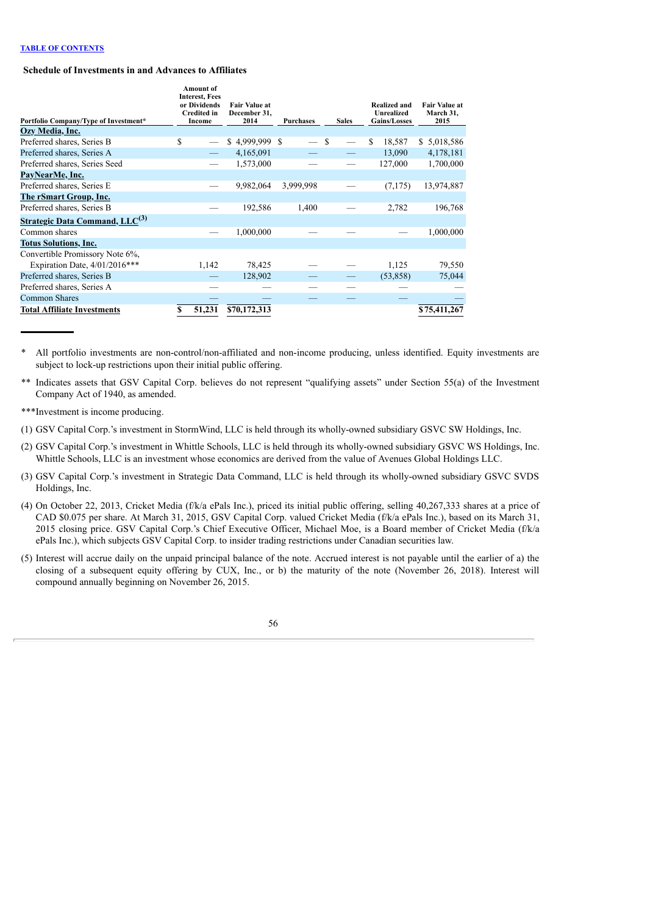## **Schedule of Investments in and Advances to Affiliates**

| Portfolio Company/Type of Investment* | <b>Amount</b> of<br><b>Interest, Fees</b><br>or Dividends<br><b>Credited in</b><br>Income | <b>Fair Value at</b><br>December 31.<br>2014 | <b>Purchases</b>         | <b>Sales</b>  | Realized and<br>Unrealized<br><b>Gains/Losses</b> | <b>Fair Value at</b><br>March 31.<br>2015 |
|---------------------------------------|-------------------------------------------------------------------------------------------|----------------------------------------------|--------------------------|---------------|---------------------------------------------------|-------------------------------------------|
| Ozy Media, Inc.                       |                                                                                           |                                              |                          |               |                                                   |                                           |
| Preferred shares, Series B            | \$                                                                                        | $$4,999,999$ \$                              | $\overline{\phantom{0}}$ | <sup>\$</sup> | 18,587<br>S.                                      | \$ 5,018,586                              |
| Preferred shares, Series A            |                                                                                           | 4,165,091                                    |                          |               | 13,090                                            | 4,178,181                                 |
| Preferred shares, Series Seed         |                                                                                           | 1,573,000                                    |                          |               | 127,000                                           | 1,700,000                                 |
| PayNearMe, Inc.                       |                                                                                           |                                              |                          |               |                                                   |                                           |
| Preferred shares, Series E            |                                                                                           | 9,982,064                                    | 3,999,998                |               | (7, 175)                                          | 13,974,887                                |
| <b>The rSmart Group, Inc.</b>         |                                                                                           |                                              |                          |               |                                                   |                                           |
| Preferred shares, Series B            |                                                                                           | 192,586                                      | 1,400                    |               | 2,782                                             | 196,768                                   |
| <b>Strategic Data Command, LLC(3)</b> |                                                                                           |                                              |                          |               |                                                   |                                           |
| Common shares                         |                                                                                           | 1,000,000                                    |                          |               |                                                   | 1,000,000                                 |
| <b>Totus Solutions, Inc.</b>          |                                                                                           |                                              |                          |               |                                                   |                                           |
| Convertible Promissory Note 6%,       |                                                                                           |                                              |                          |               |                                                   |                                           |
| Expiration Date, $4/01/2016***$       | 1,142                                                                                     | 78,425                                       |                          |               | 1,125                                             | 79,550                                    |
| Preferred shares, Series B            |                                                                                           | 128,902                                      |                          |               | (53,858)                                          | 75,044                                    |
| Preferred shares, Series A            |                                                                                           |                                              |                          |               |                                                   |                                           |
| <b>Common Shares</b>                  |                                                                                           |                                              |                          |               |                                                   |                                           |
| <b>Total Affiliate Investments</b>    | S<br>51,231                                                                               | \$70,172,313                                 |                          |               |                                                   | \$75,411,267                              |

\* All portfolio investments are non-control/non-affiliated and non-income producing, unless identified. Equity investments are subject to lock-up restrictions upon their initial public offering.

\*\* Indicates assets that GSV Capital Corp. believes do not represent "qualifying assets" under Section 55(a) of the Investment Company Act of 1940, as amended.

\*\*\*Investment is income producing.

(1) GSV Capital Corp.'s investment in StormWind, LLC is held through its wholly-owned subsidiary GSVC SW Holdings, Inc.

(2) GSV Capital Corp.'s investment in Whittle Schools, LLC is held through its wholly-owned subsidiary GSVC WS Holdings, Inc. Whittle Schools, LLC is an investment whose economics are derived from the value of Avenues Global Holdings LLC.

(3) GSV Capital Corp.'s investment in Strategic Data Command, LLC is held through its wholly-owned subsidiary GSVC SVDS Holdings, Inc.

(4) On October 22, 2013, Cricket Media (f/k/a ePals Inc.), priced its initial public offering, selling 40,267,333 shares at a price of CAD \$0.075 per share. At March 31, 2015, GSV Capital Corp. valued Cricket Media (f/k/a ePals Inc.), based on its March 31, 2015 closing price. GSV Capital Corp.'s Chief Executive Officer, Michael Moe, is a Board member of Cricket Media (f/k/a ePals Inc.), which subjects GSV Capital Corp. to insider trading restrictions under Canadian securities law.

(5) Interest will accrue daily on the unpaid principal balance of the note. Accrued interest is not payable until the earlier of a) the closing of a subsequent equity offering by CUX, Inc., or b) the maturity of the note (November 26, 2018). Interest will compound annually beginning on November 26, 2015.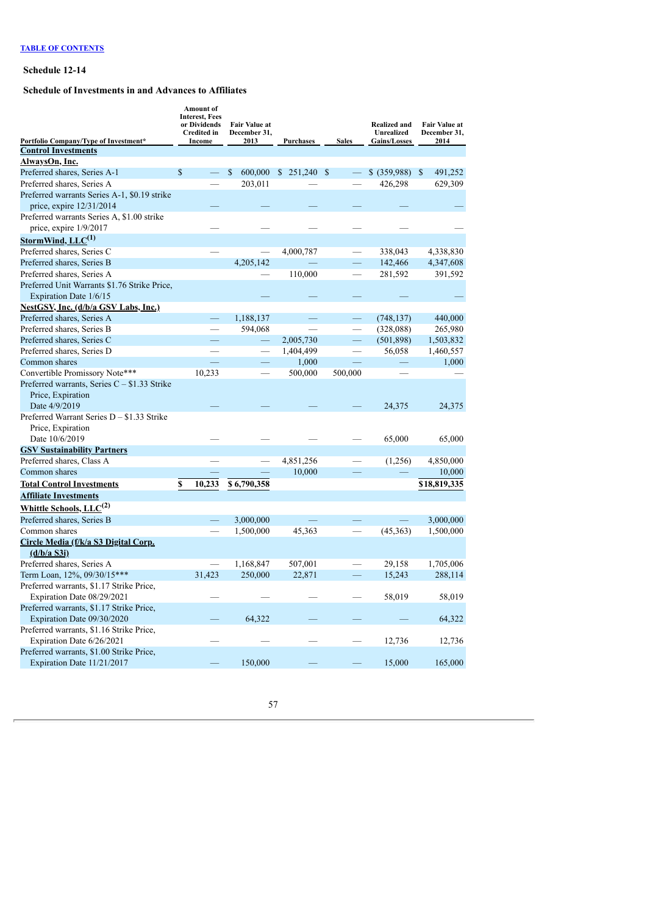## **Schedule 12-14**

# **Schedule of Investments in and Advances to Affiliates**

|                                                     | <b>Amount</b> of<br><b>Interest, Fees</b><br>or Dividends<br><b>Credited in</b> | <b>Fair Value at</b><br>December 31, |                  |                          | <b>Realized and</b><br>Unrealized | Fair Value at<br>December 31, |
|-----------------------------------------------------|---------------------------------------------------------------------------------|--------------------------------------|------------------|--------------------------|-----------------------------------|-------------------------------|
| Portfolio Company/Type of Investment*               | Income                                                                          | 2013                                 | <b>Purchases</b> | <b>Sales</b>             | Gains/Losses                      | 2014                          |
| <b>Control Investments</b>                          |                                                                                 |                                      |                  |                          |                                   |                               |
| AlwaysOn, Inc.                                      |                                                                                 |                                      |                  |                          |                                   |                               |
| Preferred shares, Series A-1                        | \$                                                                              | $\mathcal{S}$<br>600,000             | \$251,240        | \$                       | $$$ (359,988)                     | $\mathbb{S}$<br>491,252       |
| Preferred shares, Series A                          |                                                                                 | 203,011                              |                  |                          | 426,298                           | 629,309                       |
| Preferred warrants Series A-1, \$0.19 strike        |                                                                                 |                                      |                  |                          |                                   |                               |
| price, expire 12/31/2014                            |                                                                                 |                                      |                  |                          |                                   |                               |
| Preferred warrants Series A, \$1.00 strike          |                                                                                 |                                      |                  |                          |                                   |                               |
| price, expire 1/9/2017                              |                                                                                 |                                      |                  |                          |                                   |                               |
| StormWind, $LLC^{(1)}$                              |                                                                                 |                                      |                  |                          |                                   |                               |
| Preferred shares, Series C                          |                                                                                 |                                      | 4,000,787        |                          | 338,043                           | 4,338,830                     |
| Preferred shares, Series B                          |                                                                                 | 4,205,142                            |                  | $\equiv$                 | 142,466                           | 4,347,608                     |
| Preferred shares, Series A                          |                                                                                 |                                      | 110,000          |                          | 281,592                           | 391,592                       |
| Preferred Unit Warrants \$1.76 Strike Price,        |                                                                                 |                                      |                  |                          |                                   |                               |
| Expiration Date 1/6/15                              |                                                                                 |                                      |                  |                          |                                   |                               |
| <b>NestGSV, Inc. (d/b/a GSV Labs, Inc.)</b>         |                                                                                 |                                      |                  |                          |                                   |                               |
| Preferred shares, Series A                          | -                                                                               | 1,188,137                            |                  | $\overline{\phantom{0}}$ | (748, 137)                        | 440,000                       |
| Preferred shares, Series B                          |                                                                                 | 594,068                              |                  |                          | (328,088)                         | 265,980                       |
| Preferred shares, Series C                          |                                                                                 |                                      | 2,005,730        |                          | (501, 898)                        | 1,503,832                     |
| Preferred shares, Series D                          |                                                                                 |                                      | 1,404,499        |                          | 56,058                            | 1,460,557                     |
| Common shares                                       |                                                                                 |                                      | 1,000            |                          |                                   | 1,000                         |
| Convertible Promissory Note***                      | 10,233                                                                          |                                      | 500,000          | 500,000                  |                                   |                               |
| Preferred warrants, Series $C - $1.33$ Strike       |                                                                                 |                                      |                  |                          |                                   |                               |
| Price, Expiration                                   |                                                                                 |                                      |                  |                          |                                   |                               |
| Date 4/9/2019                                       |                                                                                 |                                      |                  |                          | 24,375                            | 24,375                        |
| Preferred Warrant Series $D - $1.33$ Strike         |                                                                                 |                                      |                  |                          |                                   |                               |
| Price, Expiration                                   |                                                                                 |                                      |                  |                          |                                   |                               |
| Date 10/6/2019                                      |                                                                                 |                                      |                  |                          | 65,000                            | 65,000                        |
| <b>GSV Sustainability Partners</b>                  |                                                                                 |                                      |                  |                          |                                   |                               |
| Preferred shares, Class A                           |                                                                                 |                                      | 4,851,256        |                          | (1,256)                           | 4,850,000                     |
| Common shares                                       |                                                                                 |                                      | 10,000           |                          |                                   | 10,000                        |
| <b>Total Control Investments</b>                    | \$<br>10,233                                                                    | \$6,790,358                          |                  |                          |                                   | \$18,819,335                  |
| <b>Affiliate Investments</b>                        |                                                                                 |                                      |                  |                          |                                   |                               |
| Whittle Schools, LLC <sup>(2)</sup>                 |                                                                                 |                                      |                  |                          |                                   |                               |
| Preferred shares, Series B                          |                                                                                 | 3,000,000                            |                  |                          |                                   | 3,000,000                     |
| Common shares                                       |                                                                                 | 1,500,000                            | 45,363           |                          | (45,363)                          | 1,500,000                     |
|                                                     |                                                                                 |                                      |                  |                          |                                   |                               |
| Circle Media (f/k/a S3 Digital Corp.<br>(d/b/a S3i) |                                                                                 |                                      |                  |                          |                                   |                               |
| Preferred shares, Series A                          |                                                                                 |                                      | 507,001          |                          | 29,158                            | 1,705,006                     |
|                                                     | 31,423                                                                          | 1,168,847<br>250,000                 | 22,871           |                          | 15,243                            | 288,114                       |
| Term Loan, 12%, 09/30/15***                         |                                                                                 |                                      |                  |                          |                                   |                               |
| Preferred warrants, \$1.17 Strike Price,            |                                                                                 |                                      |                  |                          |                                   |                               |
| Expiration Date 08/29/2021                          |                                                                                 |                                      |                  |                          | 58,019                            | 58,019                        |
| Preferred warrants, \$1.17 Strike Price,            |                                                                                 |                                      |                  |                          |                                   |                               |
| Expiration Date 09/30/2020                          |                                                                                 | 64,322                               |                  |                          |                                   | 64,322                        |
| Preferred warrants, \$1.16 Strike Price,            |                                                                                 |                                      |                  |                          |                                   |                               |
| Expiration Date 6/26/2021                           |                                                                                 |                                      |                  |                          | 12,736                            | 12,736                        |
| Preferred warrants, \$1.00 Strike Price,            |                                                                                 |                                      |                  |                          |                                   |                               |
| Expiration Date 11/21/2017                          |                                                                                 | 150,000                              |                  |                          | 15,000                            | 165,000                       |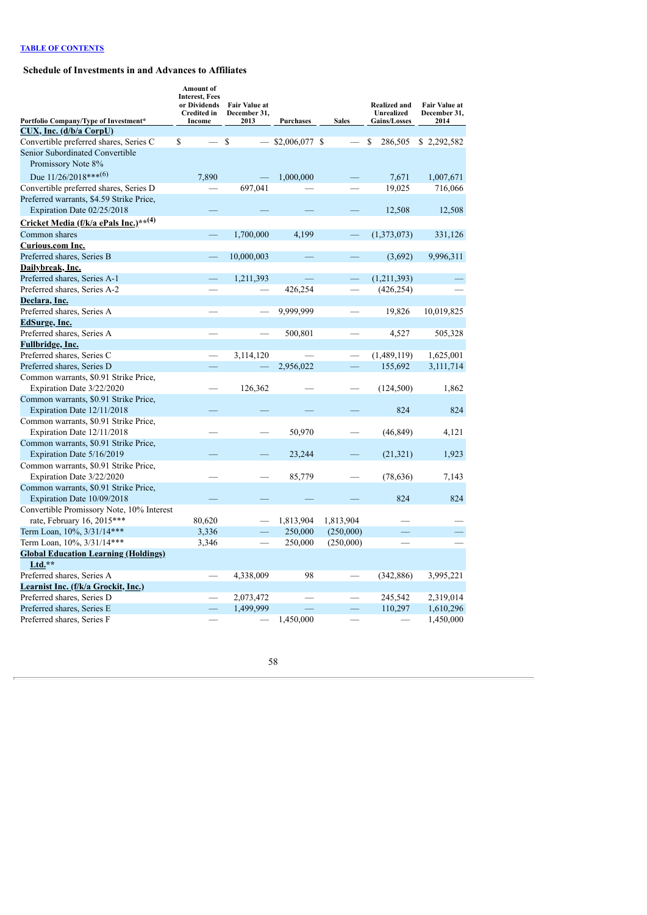# **Schedule of Investments in and Advances to Affiliates**

|                                                                    | <b>Amount</b> of<br><b>Interest, Fees</b><br>or Dividends<br><b>Credited in</b> | <b>Fair Value at</b><br>December 31, |                    |              | <b>Realized and</b><br>Unrealized | <b>Fair Value at</b><br>December 31, |
|--------------------------------------------------------------------|---------------------------------------------------------------------------------|--------------------------------------|--------------------|--------------|-----------------------------------|--------------------------------------|
| Portfolio Company/Type of Investment*<br>CUX, Inc. (d/b/a CorpU)   | Income                                                                          | 2013                                 | <b>Purchases</b>   | <b>Sales</b> | <b>Gains/Losses</b>               | 2014                                 |
| Convertible preferred shares, Series C                             | \$                                                                              | \$                                   | $-$ \$2,006,077 \$ |              | \$<br>286,505                     | \$2,292,582                          |
| Senior Subordinated Convertible                                    |                                                                                 |                                      |                    |              |                                   |                                      |
| Promissory Note 8%                                                 |                                                                                 |                                      |                    |              |                                   |                                      |
| Due $11/26/2018***^{(6)}$                                          | 7,890                                                                           |                                      | 1,000,000          |              | 7,671                             | 1,007,671                            |
| Convertible preferred shares, Series D                             |                                                                                 | 697,041                              |                    |              | 19,025                            | 716,066                              |
| Preferred warrants, \$4.59 Strike Price,                           |                                                                                 |                                      |                    |              |                                   |                                      |
| Expiration Date 02/25/2018                                         |                                                                                 |                                      |                    |              | 12,508                            | 12,508                               |
| Cricket Media (f/k/a ePals Inc.)** <sup>(4)</sup>                  |                                                                                 |                                      |                    |              |                                   |                                      |
| Common shares                                                      |                                                                                 | 1,700,000                            | 4,199              |              | (1,373,073)                       | 331,126                              |
| Curious.com Inc.                                                   |                                                                                 |                                      |                    |              |                                   |                                      |
| Preferred shares, Series B                                         |                                                                                 | 10,000,003                           |                    |              | (3,692)                           | 9,996,311                            |
| Dailybreak, Inc.                                                   |                                                                                 |                                      |                    |              |                                   |                                      |
| Preferred shares, Series A-1                                       | $\equiv$                                                                        | 1,211,393                            |                    | $\equiv$     | (1,211,393)                       |                                      |
| Preferred shares, Series A-2                                       |                                                                                 |                                      | 426,254            |              | (426, 254)                        |                                      |
| Declara, Inc.                                                      |                                                                                 |                                      |                    |              |                                   |                                      |
| Preferred shares, Series A                                         |                                                                                 |                                      | 9,999,999          |              | 19,826                            | 10,019,825                           |
| <b>EdSurge</b> , Inc.                                              |                                                                                 |                                      |                    |              |                                   |                                      |
| Preferred shares, Series A                                         |                                                                                 |                                      | 500,801            |              | 4,527                             | 505,328                              |
| <b>Fullbridge, Inc.</b>                                            |                                                                                 |                                      |                    |              |                                   |                                      |
| Preferred shares, Series C                                         |                                                                                 | 3,114,120                            |                    |              | (1,489,119)                       | 1,625,001                            |
| Preferred shares, Series D                                         |                                                                                 |                                      | 2,956,022          |              | 155,692                           | 3,111,714                            |
| Common warrants, \$0.91 Strike Price,                              |                                                                                 |                                      |                    |              |                                   |                                      |
| Expiration Date 3/22/2020                                          |                                                                                 | 126,362                              |                    |              | (124, 500)                        | 1,862                                |
| Common warrants, \$0.91 Strike Price,                              |                                                                                 |                                      |                    |              |                                   |                                      |
| Expiration Date 12/11/2018                                         |                                                                                 |                                      |                    |              | 824                               | 824                                  |
| Common warrants, \$0.91 Strike Price,                              |                                                                                 |                                      |                    |              |                                   |                                      |
| Expiration Date 12/11/2018                                         |                                                                                 |                                      | 50,970             |              | (46, 849)                         | 4,121                                |
| Common warrants, \$0.91 Strike Price,                              |                                                                                 |                                      |                    |              |                                   |                                      |
| Expiration Date 5/16/2019                                          |                                                                                 |                                      | 23,244             |              | (21, 321)                         | 1,923                                |
| Common warrants, \$0.91 Strike Price,<br>Expiration Date 3/22/2020 |                                                                                 |                                      | 85,779             |              |                                   |                                      |
| Common warrants, \$0.91 Strike Price,                              |                                                                                 |                                      |                    |              | (78, 636)                         | 7,143                                |
| Expiration Date 10/09/2018                                         |                                                                                 |                                      |                    |              | 824                               | 824                                  |
| Convertible Promissory Note, 10% Interest                          |                                                                                 |                                      |                    |              |                                   |                                      |
| rate, February 16, 2015***                                         | 80,620                                                                          |                                      | 1,813,904          | 1,813,904    |                                   |                                      |
| Term Loan, 10%, 3/31/14***                                         | 3,336                                                                           |                                      | 250,000            | (250,000)    |                                   |                                      |
| Term Loan, 10%, 3/31/14***                                         | 3,346                                                                           |                                      | 250,000            | (250,000)    |                                   |                                      |
| <b>Global Education Learning (Holdings)</b>                        |                                                                                 |                                      |                    |              |                                   |                                      |
| Ltd.**                                                             |                                                                                 |                                      |                    |              |                                   |                                      |
| Preferred shares, Series A                                         |                                                                                 | 4,338,009                            | 98                 |              | (342, 886)                        | 3,995,221                            |
| Learnist Inc. (f/k/a Grockit, Inc.)                                |                                                                                 |                                      |                    |              |                                   |                                      |
| Preferred shares, Series D                                         |                                                                                 | 2,073,472                            |                    |              | 245,542                           | 2,319,014                            |
| Preferred shares, Series E                                         |                                                                                 | 1,499,999                            |                    |              | 110,297                           | 1,610,296                            |
| Preferred shares, Series F                                         |                                                                                 |                                      | 1,450,000          |              |                                   | 1,450,000                            |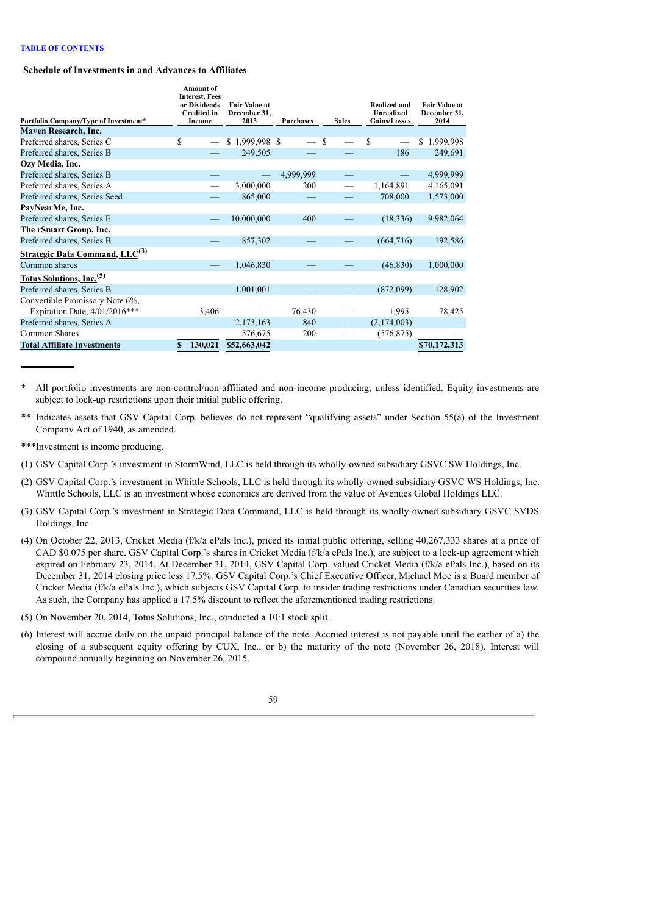## **Schedule of Investments in and Advances to Affiliates**

| Portfolio Company/Type of Investment* | <b>Amount</b> of<br><b>Interest, Fees</b><br>or Dividends<br><b>Credited in</b><br>Income | <b>Fair Value at</b><br>December 31,<br>2013 | <b>Purchases</b> | <b>Sales</b> | Realized and<br><b>Unrealized</b><br><b>Gains/Losses</b> | <b>Fair Value at</b><br>December 31,<br>2014 |
|---------------------------------------|-------------------------------------------------------------------------------------------|----------------------------------------------|------------------|--------------|----------------------------------------------------------|----------------------------------------------|
| <b>Maven Research, Inc.</b>           |                                                                                           |                                              |                  |              |                                                          |                                              |
| Preferred shares, Series C            | \$                                                                                        | $$1,999,998$ \$                              | $-$ \$           |              | S                                                        | \$1,999,998                                  |
| Preferred shares, Series B            |                                                                                           | 249,505                                      |                  |              | 186                                                      | 249,691                                      |
| Ozy Media, Inc.                       |                                                                                           |                                              |                  |              |                                                          |                                              |
| Preferred shares, Series B            |                                                                                           |                                              | 4,999,999        |              |                                                          | 4,999,999                                    |
| Preferred shares, Series A            |                                                                                           | 3,000,000                                    | 200              |              | 1,164,891                                                | 4,165,091                                    |
| Preferred shares, Series Seed         |                                                                                           | 865,000                                      |                  |              | 708,000                                                  | 1,573,000                                    |
| PayNearMe, Inc.                       |                                                                                           |                                              |                  |              |                                                          |                                              |
| Preferred shares, Series E            |                                                                                           | 10,000,000                                   | 400              |              | (18, 336)                                                | 9,982,064                                    |
| <b>The rSmart Group, Inc.</b>         |                                                                                           |                                              |                  |              |                                                          |                                              |
| Preferred shares, Series B            |                                                                                           | 857,302                                      |                  |              | (664, 716)                                               | 192,586                                      |
| <b>Strategic Data Command, LLC(3)</b> |                                                                                           |                                              |                  |              |                                                          |                                              |
| Common shares                         |                                                                                           | 1,046,830                                    |                  |              | (46, 830)                                                | 1,000,000                                    |
| Totus Solutions, Inc. <sup>(5)</sup>  |                                                                                           |                                              |                  |              |                                                          |                                              |
| Preferred shares, Series B            |                                                                                           | 1,001,001                                    |                  |              | (872,099)                                                | 128,902                                      |
| Convertible Promissory Note 6%.       |                                                                                           |                                              |                  |              |                                                          |                                              |
| Expiration Date, $4/01/2016***$       | 3,406                                                                                     |                                              | 76,430           |              | 1,995                                                    | 78,425                                       |
| Preferred shares, Series A            |                                                                                           | 2,173,163                                    | 840              |              | (2,174,003)                                              |                                              |
| Common Shares                         |                                                                                           | 576,675                                      | 200              |              | (576, 875)                                               |                                              |
| <b>Total Affiliate Investments</b>    | \$<br>130,021                                                                             | \$52,663,042                                 |                  |              |                                                          | \$70,172,313                                 |

\* All portfolio investments are non-control/non-affiliated and non-income producing, unless identified. Equity investments are subject to lock-up restrictions upon their initial public offering.

- \*\* Indicates assets that GSV Capital Corp. believes do not represent "qualifying assets" under Section 55(a) of the Investment Company Act of 1940, as amended.
- \*\*\*Investment is income producing.
- (1) GSV Capital Corp.'s investment in StormWind, LLC is held through its wholly-owned subsidiary GSVC SW Holdings, Inc.
- (2) GSV Capital Corp.'s investment in Whittle Schools, LLC is held through its wholly-owned subsidiary GSVC WS Holdings, Inc. Whittle Schools, LLC is an investment whose economics are derived from the value of Avenues Global Holdings LLC.
- (3) GSV Capital Corp.'s investment in Strategic Data Command, LLC is held through its wholly-owned subsidiary GSVC SVDS Holdings, Inc.
- (4) On October 22, 2013, Cricket Media (f/k/a ePals Inc.), priced its initial public offering, selling 40,267,333 shares at a price of CAD \$0.075 per share. GSV Capital Corp.'s shares in Cricket Media (f/k/a ePals Inc.), are subject to a lock-up agreement which expired on February 23, 2014. At December 31, 2014, GSV Capital Corp. valued Cricket Media (f/k/a ePals Inc.), based on its December 31, 2014 closing price less 17.5%. GSV Capital Corp.'s Chief Executive Officer, Michael Moe is a Board member of Cricket Media (f/k/a ePals Inc.), which subjects GSV Capital Corp. to insider trading restrictions under Canadian securities law. As such, the Company has applied a 17.5% discount to reflect the aforementioned trading restrictions.
- (5) On November 20, 2014, Totus Solutions, Inc., conducted a 10:1 stock split.
- (6) Interest will accrue daily on the unpaid principal balance of the note. Accrued interest is not payable until the earlier of a) the closing of a subsequent equity offering by CUX, Inc., or b) the maturity of the note (November 26, 2018). Interest will compound annually beginning on November 26, 2015.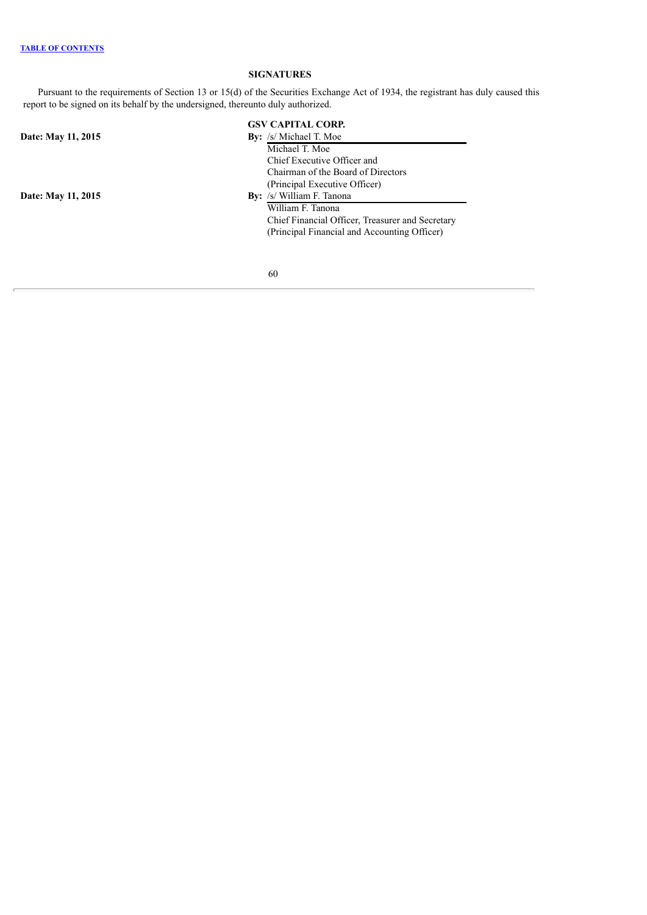# **SIGNATURES**

<span id="page-61-0"></span>Pursuant to the requirements of Section 13 or 15(d) of the Securities Exchange Act of 1934, the registrant has duly caused this report to be signed on its behalf by the undersigned, thereunto duly authorized.

|                    | <b>GSV CAPITAL CORP.</b>                         |
|--------------------|--------------------------------------------------|
| Date: May 11, 2015 | <b>By:</b> /s/ Michael T. Moe                    |
|                    | Michael T. Moe                                   |
|                    | Chief Executive Officer and                      |
|                    | Chairman of the Board of Directors               |
|                    | (Principal Executive Officer)                    |
| Date: May 11, 2015 | <b>By:</b> /s/ William F. Tanona                 |
|                    | William F. Tanona                                |
|                    | Chief Financial Officer, Treasurer and Secretary |
|                    | (Principal Financial and Accounting Officer)     |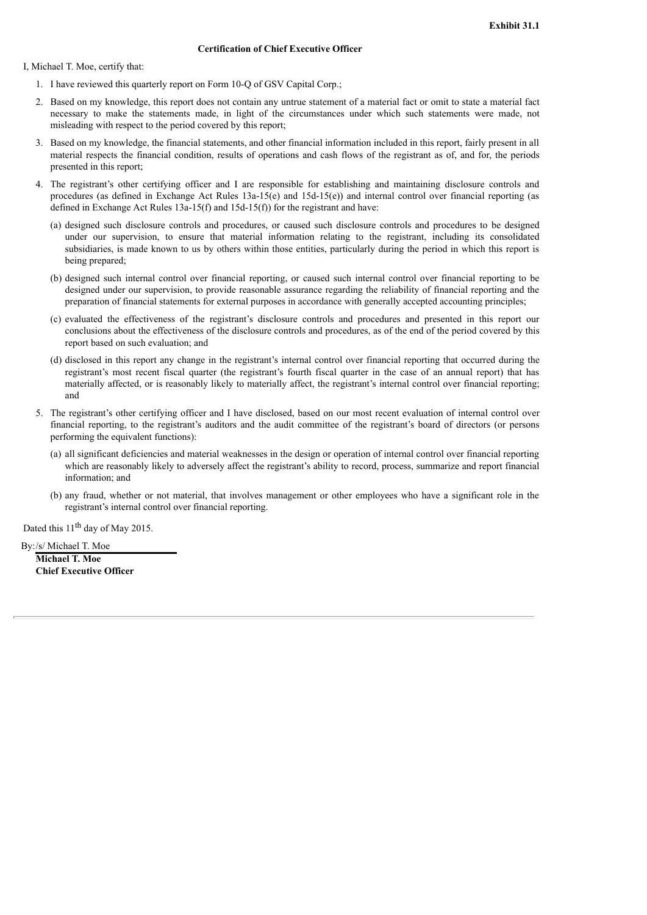I, Michael T. Moe, certify that:

- 1. I have reviewed this quarterly report on Form 10-Q of GSV Capital Corp.;
- 2. Based on my knowledge, this report does not contain any untrue statement of a material fact or omit to state a material fact necessary to make the statements made, in light of the circumstances under which such statements were made, not misleading with respect to the period covered by this report;
- 3. Based on my knowledge, the financial statements, and other financial information included in this report, fairly present in all material respects the financial condition, results of operations and cash flows of the registrant as of, and for, the periods presented in this report;
- 4. The registrant's other certifying officer and I are responsible for establishing and maintaining disclosure controls and procedures (as defined in Exchange Act Rules 13a-15(e) and 15d-15(e)) and internal control over financial reporting (as defined in Exchange Act Rules  $13a-15(f)$  and  $15d-15(f)$ ) for the registrant and have:
	- (a) designed such disclosure controls and procedures, or caused such disclosure controls and procedures to be designed under our supervision, to ensure that material information relating to the registrant, including its consolidated subsidiaries, is made known to us by others within those entities, particularly during the period in which this report is being prepared;
	- (b) designed such internal control over financial reporting, or caused such internal control over financial reporting to be designed under our supervision, to provide reasonable assurance regarding the reliability of financial reporting and the preparation of financial statements for external purposes in accordance with generally accepted accounting principles;
	- (c) evaluated the effectiveness of the registrant's disclosure controls and procedures and presented in this report our conclusions about the effectiveness of the disclosure controls and procedures, as of the end of the period covered by this report based on such evaluation; and
	- (d) disclosed in this report any change in the registrant's internal control over financial reporting that occurred during the registrant's most recent fiscal quarter (the registrant's fourth fiscal quarter in the case of an annual report) that has materially affected, or is reasonably likely to materially affect, the registrant's internal control over financial reporting; and
- 5. The registrant's other certifying officer and I have disclosed, based on our most recent evaluation of internal control over financial reporting, to the registrant's auditors and the audit committee of the registrant's board of directors (or persons performing the equivalent functions):
	- (a) all significant deficiencies and material weaknesses in the design or operation of internal control over financial reporting which are reasonably likely to adversely affect the registrant's ability to record, process, summarize and report financial information; and
	- (b) any fraud, whether or not material, that involves management or other employees who have a significant role in the registrant's internal control over financial reporting.

Dated this  $11<sup>th</sup>$  day of May 2015.

By:/s/ Michael T. Moe

**Michael T. Moe Chief Executive Officer**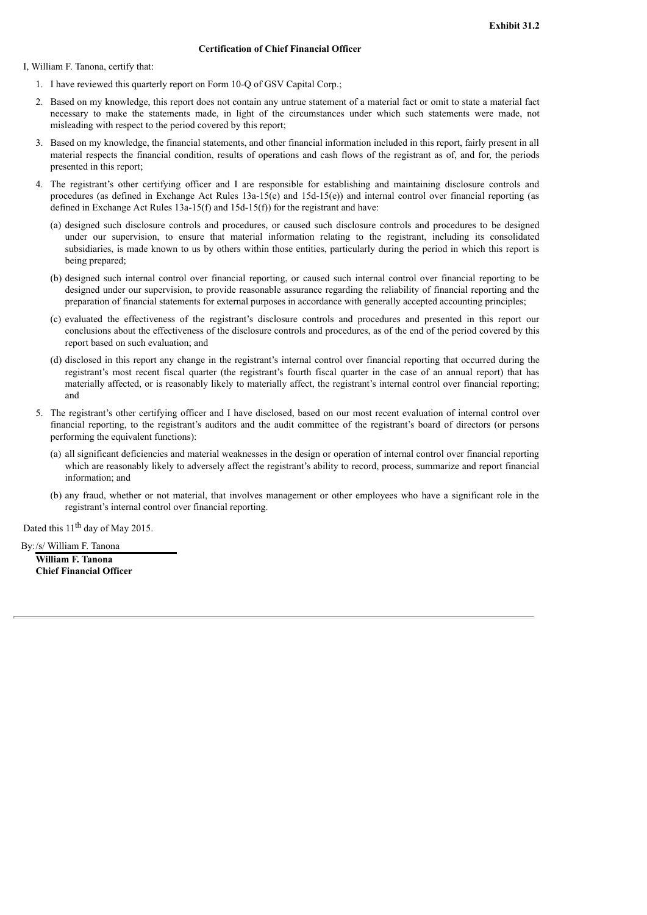I, William F. Tanona, certify that:

- 1. I have reviewed this quarterly report on Form 10-Q of GSV Capital Corp.;
- 2. Based on my knowledge, this report does not contain any untrue statement of a material fact or omit to state a material fact necessary to make the statements made, in light of the circumstances under which such statements were made, not misleading with respect to the period covered by this report;
- 3. Based on my knowledge, the financial statements, and other financial information included in this report, fairly present in all material respects the financial condition, results of operations and cash flows of the registrant as of, and for, the periods presented in this report;
- 4. The registrant's other certifying officer and I are responsible for establishing and maintaining disclosure controls and procedures (as defined in Exchange Act Rules 13a-15(e) and 15d-15(e)) and internal control over financial reporting (as defined in Exchange Act Rules  $13a-15(f)$  and  $15d-15(f)$ ) for the registrant and have:
	- (a) designed such disclosure controls and procedures, or caused such disclosure controls and procedures to be designed under our supervision, to ensure that material information relating to the registrant, including its consolidated subsidiaries, is made known to us by others within those entities, particularly during the period in which this report is being prepared;
	- (b) designed such internal control over financial reporting, or caused such internal control over financial reporting to be designed under our supervision, to provide reasonable assurance regarding the reliability of financial reporting and the preparation of financial statements for external purposes in accordance with generally accepted accounting principles;
	- (c) evaluated the effectiveness of the registrant's disclosure controls and procedures and presented in this report our conclusions about the effectiveness of the disclosure controls and procedures, as of the end of the period covered by this report based on such evaluation; and
	- (d) disclosed in this report any change in the registrant's internal control over financial reporting that occurred during the registrant's most recent fiscal quarter (the registrant's fourth fiscal quarter in the case of an annual report) that has materially affected, or is reasonably likely to materially affect, the registrant's internal control over financial reporting; and
- 5. The registrant's other certifying officer and I have disclosed, based on our most recent evaluation of internal control over financial reporting, to the registrant's auditors and the audit committee of the registrant's board of directors (or persons performing the equivalent functions):
	- (a) all significant deficiencies and material weaknesses in the design or operation of internal control over financial reporting which are reasonably likely to adversely affect the registrant's ability to record, process, summarize and report financial information; and
	- (b) any fraud, whether or not material, that involves management or other employees who have a significant role in the registrant's internal control over financial reporting.

Dated this  $11<sup>th</sup>$  day of May 2015.

By:/s/ William F. Tanona

**William F. Tanona Chief Financial Officer**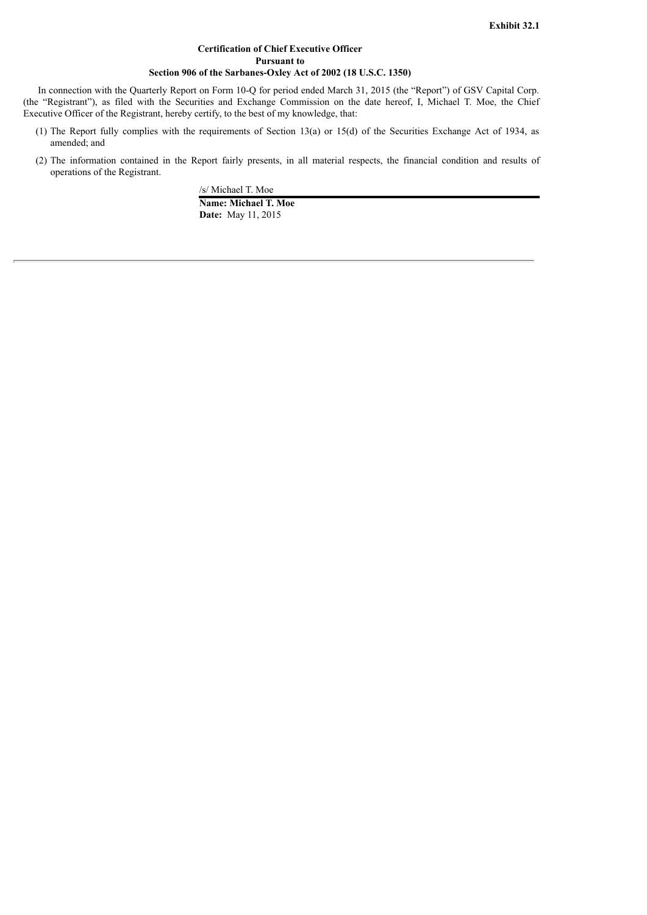## **Certification of Chief Executive Officer Pursuant to Section 906 of the Sarbanes-Oxley Act of 2002 (18 U.S.C. 1350)**

In connection with the Quarterly Report on Form 10-Q for period ended March 31, 2015 (the "Report") of GSV Capital Corp. (the "Registrant"), as filed with the Securities and Exchange Commission on the date hereof, I, Michael T. Moe, the Chief Executive Officer of the Registrant, hereby certify, to the best of my knowledge, that:

- (1) The Report fully complies with the requirements of Section 13(a) or 15(d) of the Securities Exchange Act of 1934, as amended; and
- (2) The information contained in the Report fairly presents, in all material respects, the financial condition and results of operations of the Registrant.

/s/ Michael T. Moe **Name: Michael T. Moe Date:** May 11, 2015